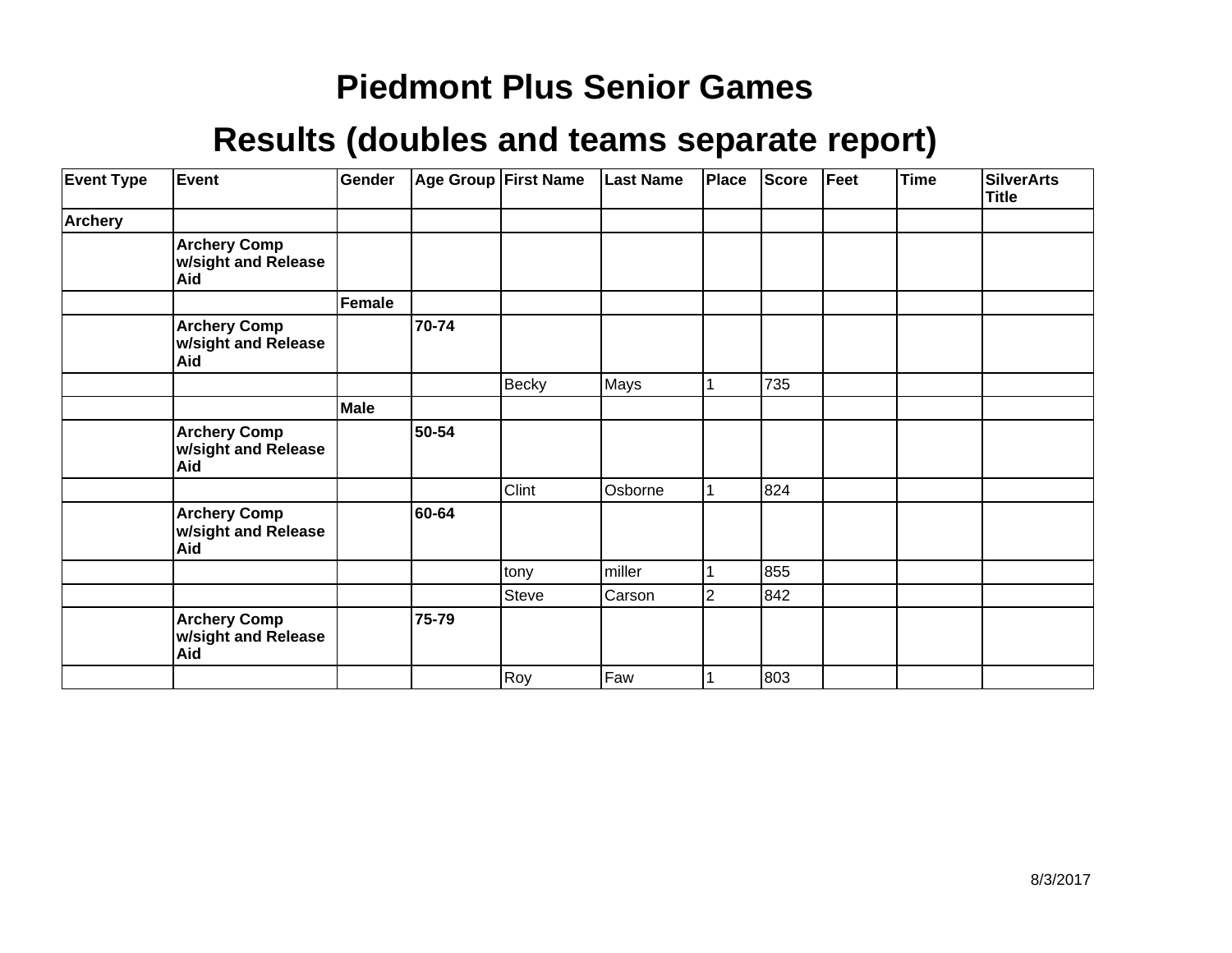| <b>Event Type</b> | Event                                             | Gender |       | <b>Age Group First Name</b> | <b>Last Name</b> | Place          | <b>Score</b> | Feet | <b>Time</b> | <b>SilverArts</b><br><b>Title</b> |
|-------------------|---------------------------------------------------|--------|-------|-----------------------------|------------------|----------------|--------------|------|-------------|-----------------------------------|
| Archery           |                                                   |        |       |                             |                  |                |              |      |             |                                   |
|                   | <b>Archery Comp</b><br>w/sight and Release<br>Aid |        |       |                             |                  |                |              |      |             |                                   |
|                   |                                                   | Female |       |                             |                  |                |              |      |             |                                   |
|                   | <b>Archery Comp</b><br>w/sight and Release<br>Aid |        | 70-74 |                             |                  |                |              |      |             |                                   |
|                   |                                                   |        |       | <b>Becky</b>                | Mays             |                | 735          |      |             |                                   |
|                   |                                                   | Male   |       |                             |                  |                |              |      |             |                                   |
|                   | <b>Archery Comp</b><br>w/sight and Release<br>Aid |        | 50-54 |                             |                  |                |              |      |             |                                   |
|                   |                                                   |        |       | Clint                       | Osborne          |                | 824          |      |             |                                   |
|                   | <b>Archery Comp</b><br>w/sight and Release<br>Aid |        | 60-64 |                             |                  |                |              |      |             |                                   |
|                   |                                                   |        |       | tony                        | miller           |                | 855          |      |             |                                   |
|                   |                                                   |        |       | Steve                       | Carson           | $\overline{2}$ | 842          |      |             |                                   |
|                   | <b>Archery Comp</b><br>w/sight and Release<br>Aid |        | 75-79 |                             |                  |                |              |      |             |                                   |
|                   |                                                   |        |       | Roy                         | Faw              |                | 803          |      |             |                                   |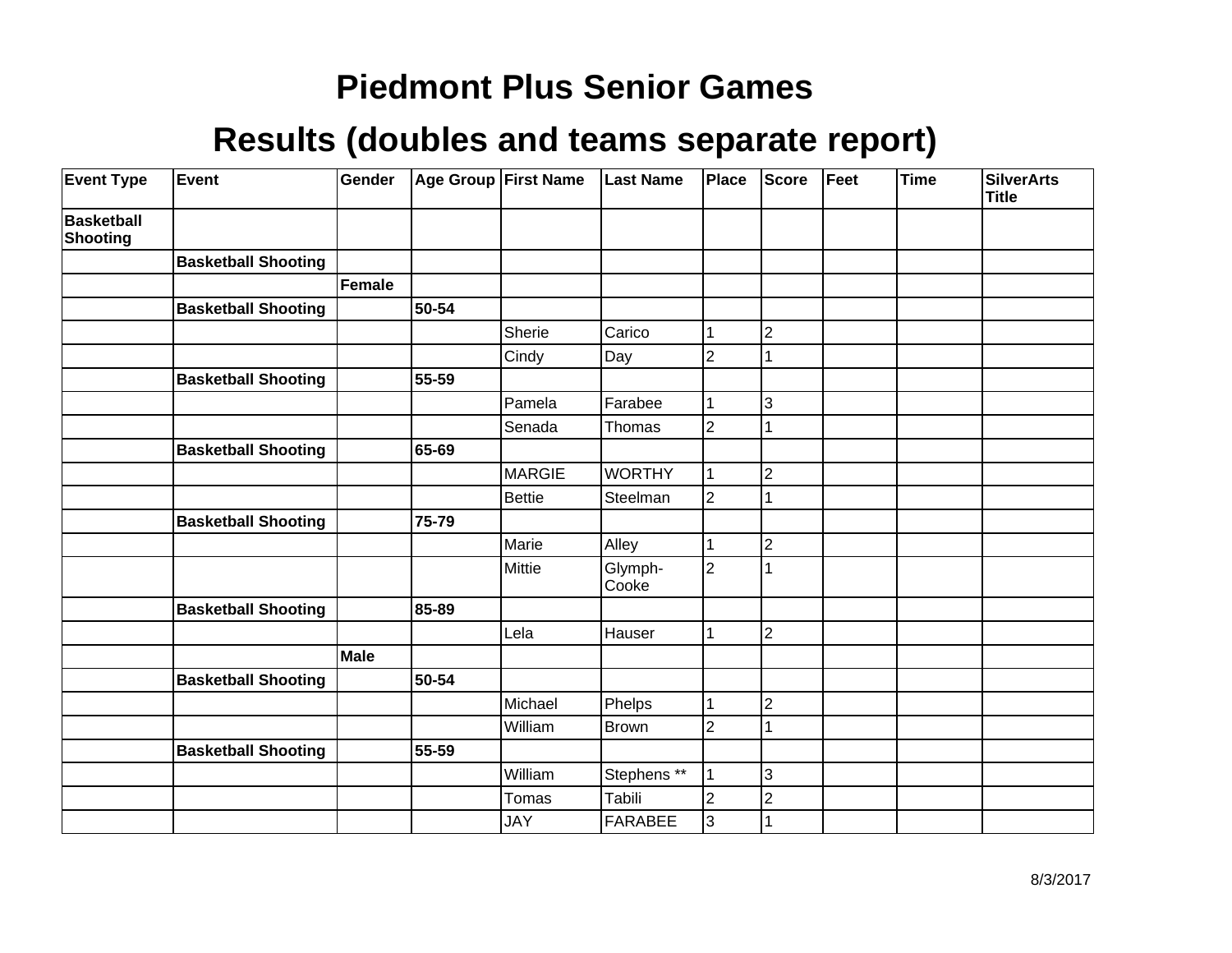| <b>Event Type</b>                    | Event                      | Gender      |       | Age Group First Name | <b>Last Name</b> | Place          | <b>Score</b>   | Feet | <b>Time</b> | <b>SilverArts</b><br><b>Title</b> |
|--------------------------------------|----------------------------|-------------|-------|----------------------|------------------|----------------|----------------|------|-------------|-----------------------------------|
| <b>Basketball</b><br><b>Shooting</b> |                            |             |       |                      |                  |                |                |      |             |                                   |
|                                      | <b>Basketball Shooting</b> |             |       |                      |                  |                |                |      |             |                                   |
|                                      |                            | Female      |       |                      |                  |                |                |      |             |                                   |
|                                      | <b>Basketball Shooting</b> |             | 50-54 |                      |                  |                |                |      |             |                                   |
|                                      |                            |             |       | Sherie               | Carico           |                | $\overline{2}$ |      |             |                                   |
|                                      |                            |             |       | Cindy                | Day              | $\overline{2}$ |                |      |             |                                   |
|                                      | <b>Basketball Shooting</b> |             | 55-59 |                      |                  |                |                |      |             |                                   |
|                                      |                            |             |       | Pamela               | Farabee          |                | 3              |      |             |                                   |
|                                      |                            |             |       | Senada               | Thomas           | $\overline{2}$ |                |      |             |                                   |
|                                      | <b>Basketball Shooting</b> |             | 65-69 |                      |                  |                |                |      |             |                                   |
|                                      |                            |             |       | MARGIE               | <b>WORTHY</b>    |                | $\overline{2}$ |      |             |                                   |
|                                      |                            |             |       | <b>Bettie</b>        | Steelman         | $\overline{2}$ |                |      |             |                                   |
|                                      | <b>Basketball Shooting</b> |             | 75-79 |                      |                  |                |                |      |             |                                   |
|                                      |                            |             |       | Marie                | Alley            |                | $\overline{2}$ |      |             |                                   |
|                                      |                            |             |       | Mittie               | Glymph-<br>Cooke | $\overline{2}$ |                |      |             |                                   |
|                                      | <b>Basketball Shooting</b> |             | 85-89 |                      |                  |                |                |      |             |                                   |
|                                      |                            |             |       | Lela                 | Hauser           |                | $\overline{2}$ |      |             |                                   |
|                                      |                            | <b>Male</b> |       |                      |                  |                |                |      |             |                                   |
|                                      | <b>Basketball Shooting</b> |             | 50-54 |                      |                  |                |                |      |             |                                   |
|                                      |                            |             |       | Michael              | Phelps           |                | $\overline{2}$ |      |             |                                   |
|                                      |                            |             |       | William              | <b>Brown</b>     | 2              |                |      |             |                                   |
|                                      | <b>Basketball Shooting</b> |             | 55-59 |                      |                  |                |                |      |             |                                   |
|                                      |                            |             |       | William              | Stephens **      |                | 3              |      |             |                                   |
|                                      |                            |             |       | Tomas                | Tabili           | 2              | $\overline{2}$ |      |             |                                   |
|                                      |                            |             |       | <b>JAY</b>           | <b>FARABEE</b>   | 3              |                |      |             |                                   |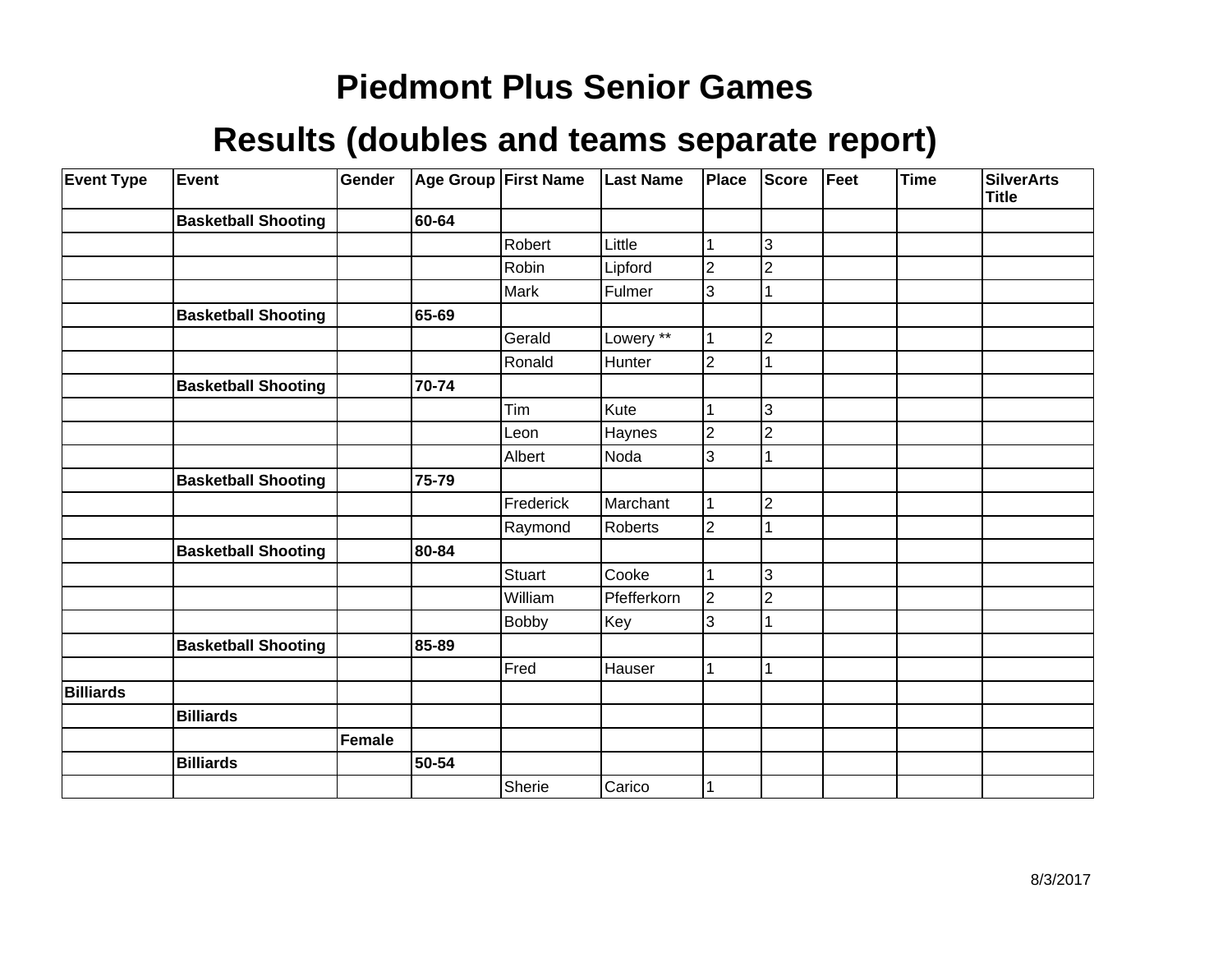| <b>Event Type</b> | Event                      | Gender        |       | Age Group First Name | <b>Last Name</b> | Place          | <b>Score</b>   | Feet | <b>Time</b> | <b>SilverArts</b><br><b>Title</b> |
|-------------------|----------------------------|---------------|-------|----------------------|------------------|----------------|----------------|------|-------------|-----------------------------------|
|                   | <b>Basketball Shooting</b> |               | 60-64 |                      |                  |                |                |      |             |                                   |
|                   |                            |               |       | Robert               | Little           |                | 3              |      |             |                                   |
|                   |                            |               |       | Robin                | Lipford          | $\overline{2}$ | $\overline{2}$ |      |             |                                   |
|                   |                            |               |       | Mark                 | Fulmer           | 3              |                |      |             |                                   |
|                   | <b>Basketball Shooting</b> |               | 65-69 |                      |                  |                |                |      |             |                                   |
|                   |                            |               |       | Gerald               | Lowery **        |                | $\overline{c}$ |      |             |                                   |
|                   |                            |               |       | Ronald               | Hunter           | $\overline{2}$ |                |      |             |                                   |
|                   | <b>Basketball Shooting</b> |               | 70-74 |                      |                  |                |                |      |             |                                   |
|                   |                            |               |       | Tim                  | Kute             |                | 3              |      |             |                                   |
|                   |                            |               |       | Leon                 | Haynes           | $\overline{2}$ | $\overline{2}$ |      |             |                                   |
|                   |                            |               |       | Albert               | Noda             | 3              |                |      |             |                                   |
|                   | <b>Basketball Shooting</b> |               | 75-79 |                      |                  |                |                |      |             |                                   |
|                   |                            |               |       | Frederick            | Marchant         |                | $\overline{c}$ |      |             |                                   |
|                   |                            |               |       | Raymond              | Roberts          | $\overline{2}$ |                |      |             |                                   |
|                   | <b>Basketball Shooting</b> |               | 80-84 |                      |                  |                |                |      |             |                                   |
|                   |                            |               |       | Stuart               | Cooke            |                | 3              |      |             |                                   |
|                   |                            |               |       | William              | Pfefferkorn      | $\overline{2}$ | $\overline{2}$ |      |             |                                   |
|                   |                            |               |       | Bobby                | Key              | 3              |                |      |             |                                   |
|                   | <b>Basketball Shooting</b> |               | 85-89 |                      |                  |                |                |      |             |                                   |
|                   |                            |               |       | Fred                 | Hauser           |                |                |      |             |                                   |
| <b>Billiards</b>  |                            |               |       |                      |                  |                |                |      |             |                                   |
|                   | <b>Billiards</b>           |               |       |                      |                  |                |                |      |             |                                   |
|                   |                            | <b>Female</b> |       |                      |                  |                |                |      |             |                                   |
|                   | <b>Billiards</b>           |               | 50-54 |                      |                  |                |                |      |             |                                   |
|                   |                            |               |       | Sherie               | Carico           |                |                |      |             |                                   |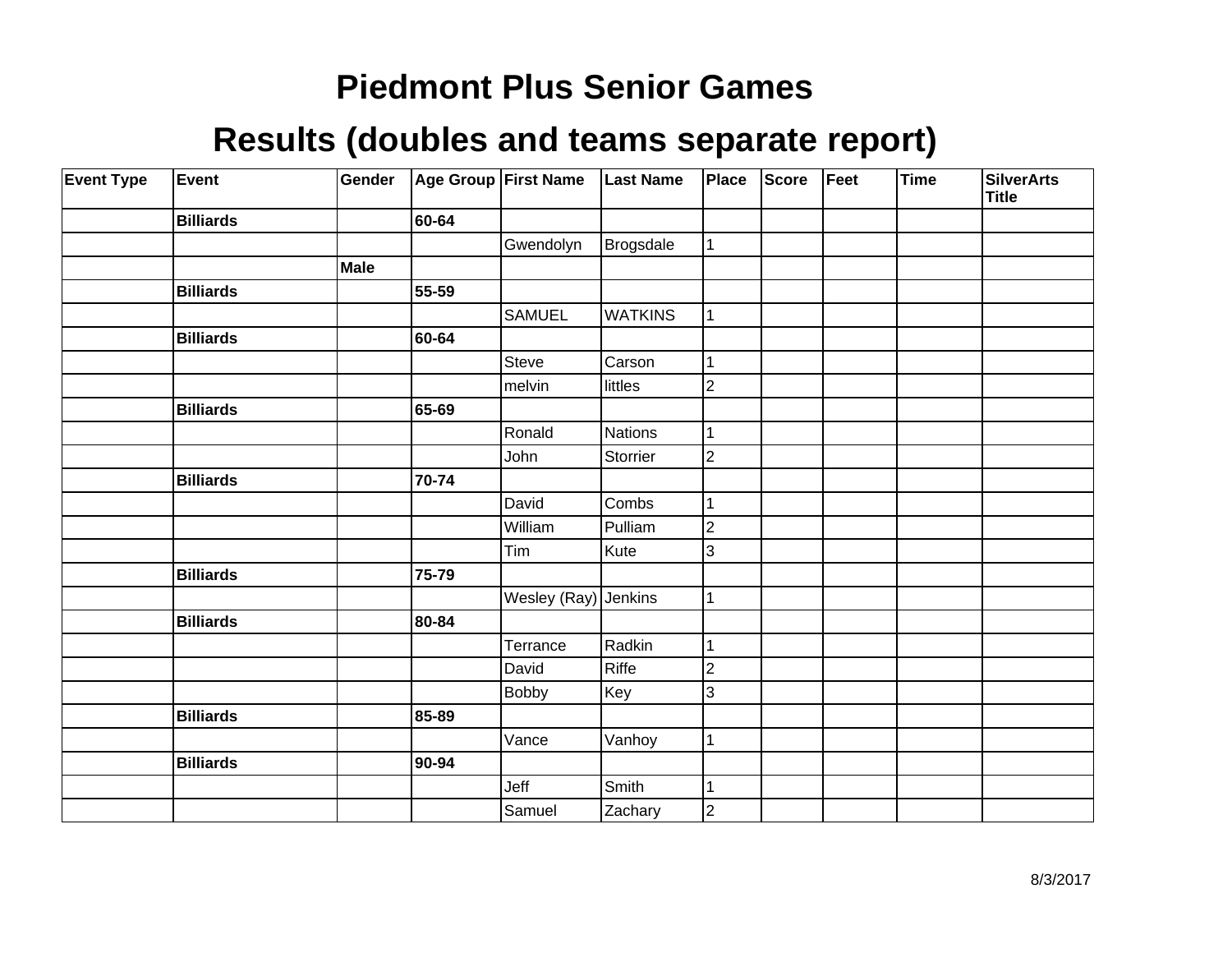| <b>Event Type</b> | Event            | Gender      |       | Age Group First Name | <b>Last Name</b> | Place          | <b>Score</b> | Feet | Time | <b>SilverArts</b><br><b>Title</b> |
|-------------------|------------------|-------------|-------|----------------------|------------------|----------------|--------------|------|------|-----------------------------------|
|                   | <b>Billiards</b> |             | 60-64 |                      |                  |                |              |      |      |                                   |
|                   |                  |             |       | Gwendolyn            | <b>Brogsdale</b> | $\mathbf 1$    |              |      |      |                                   |
|                   |                  | <b>Male</b> |       |                      |                  |                |              |      |      |                                   |
|                   | <b>Billiards</b> |             | 55-59 |                      |                  |                |              |      |      |                                   |
|                   |                  |             |       | <b>SAMUEL</b>        | <b>WATKINS</b>   | 1              |              |      |      |                                   |
|                   | <b>Billiards</b> |             | 60-64 |                      |                  |                |              |      |      |                                   |
|                   |                  |             |       | Steve                | Carson           | 1              |              |      |      |                                   |
|                   |                  |             |       | melvin               | littles          | $\overline{2}$ |              |      |      |                                   |
|                   | <b>Billiards</b> |             | 65-69 |                      |                  |                |              |      |      |                                   |
|                   |                  |             |       | Ronald               | Nations          | $\mathbf{1}$   |              |      |      |                                   |
|                   |                  |             |       | John                 | Storrier         | $\overline{c}$ |              |      |      |                                   |
|                   | <b>Billiards</b> |             | 70-74 |                      |                  |                |              |      |      |                                   |
|                   |                  |             |       | David                | Combs            | 1              |              |      |      |                                   |
|                   |                  |             |       | William              | Pulliam          | $\overline{2}$ |              |      |      |                                   |
|                   |                  |             |       | Tim                  | Kute             | 3              |              |      |      |                                   |
|                   | <b>Billiards</b> |             | 75-79 |                      |                  |                |              |      |      |                                   |
|                   |                  |             |       | Wesley (Ray) Jenkins |                  | $\mathbf 1$    |              |      |      |                                   |
|                   | <b>Billiards</b> |             | 80-84 |                      |                  |                |              |      |      |                                   |
|                   |                  |             |       | Terrance             | Radkin           | 1              |              |      |      |                                   |
|                   |                  |             |       | David                | Riffe            | $\overline{2}$ |              |      |      |                                   |
|                   |                  |             |       | <b>Bobby</b>         | Key              | 3              |              |      |      |                                   |
|                   | <b>Billiards</b> |             | 85-89 |                      |                  |                |              |      |      |                                   |
|                   |                  |             |       | Vance                | Vanhoy           | $\mathbf{1}$   |              |      |      |                                   |
|                   | <b>Billiards</b> |             | 90-94 |                      |                  |                |              |      |      |                                   |
|                   |                  |             |       | Jeff                 | Smith            | 1              |              |      |      |                                   |
|                   |                  |             |       | Samuel               | Zachary          | $\overline{2}$ |              |      |      |                                   |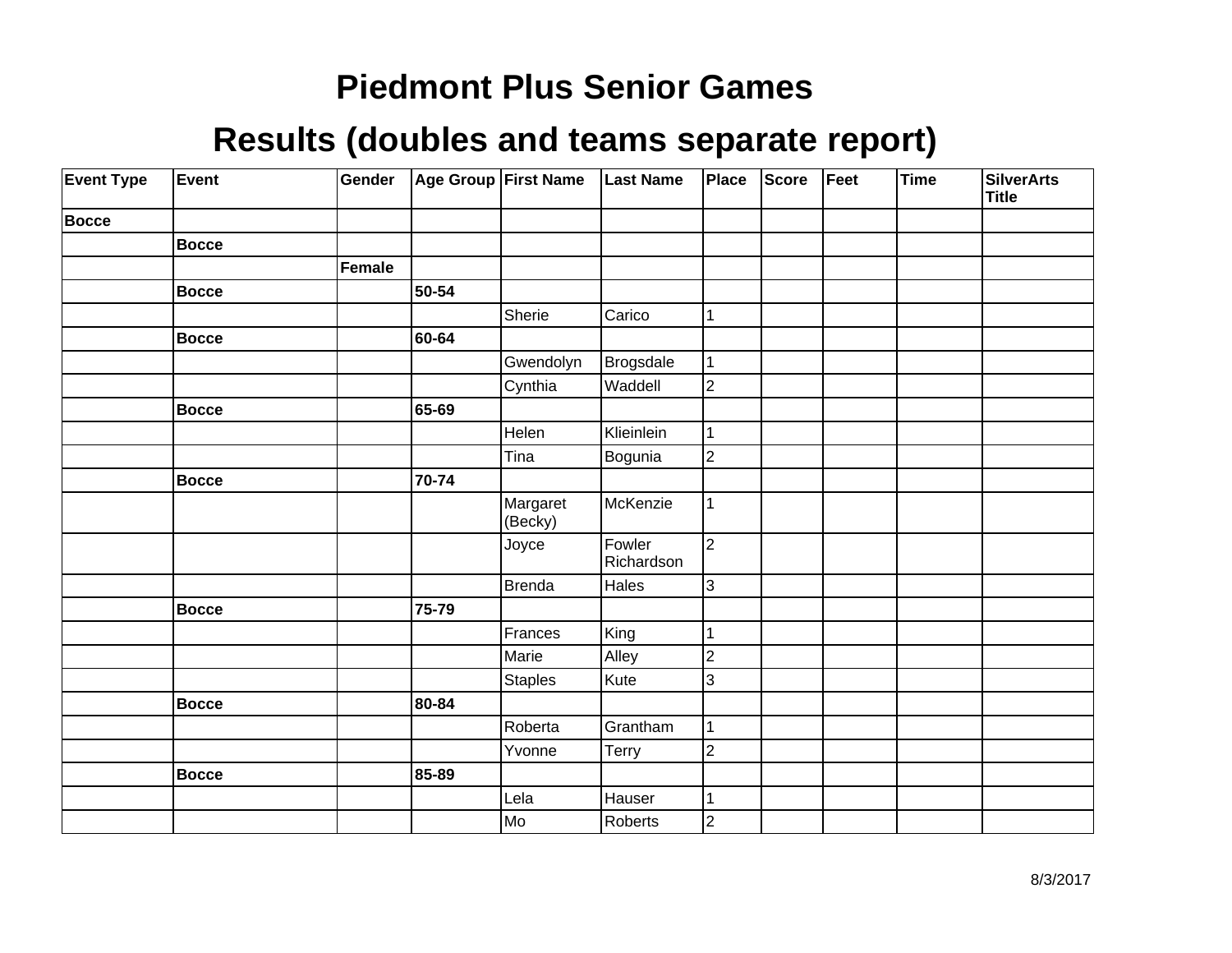| <b>Event Type</b> | Event        | Gender        |       | Age Group First Name | <b>Last Name</b>     | Place          | Score | Feet | Time | <b>SilverArts</b><br>Title |
|-------------------|--------------|---------------|-------|----------------------|----------------------|----------------|-------|------|------|----------------------------|
| <b>Bocce</b>      |              |               |       |                      |                      |                |       |      |      |                            |
|                   | <b>Bocce</b> |               |       |                      |                      |                |       |      |      |                            |
|                   |              | <b>Female</b> |       |                      |                      |                |       |      |      |                            |
|                   | <b>Bocce</b> |               | 50-54 |                      |                      |                |       |      |      |                            |
|                   |              |               |       | Sherie               | Carico               | 1              |       |      |      |                            |
|                   | <b>Bocce</b> |               | 60-64 |                      |                      |                |       |      |      |                            |
|                   |              |               |       | Gwendolyn            | Brogsdale            | 1              |       |      |      |                            |
|                   |              |               |       | Cynthia              | Waddell              | $\overline{a}$ |       |      |      |                            |
|                   | <b>Bocce</b> |               | 65-69 |                      |                      |                |       |      |      |                            |
|                   |              |               |       | Helen                | Klieinlein           | $\mathbf 1$    |       |      |      |                            |
|                   |              |               |       | Tina                 | Bogunia              | $\overline{2}$ |       |      |      |                            |
|                   | <b>Bocce</b> |               | 70-74 |                      |                      |                |       |      |      |                            |
|                   |              |               |       | Margaret<br>(Becky)  | McKenzie             | $\mathbf{1}$   |       |      |      |                            |
|                   |              |               |       | Joyce                | Fowler<br>Richardson | $\overline{2}$ |       |      |      |                            |
|                   |              |               |       | <b>Brenda</b>        | Hales                | 3              |       |      |      |                            |
|                   | Bocce        |               | 75-79 |                      |                      |                |       |      |      |                            |
|                   |              |               |       | Frances              | King                 | 1              |       |      |      |                            |
|                   |              |               |       | Marie                | Alley                | $\overline{c}$ |       |      |      |                            |
|                   |              |               |       | <b>Staples</b>       | Kute                 | 3              |       |      |      |                            |
|                   | <b>Bocce</b> |               | 80-84 |                      |                      |                |       |      |      |                            |
|                   |              |               |       | Roberta              | Grantham             | 1              |       |      |      |                            |
|                   |              |               |       | Yvonne               | Terry                | $\overline{2}$ |       |      |      |                            |
|                   | <b>Bocce</b> |               | 85-89 |                      |                      |                |       |      |      |                            |
|                   |              |               |       | Lela                 | Hauser               | $\mathbf 1$    |       |      |      |                            |
|                   |              |               |       | Mo]                  | Roberts              | $\overline{2}$ |       |      |      |                            |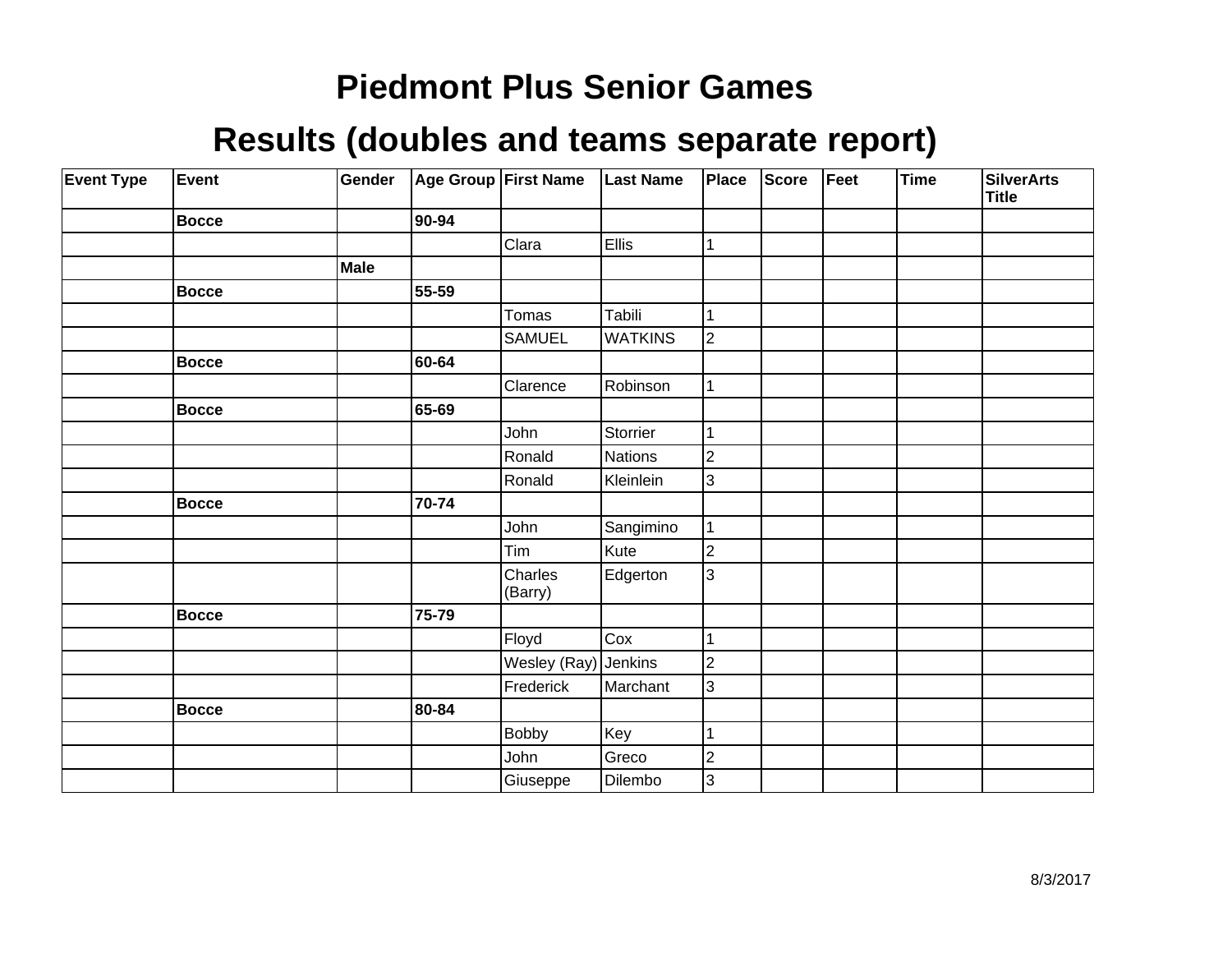| <b>Event Type</b> | Event        | Gender      | Age Group First Name |                    | <b>Last Name</b> | Place                   | Score | Feet | <b>Time</b> | <b>SilverArts</b><br><b>Title</b> |
|-------------------|--------------|-------------|----------------------|--------------------|------------------|-------------------------|-------|------|-------------|-----------------------------------|
|                   | <b>Bocce</b> |             | 90-94                |                    |                  |                         |       |      |             |                                   |
|                   |              |             |                      | Clara              | <b>Ellis</b>     | 1                       |       |      |             |                                   |
|                   |              | <b>Male</b> |                      |                    |                  |                         |       |      |             |                                   |
|                   | <b>Bocce</b> |             | 55-59                |                    |                  |                         |       |      |             |                                   |
|                   |              |             |                      | Tomas              | Tabili           |                         |       |      |             |                                   |
|                   |              |             |                      | SAMUEL             | <b>WATKINS</b>   | $\overline{2}$          |       |      |             |                                   |
|                   | <b>Bocce</b> |             | 60-64                |                    |                  |                         |       |      |             |                                   |
|                   |              |             |                      | Clarence           | Robinson         |                         |       |      |             |                                   |
|                   | <b>Bocce</b> |             | 65-69                |                    |                  |                         |       |      |             |                                   |
|                   |              |             |                      | John               | Storrier         |                         |       |      |             |                                   |
|                   |              |             |                      | Ronald             | Nations          | $\overline{c}$          |       |      |             |                                   |
|                   |              |             |                      | Ronald             | Kleinlein        | 3                       |       |      |             |                                   |
|                   | <b>Bocce</b> |             | 70-74                |                    |                  |                         |       |      |             |                                   |
|                   |              |             |                      | John               | Sangimino        |                         |       |      |             |                                   |
|                   |              |             |                      | Tim                | Kute             | $\overline{\mathbf{c}}$ |       |      |             |                                   |
|                   |              |             |                      | Charles<br>(Barry) | Edgerton         | $\overline{3}$          |       |      |             |                                   |
|                   | <b>Bocce</b> |             | 75-79                |                    |                  |                         |       |      |             |                                   |
|                   |              |             |                      | Floyd              | Cox              |                         |       |      |             |                                   |
|                   |              |             |                      | Wesley (Ray)       | Jenkins          | $\overline{2}$          |       |      |             |                                   |
|                   |              |             |                      | Frederick          | Marchant         | 3                       |       |      |             |                                   |
|                   | <b>Bocce</b> |             | 80-84                |                    |                  |                         |       |      |             |                                   |
|                   |              |             |                      | <b>Bobby</b>       | Key              | 1                       |       |      |             |                                   |
|                   |              |             |                      | John               | Greco            | 2                       |       |      |             |                                   |
|                   |              |             |                      | Giuseppe           | Dilembo          | 3                       |       |      |             |                                   |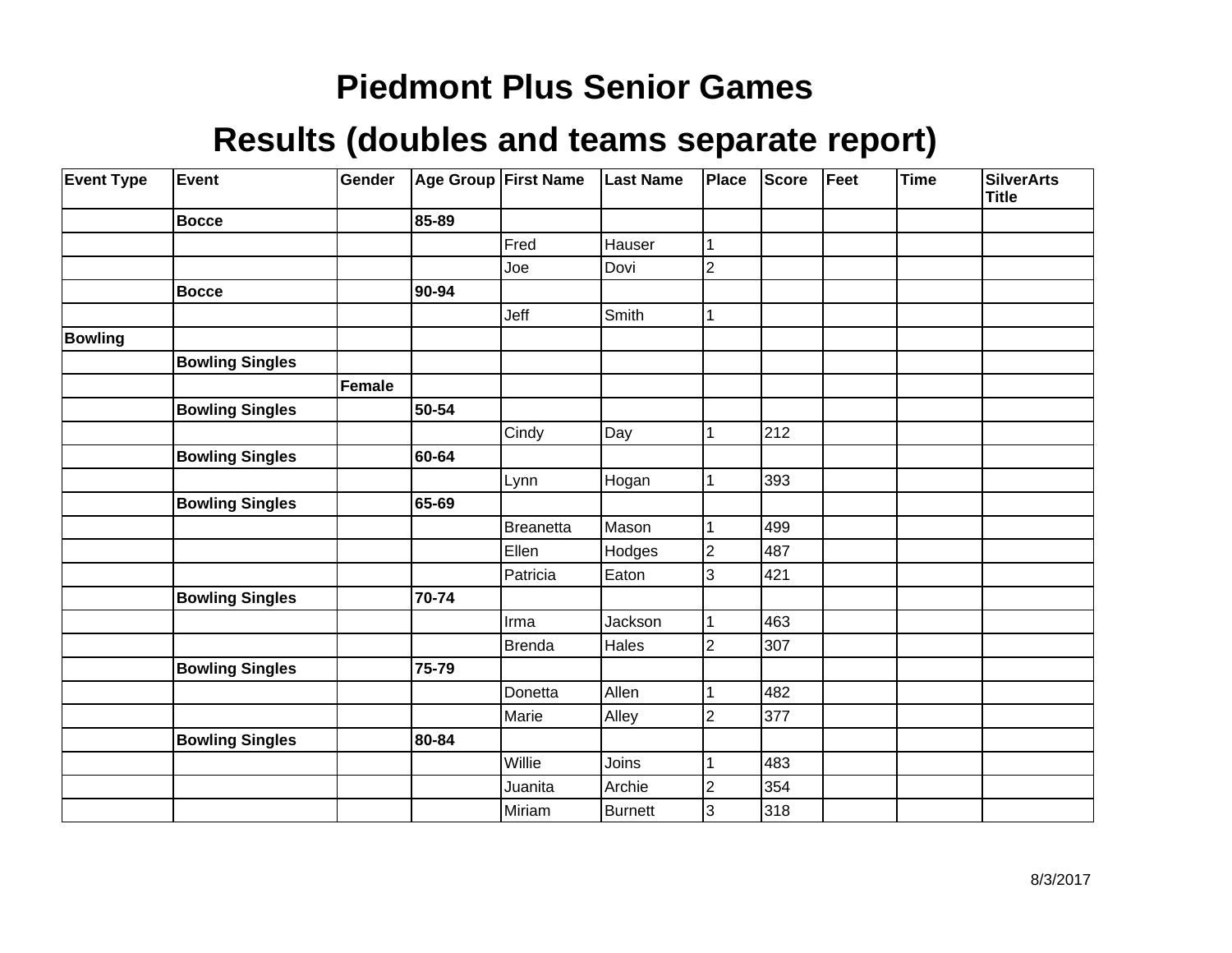| <b>Event Type</b> | Event                  | Gender |       | Age Group First Name | <b>Last Name</b> | Place          | <b>Score</b> | Feet | <b>Time</b> | <b>SilverArts</b><br><b>Title</b> |
|-------------------|------------------------|--------|-------|----------------------|------------------|----------------|--------------|------|-------------|-----------------------------------|
|                   | <b>Bocce</b>           |        | 85-89 |                      |                  |                |              |      |             |                                   |
|                   |                        |        |       | Fred                 | Hauser           | 1              |              |      |             |                                   |
|                   |                        |        |       | Joe                  | Dovi             | 2              |              |      |             |                                   |
|                   | <b>Bocce</b>           |        | 90-94 |                      |                  |                |              |      |             |                                   |
|                   |                        |        |       | Jeff                 | Smith            | 1              |              |      |             |                                   |
| <b>Bowling</b>    |                        |        |       |                      |                  |                |              |      |             |                                   |
|                   | <b>Bowling Singles</b> |        |       |                      |                  |                |              |      |             |                                   |
|                   |                        | Female |       |                      |                  |                |              |      |             |                                   |
|                   | <b>Bowling Singles</b> |        | 50-54 |                      |                  |                |              |      |             |                                   |
|                   |                        |        |       | Cindy                | Day              | 1              | 212          |      |             |                                   |
|                   | <b>Bowling Singles</b> |        | 60-64 |                      |                  |                |              |      |             |                                   |
|                   |                        |        |       | Lynn                 | Hogan            | 1              | 393          |      |             |                                   |
|                   | <b>Bowling Singles</b> |        | 65-69 |                      |                  |                |              |      |             |                                   |
|                   |                        |        |       | <b>Breanetta</b>     | Mason            |                | 499          |      |             |                                   |
|                   |                        |        |       | Ellen                | Hodges           | $\overline{2}$ | 487          |      |             |                                   |
|                   |                        |        |       | Patricia             | Eaton            | 3              | 421          |      |             |                                   |
|                   | <b>Bowling Singles</b> |        | 70-74 |                      |                  |                |              |      |             |                                   |
|                   |                        |        |       | Irma                 | Jackson          |                | 463          |      |             |                                   |
|                   |                        |        |       | <b>Brenda</b>        | Hales            | $\overline{2}$ | 307          |      |             |                                   |
|                   | <b>Bowling Singles</b> |        | 75-79 |                      |                  |                |              |      |             |                                   |
|                   |                        |        |       | Donetta              | Allen            |                | 482          |      |             |                                   |
|                   |                        |        |       | Marie                | Alley            | $\overline{2}$ | 377          |      |             |                                   |
|                   | <b>Bowling Singles</b> |        | 80-84 |                      |                  |                |              |      |             |                                   |
|                   |                        |        |       | Willie               | Joins            |                | 483          |      |             |                                   |
|                   |                        |        |       | Juanita              | Archie           | $\overline{2}$ | 354          |      |             |                                   |
|                   |                        |        |       | Miriam               | <b>Burnett</b>   | 3              | 318          |      |             |                                   |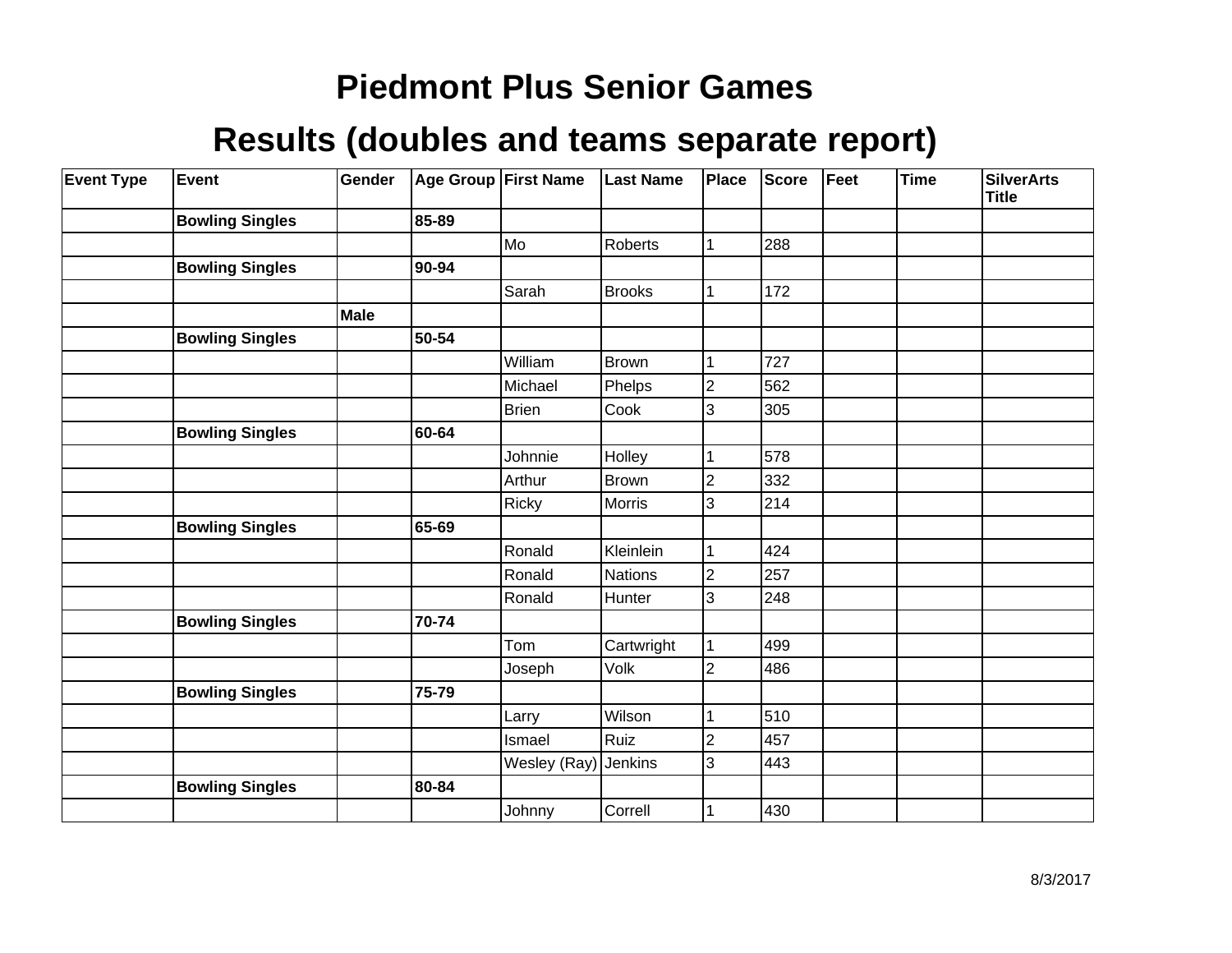| <b>Event Type</b> | <b>Event</b>           | Gender |       | Age Group First Name | <b>Last Name</b> | Place          | Score | Feet | <b>Time</b> | <b>SilverArts</b><br><b>Title</b> |
|-------------------|------------------------|--------|-------|----------------------|------------------|----------------|-------|------|-------------|-----------------------------------|
|                   | <b>Bowling Singles</b> |        | 85-89 |                      |                  |                |       |      |             |                                   |
|                   |                        |        |       | Mo                   | Roberts          | 1              | 288   |      |             |                                   |
|                   | <b>Bowling Singles</b> |        | 90-94 |                      |                  |                |       |      |             |                                   |
|                   |                        |        |       | Sarah                | Brooks           | 1              | 172   |      |             |                                   |
|                   |                        | Male   |       |                      |                  |                |       |      |             |                                   |
|                   | <b>Bowling Singles</b> |        | 50-54 |                      |                  |                |       |      |             |                                   |
|                   |                        |        |       | William              | <b>Brown</b>     |                | 727   |      |             |                                   |
|                   |                        |        |       | Michael              | Phelps           | $\overline{2}$ | 562   |      |             |                                   |
|                   |                        |        |       | <b>Brien</b>         | Cook             | 3              | 305   |      |             |                                   |
|                   | <b>Bowling Singles</b> |        | 60-64 |                      |                  |                |       |      |             |                                   |
|                   |                        |        |       | Johnnie              | Holley           |                | 578   |      |             |                                   |
|                   |                        |        |       | Arthur               | Brown            | $\overline{2}$ | 332   |      |             |                                   |
|                   |                        |        |       | <b>Ricky</b>         | <b>Morris</b>    | 3              | 214   |      |             |                                   |
|                   | <b>Bowling Singles</b> |        | 65-69 |                      |                  |                |       |      |             |                                   |
|                   |                        |        |       | Ronald               | Kleinlein        |                | 424   |      |             |                                   |
|                   |                        |        |       | Ronald               | Nations          | $\overline{2}$ | 257   |      |             |                                   |
|                   |                        |        |       | Ronald               | Hunter           | 3              | 248   |      |             |                                   |
|                   | <b>Bowling Singles</b> |        | 70-74 |                      |                  |                |       |      |             |                                   |
|                   |                        |        |       | Tom                  | Cartwright       | 1              | 499   |      |             |                                   |
|                   |                        |        |       | Joseph               | Volk             | 2              | 486   |      |             |                                   |
|                   | <b>Bowling Singles</b> |        | 75-79 |                      |                  |                |       |      |             |                                   |
|                   |                        |        |       | Larry                | Wilson           |                | 510   |      |             |                                   |
|                   |                        |        |       | Ismael               | Ruiz             | 2              | 457   |      |             |                                   |
|                   |                        |        |       | Wesley (Ray)         | Jenkins          | 3              | 443   |      |             |                                   |
|                   | <b>Bowling Singles</b> |        | 80-84 |                      |                  |                |       |      |             |                                   |
|                   |                        |        |       | Johnny               | Correll          |                | 430   |      |             |                                   |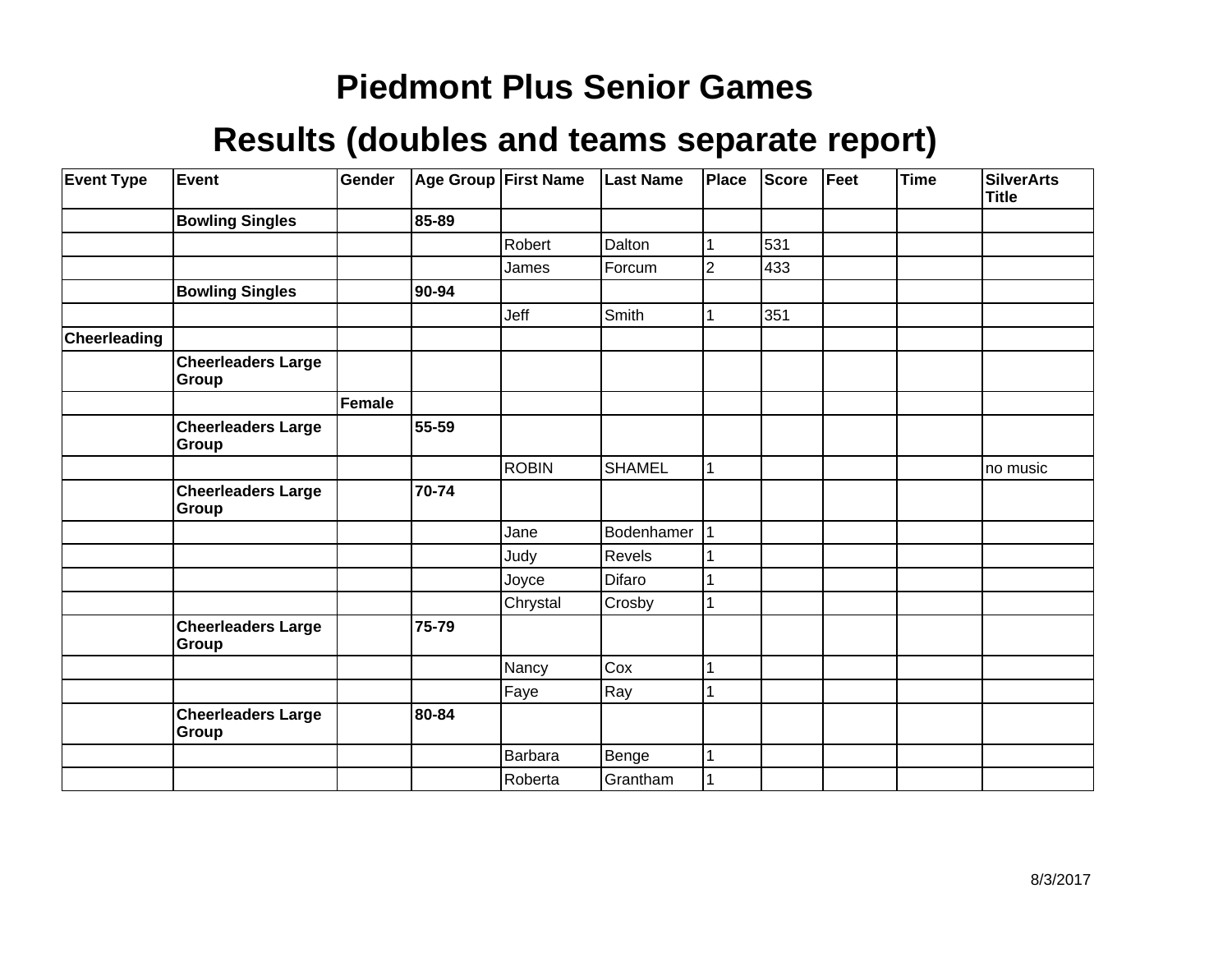| <b>Event Type</b> | <b>Event</b>                       | Gender |       | Age Group First Name | <b>Last Name</b> | <b>Place</b>   | <b>Score</b> | Feet | <b>Time</b> | <b>SilverArts</b><br><b>Title</b> |
|-------------------|------------------------------------|--------|-------|----------------------|------------------|----------------|--------------|------|-------------|-----------------------------------|
|                   | <b>Bowling Singles</b>             |        | 85-89 |                      |                  |                |              |      |             |                                   |
|                   |                                    |        |       | Robert               | Dalton           |                | 531          |      |             |                                   |
|                   |                                    |        |       | James                | Forcum           | $\overline{2}$ | 433          |      |             |                                   |
|                   | <b>Bowling Singles</b>             |        | 90-94 |                      |                  |                |              |      |             |                                   |
|                   |                                    |        |       | Jeff                 | Smith            |                | 351          |      |             |                                   |
| Cheerleading      |                                    |        |       |                      |                  |                |              |      |             |                                   |
|                   | <b>Cheerleaders Large</b><br>Group |        |       |                      |                  |                |              |      |             |                                   |
|                   |                                    | Female |       |                      |                  |                |              |      |             |                                   |
|                   | <b>Cheerleaders Large</b><br>Group |        | 55-59 |                      |                  |                |              |      |             |                                   |
|                   |                                    |        |       | <b>ROBIN</b>         | <b>SHAMEL</b>    |                |              |      |             | no music                          |
|                   | <b>Cheerleaders Large</b><br>Group |        | 70-74 |                      |                  |                |              |      |             |                                   |
|                   |                                    |        |       | Jane                 | Bodenhamer       |                |              |      |             |                                   |
|                   |                                    |        |       | Judy                 | Revels           |                |              |      |             |                                   |
|                   |                                    |        |       | Joyce                | Difaro           |                |              |      |             |                                   |
|                   |                                    |        |       | Chrystal             | Crosby           |                |              |      |             |                                   |
|                   | <b>Cheerleaders Large</b><br>Group |        | 75-79 |                      |                  |                |              |      |             |                                   |
|                   |                                    |        |       | Nancy                | Cox              |                |              |      |             |                                   |
|                   |                                    |        |       | Faye                 | Ray              |                |              |      |             |                                   |
|                   | <b>Cheerleaders Large</b><br>Group |        | 80-84 |                      |                  |                |              |      |             |                                   |
|                   |                                    |        |       | <b>Barbara</b>       | Benge            |                |              |      |             |                                   |
|                   |                                    |        |       | Roberta              | Grantham         |                |              |      |             |                                   |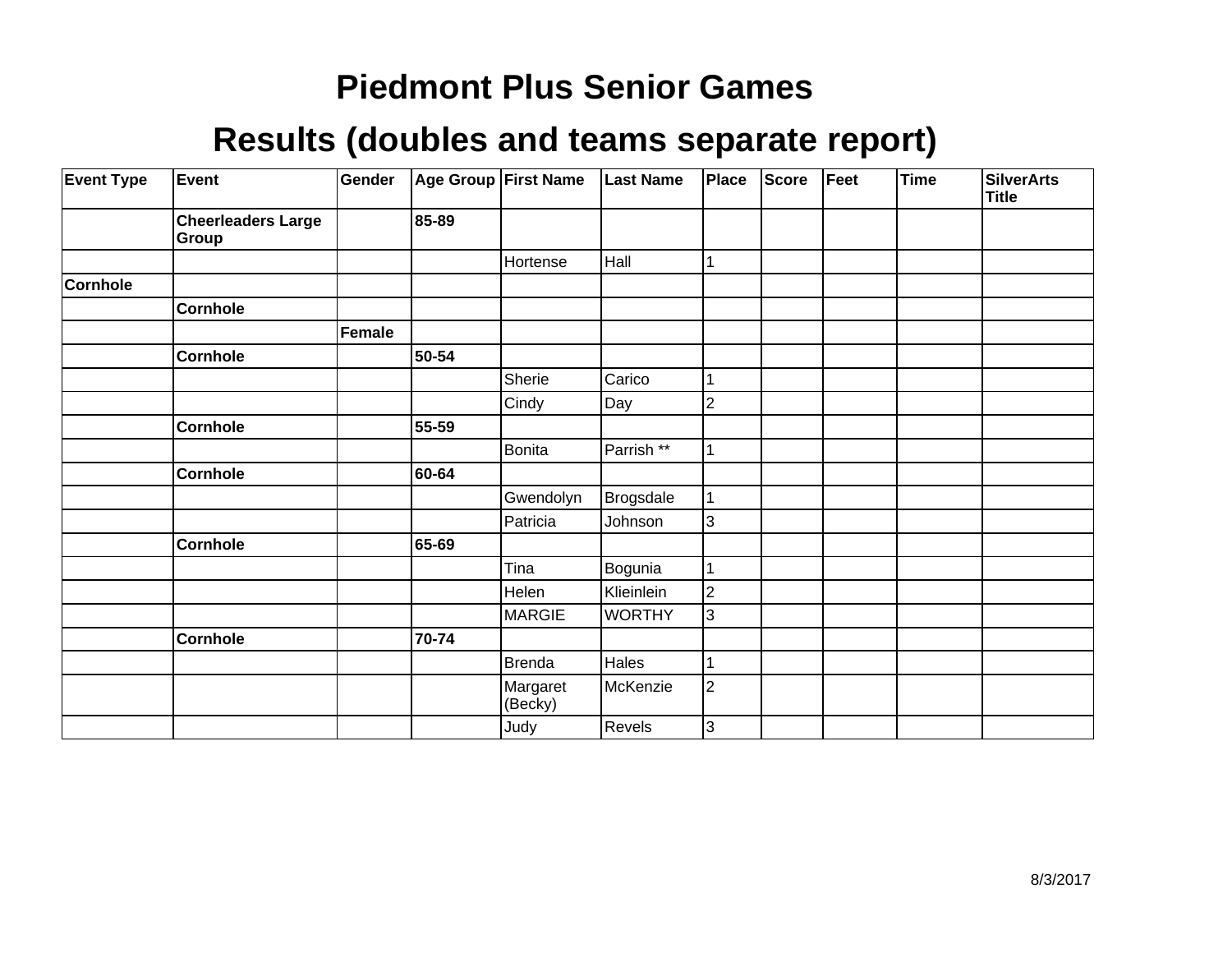| <b>Event Type</b> | <b>Event</b>                       | Gender |       | Age Group First Name | <b>Last Name</b> | Place          | <b>Score</b> | Feet | Time | <b>SilverArts</b><br><b>Title</b> |
|-------------------|------------------------------------|--------|-------|----------------------|------------------|----------------|--------------|------|------|-----------------------------------|
|                   | <b>Cheerleaders Large</b><br>Group |        | 85-89 |                      |                  |                |              |      |      |                                   |
|                   |                                    |        |       | Hortense             | Hall             |                |              |      |      |                                   |
| Cornhole          |                                    |        |       |                      |                  |                |              |      |      |                                   |
|                   | <b>Cornhole</b>                    |        |       |                      |                  |                |              |      |      |                                   |
|                   |                                    | Female |       |                      |                  |                |              |      |      |                                   |
|                   | <b>Cornhole</b>                    |        | 50-54 |                      |                  |                |              |      |      |                                   |
|                   |                                    |        |       | Sherie               | Carico           |                |              |      |      |                                   |
|                   |                                    |        |       | Cindy                | Day              | $\overline{2}$ |              |      |      |                                   |
|                   | <b>Cornhole</b>                    |        | 55-59 |                      |                  |                |              |      |      |                                   |
|                   |                                    |        |       | <b>Bonita</b>        | Parrish **       |                |              |      |      |                                   |
|                   | <b>Cornhole</b>                    |        | 60-64 |                      |                  |                |              |      |      |                                   |
|                   |                                    |        |       | Gwendolyn            | <b>Brogsdale</b> |                |              |      |      |                                   |
|                   |                                    |        |       | Patricia             | Johnson          | 3              |              |      |      |                                   |
|                   | <b>Cornhole</b>                    |        | 65-69 |                      |                  |                |              |      |      |                                   |
|                   |                                    |        |       | Tina                 | Bogunia          |                |              |      |      |                                   |
|                   |                                    |        |       | Helen                | Klieinlein       | 2              |              |      |      |                                   |
|                   |                                    |        |       | MARGIE               | <b>WORTHY</b>    | 3              |              |      |      |                                   |
|                   | <b>Cornhole</b>                    |        | 70-74 |                      |                  |                |              |      |      |                                   |
|                   |                                    |        |       | Brenda               | Hales            |                |              |      |      |                                   |
|                   |                                    |        |       | Margaret<br>(Becky)  | McKenzie         | $\overline{2}$ |              |      |      |                                   |
|                   |                                    |        |       | Judy                 | Revels           | 3              |              |      |      |                                   |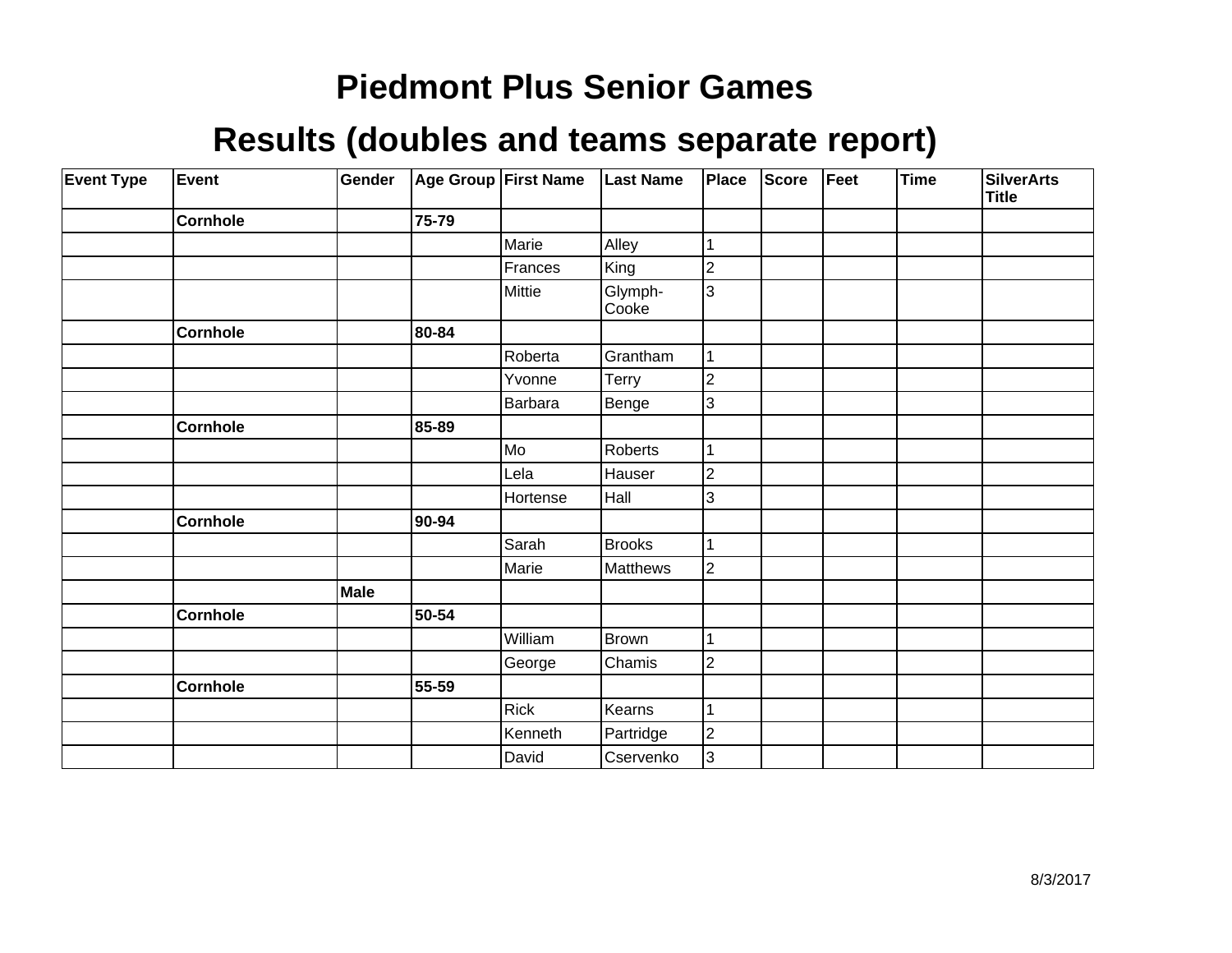| <b>Event Type</b> | <b>Event</b>    | Gender |       | Age Group First Name | <b>Last Name</b> | Place                   | <b>Score</b> | Feet | Time | <b>SilverArts</b><br>Title |
|-------------------|-----------------|--------|-------|----------------------|------------------|-------------------------|--------------|------|------|----------------------------|
|                   | <b>Cornhole</b> |        | 75-79 |                      |                  |                         |              |      |      |                            |
|                   |                 |        |       | Marie                | Alley            |                         |              |      |      |                            |
|                   |                 |        |       | Frances              | King             | $\overline{2}$          |              |      |      |                            |
|                   |                 |        |       | Mittie               | Glymph-<br>Cooke | 3                       |              |      |      |                            |
|                   | <b>Cornhole</b> |        | 80-84 |                      |                  |                         |              |      |      |                            |
|                   |                 |        |       | Roberta              | Grantham         |                         |              |      |      |                            |
|                   |                 |        |       | Yvonne               | Terry            | $\overline{\mathbf{c}}$ |              |      |      |                            |
|                   |                 |        |       | Barbara              | Benge            | 3                       |              |      |      |                            |
|                   | <b>Cornhole</b> |        | 85-89 |                      |                  |                         |              |      |      |                            |
|                   |                 |        |       | Mo                   | Roberts          |                         |              |      |      |                            |
|                   |                 |        |       | Lela                 | Hauser           | $\overline{2}$          |              |      |      |                            |
|                   |                 |        |       | Hortense             | Hall             | 3                       |              |      |      |                            |
|                   | <b>Cornhole</b> |        | 90-94 |                      |                  |                         |              |      |      |                            |
|                   |                 |        |       | Sarah                | <b>Brooks</b>    |                         |              |      |      |                            |
|                   |                 |        |       | Marie                | Matthews         | $\mathbf 2$             |              |      |      |                            |
|                   |                 | Male   |       |                      |                  |                         |              |      |      |                            |
|                   | <b>Cornhole</b> |        | 50-54 |                      |                  |                         |              |      |      |                            |
|                   |                 |        |       | William              | <b>Brown</b>     |                         |              |      |      |                            |
|                   |                 |        |       | George               | Chamis           | $\overline{2}$          |              |      |      |                            |
|                   | <b>Cornhole</b> |        | 55-59 |                      |                  |                         |              |      |      |                            |
|                   |                 |        |       | <b>Rick</b>          | Kearns           |                         |              |      |      |                            |
|                   |                 |        |       | Kenneth              | Partridge        | $\overline{2}$          |              |      |      |                            |
|                   |                 |        |       | David                | Cservenko        | 3                       |              |      |      |                            |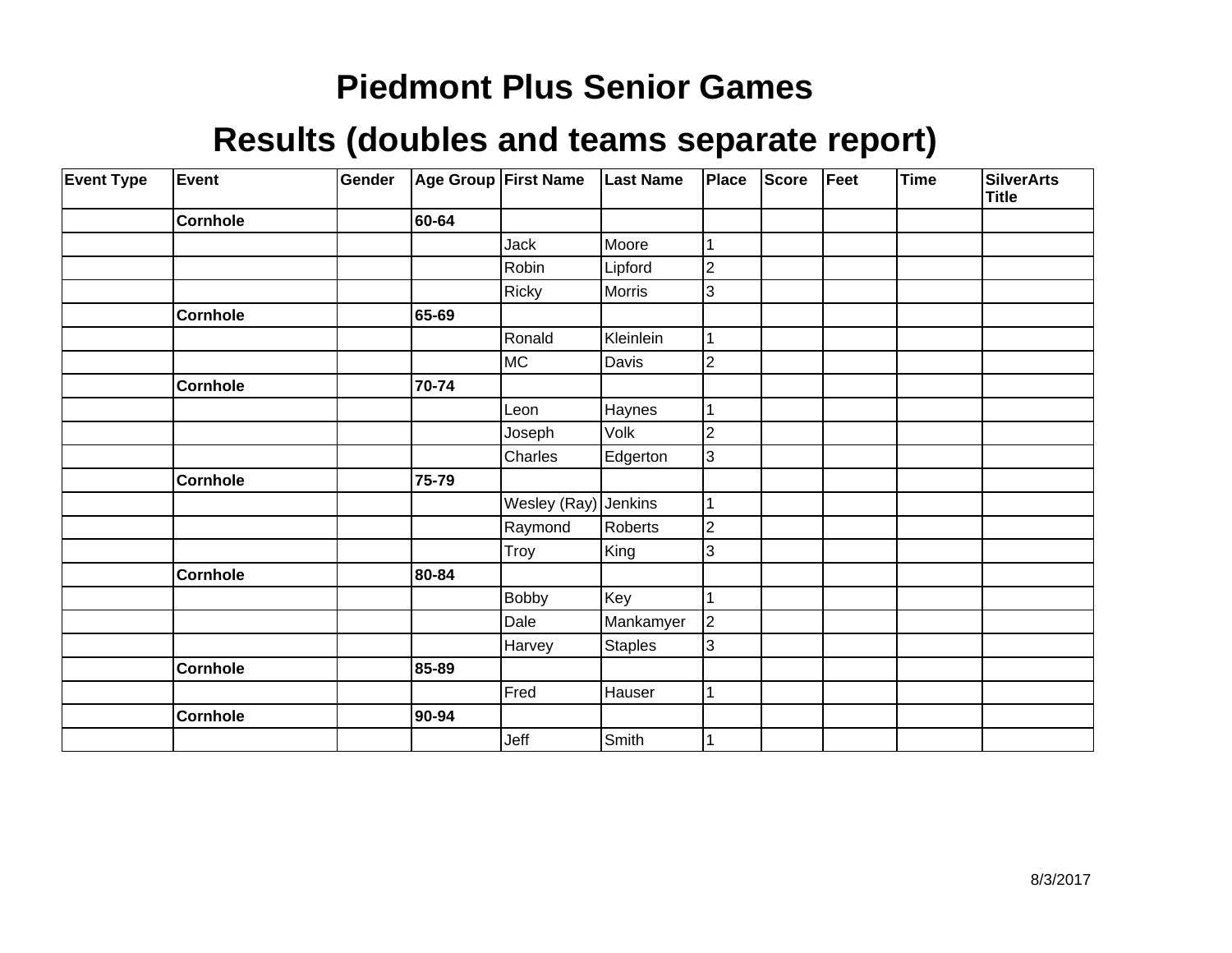| <b>Event Type</b> | <b>Event</b>    | Gender |       | Age Group First Name | <b>Last Name</b> | Place                   | <b>Score</b> | Feet | Time | <b>SilverArts</b><br><b>Title</b> |
|-------------------|-----------------|--------|-------|----------------------|------------------|-------------------------|--------------|------|------|-----------------------------------|
|                   | <b>Cornhole</b> |        | 60-64 |                      |                  |                         |              |      |      |                                   |
|                   |                 |        |       | Jack                 | Moore            |                         |              |      |      |                                   |
|                   |                 |        |       | Robin                | Lipford          | $\overline{2}$          |              |      |      |                                   |
|                   |                 |        |       | Ricky                | Morris           | 3                       |              |      |      |                                   |
|                   | <b>Cornhole</b> |        | 65-69 |                      |                  |                         |              |      |      |                                   |
|                   |                 |        |       | Ronald               | Kleinlein        |                         |              |      |      |                                   |
|                   |                 |        |       | MC                   | Davis            | $\overline{2}$          |              |      |      |                                   |
|                   | <b>Cornhole</b> |        | 70-74 |                      |                  |                         |              |      |      |                                   |
|                   |                 |        |       | Leon                 | Haynes           |                         |              |      |      |                                   |
|                   |                 |        |       | Joseph               | Volk             | 2                       |              |      |      |                                   |
|                   |                 |        |       | Charles              | Edgerton         | 3                       |              |      |      |                                   |
|                   | <b>Cornhole</b> |        | 75-79 |                      |                  |                         |              |      |      |                                   |
|                   |                 |        |       | Wesley (Ray)         | Jenkins          |                         |              |      |      |                                   |
|                   |                 |        |       | Raymond              | Roberts          | 2                       |              |      |      |                                   |
|                   |                 |        |       | Troy                 | King             | 3                       |              |      |      |                                   |
|                   | <b>Cornhole</b> |        | 80-84 |                      |                  |                         |              |      |      |                                   |
|                   |                 |        |       | <b>Bobby</b>         | Key              |                         |              |      |      |                                   |
|                   |                 |        |       | Dale                 | Mankamyer        | $\overline{\mathbf{c}}$ |              |      |      |                                   |
|                   |                 |        |       | Harvey               | Staples          | 3                       |              |      |      |                                   |
|                   | <b>Cornhole</b> |        | 85-89 |                      |                  |                         |              |      |      |                                   |
|                   |                 |        |       | Fred                 | Hauser           |                         |              |      |      |                                   |
|                   | <b>Cornhole</b> |        | 90-94 |                      |                  |                         |              |      |      |                                   |
|                   |                 |        |       | Jeff                 | Smith            |                         |              |      |      |                                   |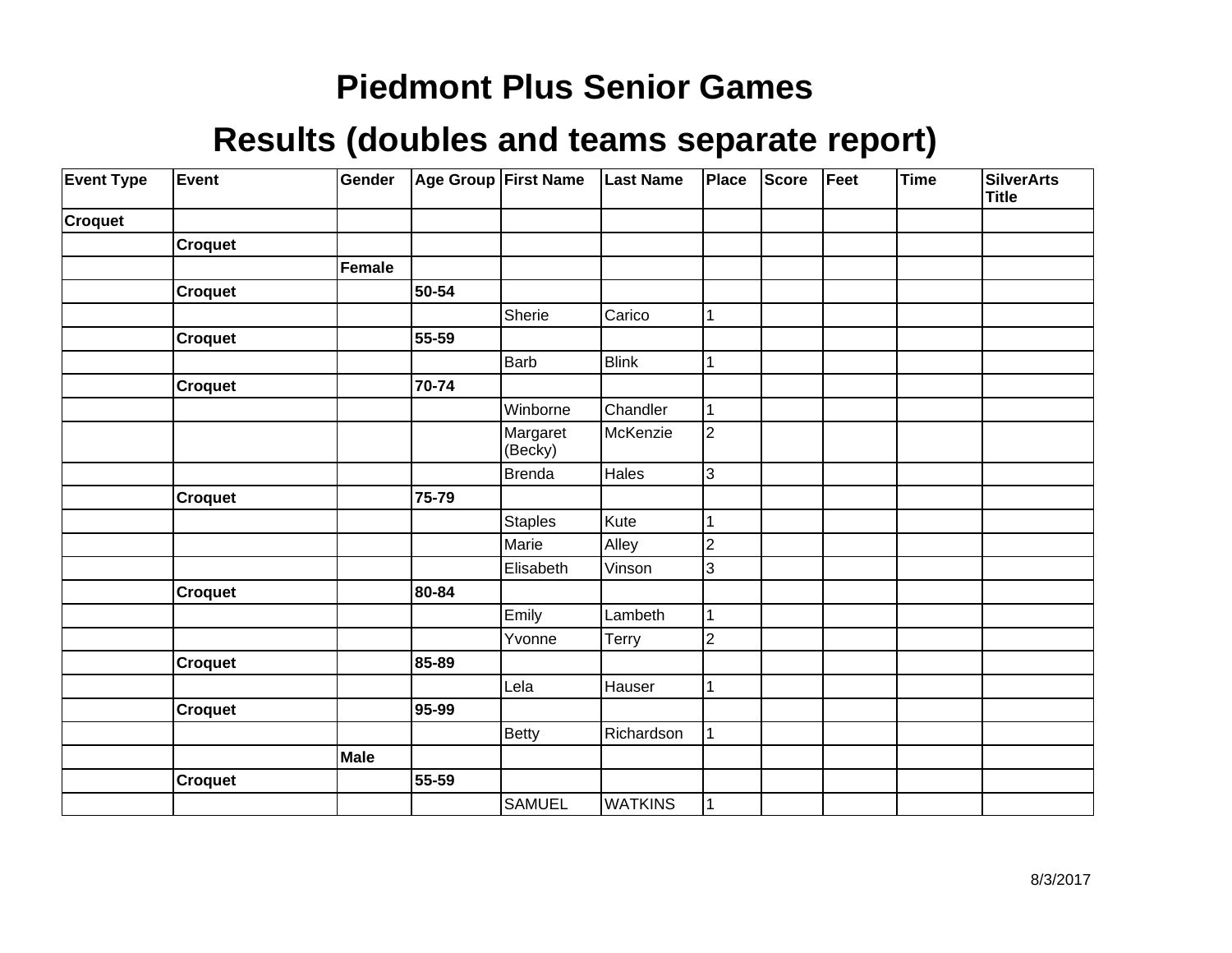| <b>Event Type</b> | Event          | Gender        |       | Age Group First Name | <b>Last Name</b> | Place          | Score | Feet | Time | <b>SilverArts</b><br><b>Title</b> |
|-------------------|----------------|---------------|-------|----------------------|------------------|----------------|-------|------|------|-----------------------------------|
| <b>Croquet</b>    |                |               |       |                      |                  |                |       |      |      |                                   |
|                   | <b>Croquet</b> |               |       |                      |                  |                |       |      |      |                                   |
|                   |                | <b>Female</b> |       |                      |                  |                |       |      |      |                                   |
|                   | Croquet        |               | 50-54 |                      |                  |                |       |      |      |                                   |
|                   |                |               |       | Sherie               | Carico           | 1              |       |      |      |                                   |
|                   | <b>Croquet</b> |               | 55-59 |                      |                  |                |       |      |      |                                   |
|                   |                |               |       | Barb                 | <b>Blink</b>     | 1              |       |      |      |                                   |
|                   | <b>Croquet</b> |               | 70-74 |                      |                  |                |       |      |      |                                   |
|                   |                |               |       | Winborne             | Chandler         | $\mathbf 1$    |       |      |      |                                   |
|                   |                |               |       | Margaret<br>(Becky)  | McKenzie         | $\overline{2}$ |       |      |      |                                   |
|                   |                |               |       | <b>Brenda</b>        | Hales            | 3              |       |      |      |                                   |
|                   | <b>Croquet</b> |               | 75-79 |                      |                  |                |       |      |      |                                   |
|                   |                |               |       | <b>Staples</b>       | Kute             | 1              |       |      |      |                                   |
|                   |                |               |       | Marie                | Alley            | $\overline{c}$ |       |      |      |                                   |
|                   |                |               |       | Elisabeth            | Vinson           | 3              |       |      |      |                                   |
|                   | Croquet        |               | 80-84 |                      |                  |                |       |      |      |                                   |
|                   |                |               |       | Emily                | Lambeth          | 1              |       |      |      |                                   |
|                   |                |               |       | Yvonne               | Terry            | $\overline{2}$ |       |      |      |                                   |
|                   | <b>Croquet</b> |               | 85-89 |                      |                  |                |       |      |      |                                   |
|                   |                |               |       | Lela                 | Hauser           | 1              |       |      |      |                                   |
|                   | <b>Croquet</b> |               | 95-99 |                      |                  |                |       |      |      |                                   |
|                   |                |               |       | <b>Betty</b>         | Richardson       | 1              |       |      |      |                                   |
|                   |                | Male          |       |                      |                  |                |       |      |      |                                   |
|                   | <b>Croquet</b> |               | 55-59 |                      |                  |                |       |      |      |                                   |
|                   |                |               |       | <b>SAMUEL</b>        | <b>WATKINS</b>   | 1              |       |      |      |                                   |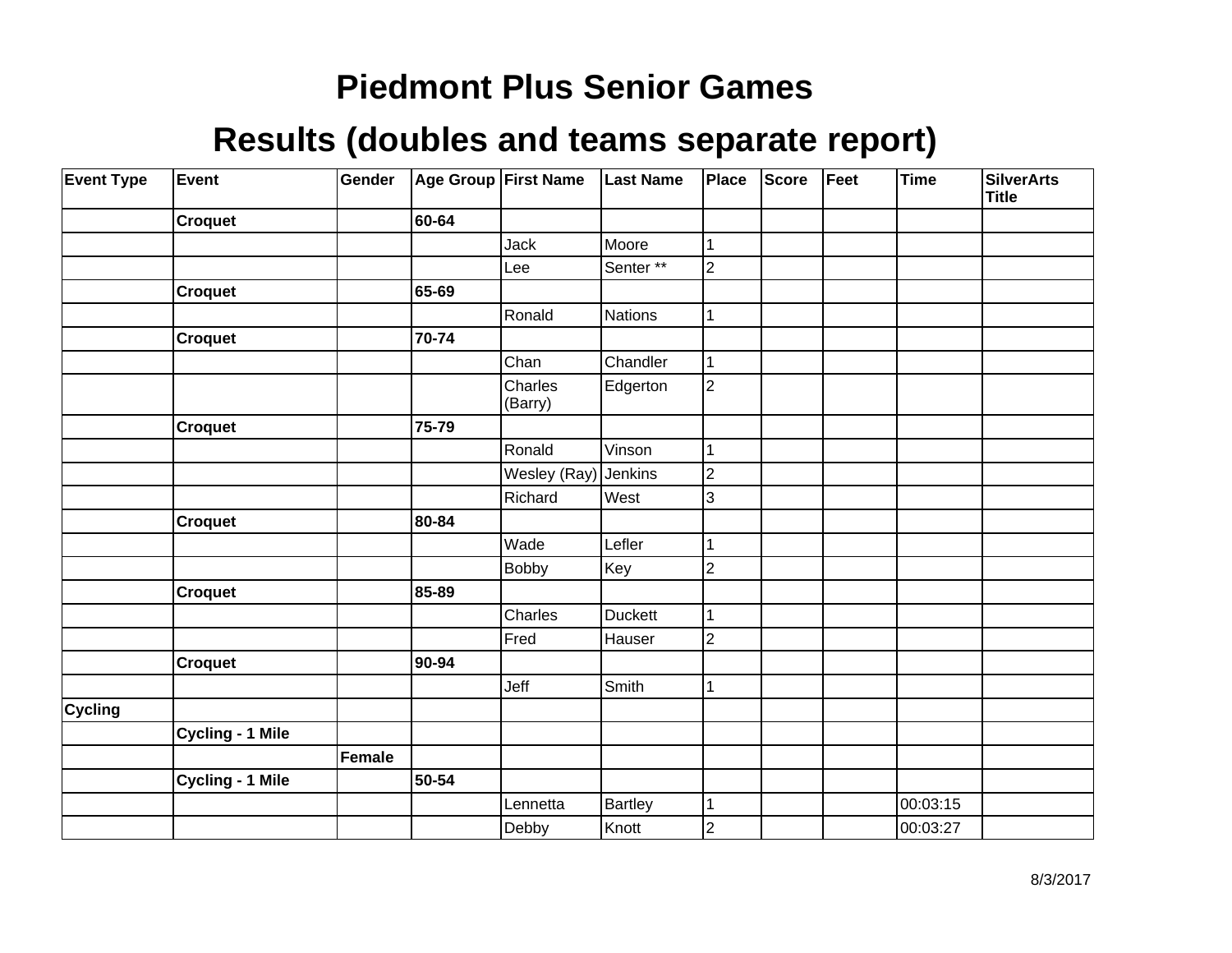| <b>Event Type</b> | Event                   | Gender |       | Age Group First Name | <b>Last Name</b> | Place          | <b>Score</b> | Feet | <b>Time</b> | <b>SilverArts</b><br><b>Title</b> |
|-------------------|-------------------------|--------|-------|----------------------|------------------|----------------|--------------|------|-------------|-----------------------------------|
|                   | Croquet                 |        | 60-64 |                      |                  |                |              |      |             |                                   |
|                   |                         |        |       | <b>Jack</b>          | Moore            | 1              |              |      |             |                                   |
|                   |                         |        |       | Lee                  | Senter**         | $\overline{2}$ |              |      |             |                                   |
|                   | <b>Croquet</b>          |        | 65-69 |                      |                  |                |              |      |             |                                   |
|                   |                         |        |       | Ronald               | Nations          | 1              |              |      |             |                                   |
|                   | <b>Croquet</b>          |        | 70-74 |                      |                  |                |              |      |             |                                   |
|                   |                         |        |       | Chan                 | Chandler         | 1              |              |      |             |                                   |
|                   |                         |        |       | Charles<br>(Barry)   | Edgerton         | $\overline{2}$ |              |      |             |                                   |
|                   | <b>Croquet</b>          |        | 75-79 |                      |                  |                |              |      |             |                                   |
|                   |                         |        |       | Ronald               | Vinson           |                |              |      |             |                                   |
|                   |                         |        |       | Wesley (Ray)         | Jenkins          | $\overline{c}$ |              |      |             |                                   |
|                   |                         |        |       | Richard              | West             | 3              |              |      |             |                                   |
|                   | <b>Croquet</b>          |        | 80-84 |                      |                  |                |              |      |             |                                   |
|                   |                         |        |       | Wade                 | Lefler           |                |              |      |             |                                   |
|                   |                         |        |       | <b>Bobby</b>         | Key              | $\overline{c}$ |              |      |             |                                   |
|                   | <b>Croquet</b>          |        | 85-89 |                      |                  |                |              |      |             |                                   |
|                   |                         |        |       | Charles              | Duckett          | 1              |              |      |             |                                   |
|                   |                         |        |       | Fred                 | Hauser           | $\overline{2}$ |              |      |             |                                   |
|                   | Croquet                 |        | 90-94 |                      |                  |                |              |      |             |                                   |
|                   |                         |        |       | Jeff                 | Smith            | 1              |              |      |             |                                   |
| <b>Cycling</b>    |                         |        |       |                      |                  |                |              |      |             |                                   |
|                   | Cycling - 1 Mile        |        |       |                      |                  |                |              |      |             |                                   |
|                   |                         | Female |       |                      |                  |                |              |      |             |                                   |
|                   | <b>Cycling - 1 Mile</b> |        | 50-54 |                      |                  |                |              |      |             |                                   |
|                   |                         |        |       | Lennetta             | Bartley          | 1              |              |      | 00:03:15    |                                   |
|                   |                         |        |       | Debby                | Knott            | $\overline{2}$ |              |      | 00:03:27    |                                   |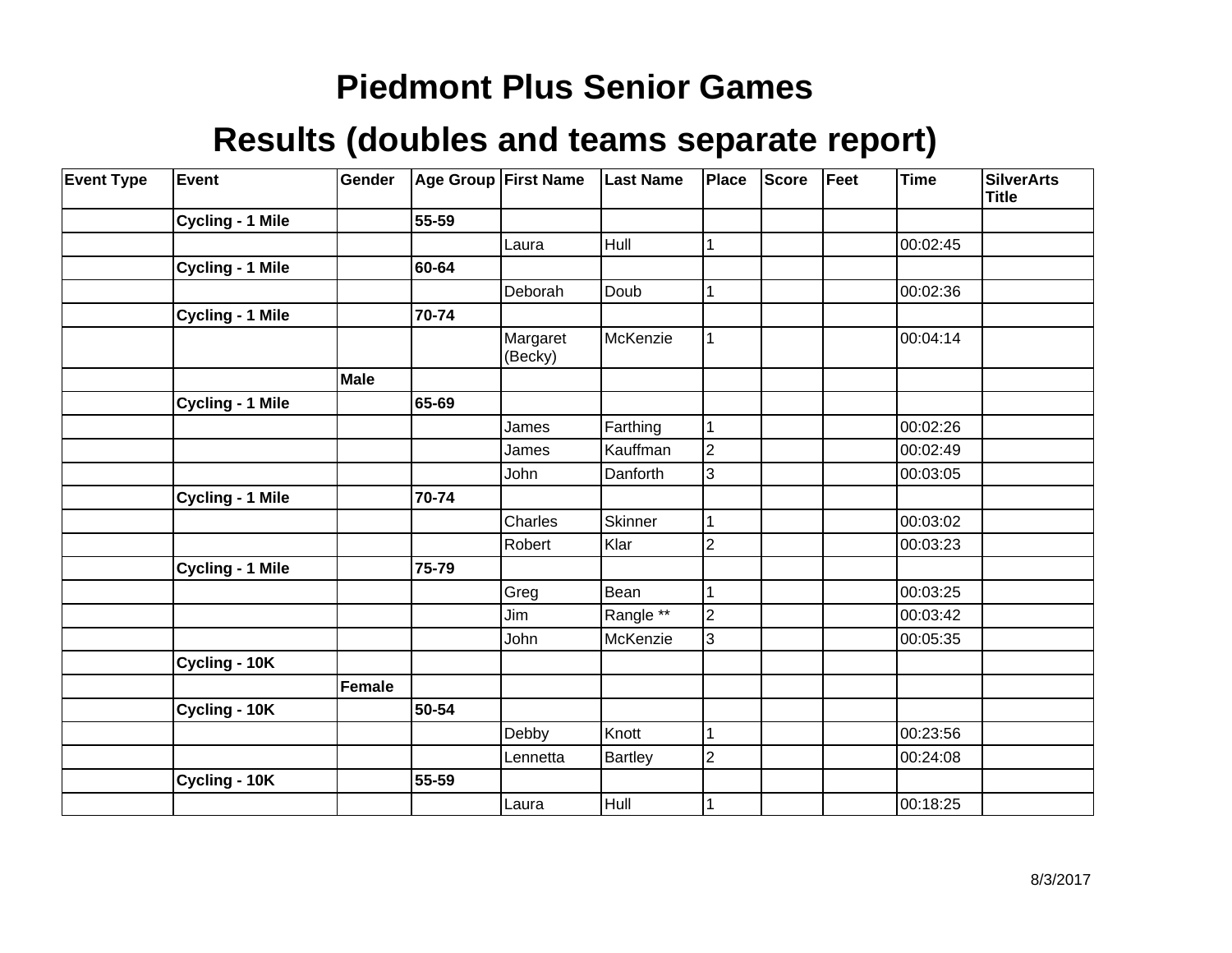| <b>Event Type</b> | Event                   | Gender      |       | Age Group First Name | <b>Last Name</b> | Place          | <b>Score</b> | Feet | <b>Time</b> | <b>SilverArts</b><br><b>Title</b> |
|-------------------|-------------------------|-------------|-------|----------------------|------------------|----------------|--------------|------|-------------|-----------------------------------|
|                   | <b>Cycling - 1 Mile</b> |             | 55-59 |                      |                  |                |              |      |             |                                   |
|                   |                         |             |       | Laura                | Hull             | 1              |              |      | 00:02:45    |                                   |
|                   | Cycling - 1 Mile        |             | 60-64 |                      |                  |                |              |      |             |                                   |
|                   |                         |             |       | Deborah              | Doub             | 1              |              |      | 00:02:36    |                                   |
|                   | Cycling - 1 Mile        |             | 70-74 |                      |                  |                |              |      |             |                                   |
|                   |                         |             |       | Margaret<br>(Becky)  | McKenzie         | 1              |              |      | 00:04:14    |                                   |
|                   |                         | <b>Male</b> |       |                      |                  |                |              |      |             |                                   |
|                   | <b>Cycling - 1 Mile</b> |             | 65-69 |                      |                  |                |              |      |             |                                   |
|                   |                         |             |       | James                | Farthing         | 1              |              |      | 00:02:26    |                                   |
|                   |                         |             |       | James                | Kauffman         | $\overline{2}$ |              |      | 00:02:49    |                                   |
|                   |                         |             |       | John                 | Danforth         | 3              |              |      | 00:03:05    |                                   |
|                   | Cycling - 1 Mile        |             | 70-74 |                      |                  |                |              |      |             |                                   |
|                   |                         |             |       | Charles              | Skinner          | 1              |              |      | 00:03:02    |                                   |
|                   |                         |             |       | Robert               | Klar             | 2              |              |      | 00:03:23    |                                   |
|                   | Cycling - 1 Mile        |             | 75-79 |                      |                  |                |              |      |             |                                   |
|                   |                         |             |       | Greg                 | Bean             |                |              |      | 00:03:25    |                                   |
|                   |                         |             |       | Jim                  | Rangle **        | $\overline{2}$ |              |      | 00:03:42    |                                   |
|                   |                         |             |       | John                 | McKenzie         | 3              |              |      | 00:05:35    |                                   |
|                   | Cycling - 10K           |             |       |                      |                  |                |              |      |             |                                   |
|                   |                         | Female      |       |                      |                  |                |              |      |             |                                   |
|                   | Cycling - 10K           |             | 50-54 |                      |                  |                |              |      |             |                                   |
|                   |                         |             |       | Debby                | Knott            |                |              |      | 00:23:56    |                                   |
|                   |                         |             |       | Lennetta             | Bartley          | $\overline{2}$ |              |      | 00:24:08    |                                   |
|                   | Cycling - 10K           |             | 55-59 |                      |                  |                |              |      |             |                                   |
|                   |                         |             |       | Laura                | Hull             |                |              |      | 00:18:25    |                                   |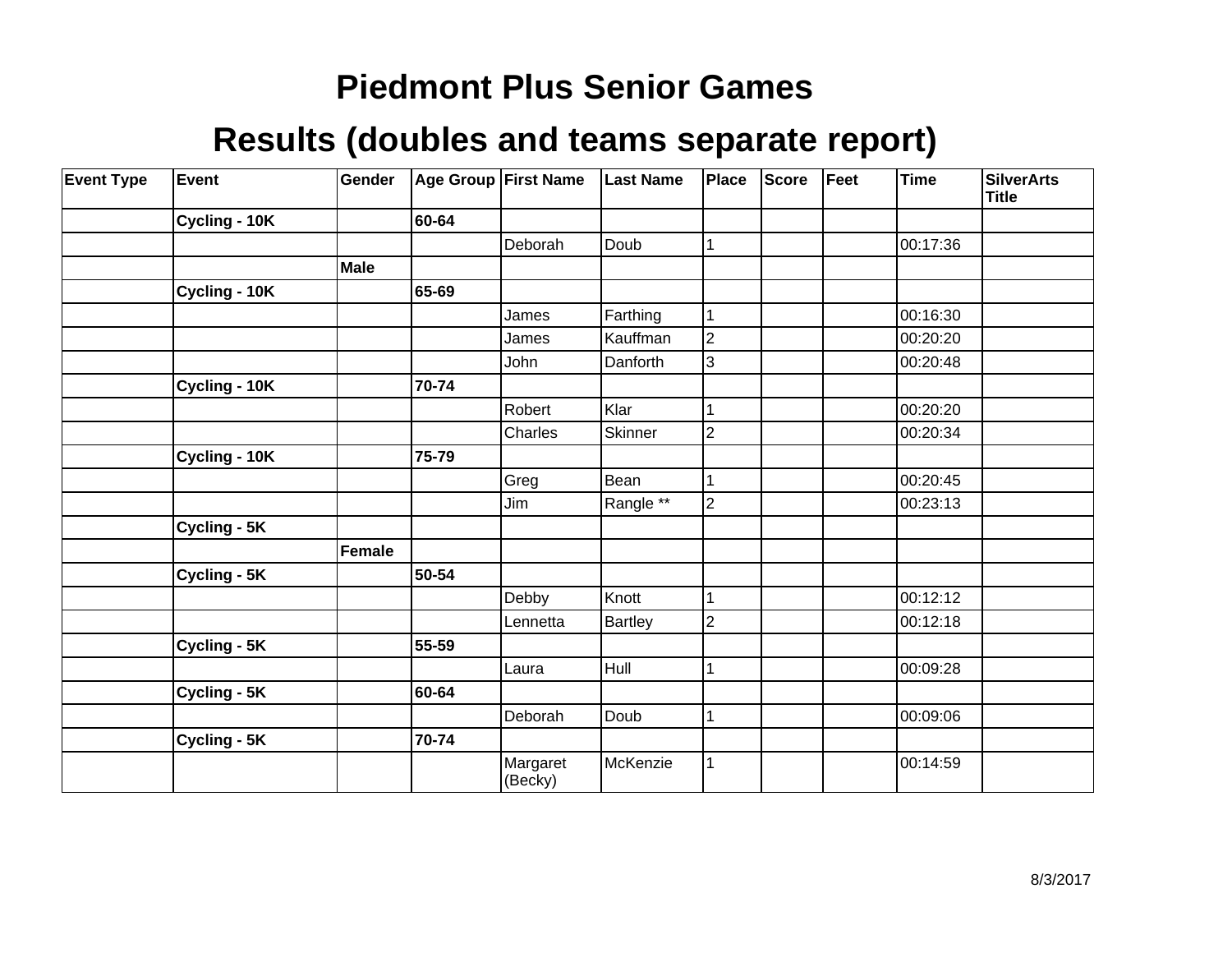| <b>Event Type</b> | Event         | Gender      |       | Age Group First Name | <b>Last Name</b> | Place          | <b>Score</b> | Feet | <b>Time</b> | <b>SilverArts</b><br><b>Title</b> |
|-------------------|---------------|-------------|-------|----------------------|------------------|----------------|--------------|------|-------------|-----------------------------------|
|                   | Cycling - 10K |             | 60-64 |                      |                  |                |              |      |             |                                   |
|                   |               |             |       | Deborah              | Doub             | 1              |              |      | 00:17:36    |                                   |
|                   |               | <b>Male</b> |       |                      |                  |                |              |      |             |                                   |
|                   | Cycling - 10K |             | 65-69 |                      |                  |                |              |      |             |                                   |
|                   |               |             |       | James                | Farthing         | 1              |              |      | 00:16:30    |                                   |
|                   |               |             |       | James                | Kauffman         | $\overline{2}$ |              |      | 00:20:20    |                                   |
|                   |               |             |       | John                 | Danforth         | 3              |              |      | 00:20:48    |                                   |
|                   | Cycling - 10K |             | 70-74 |                      |                  |                |              |      |             |                                   |
|                   |               |             |       | Robert               | Klar             |                |              |      | 00:20:20    |                                   |
|                   |               |             |       | Charles              | Skinner          | $\overline{2}$ |              |      | 00:20:34    |                                   |
|                   | Cycling - 10K |             | 75-79 |                      |                  |                |              |      |             |                                   |
|                   |               |             |       | Greg                 | Bean             |                |              |      | 00:20:45    |                                   |
|                   |               |             |       | Jim                  | Rangle **        | $\overline{2}$ |              |      | 00:23:13    |                                   |
|                   | Cycling - 5K  |             |       |                      |                  |                |              |      |             |                                   |
|                   |               | Female      |       |                      |                  |                |              |      |             |                                   |
|                   | Cycling - 5K  |             | 50-54 |                      |                  |                |              |      |             |                                   |
|                   |               |             |       | Debby                | Knott            | 1              |              |      | 00:12:12    |                                   |
|                   |               |             |       | Lennetta             | Bartley          | $\overline{2}$ |              |      | 00:12:18    |                                   |
|                   | Cycling - 5K  |             | 55-59 |                      |                  |                |              |      |             |                                   |
|                   |               |             |       | Laura                | Hull             | 1              |              |      | 00:09:28    |                                   |
|                   | Cycling - 5K  |             | 60-64 |                      |                  |                |              |      |             |                                   |
|                   |               |             |       | Deborah              | Doub             | 1              |              |      | 00:09:06    |                                   |
|                   | Cycling - 5K  |             | 70-74 |                      |                  |                |              |      |             |                                   |
|                   |               |             |       | Margaret<br>(Becky)  | McKenzie         | 1              |              |      | 00:14:59    |                                   |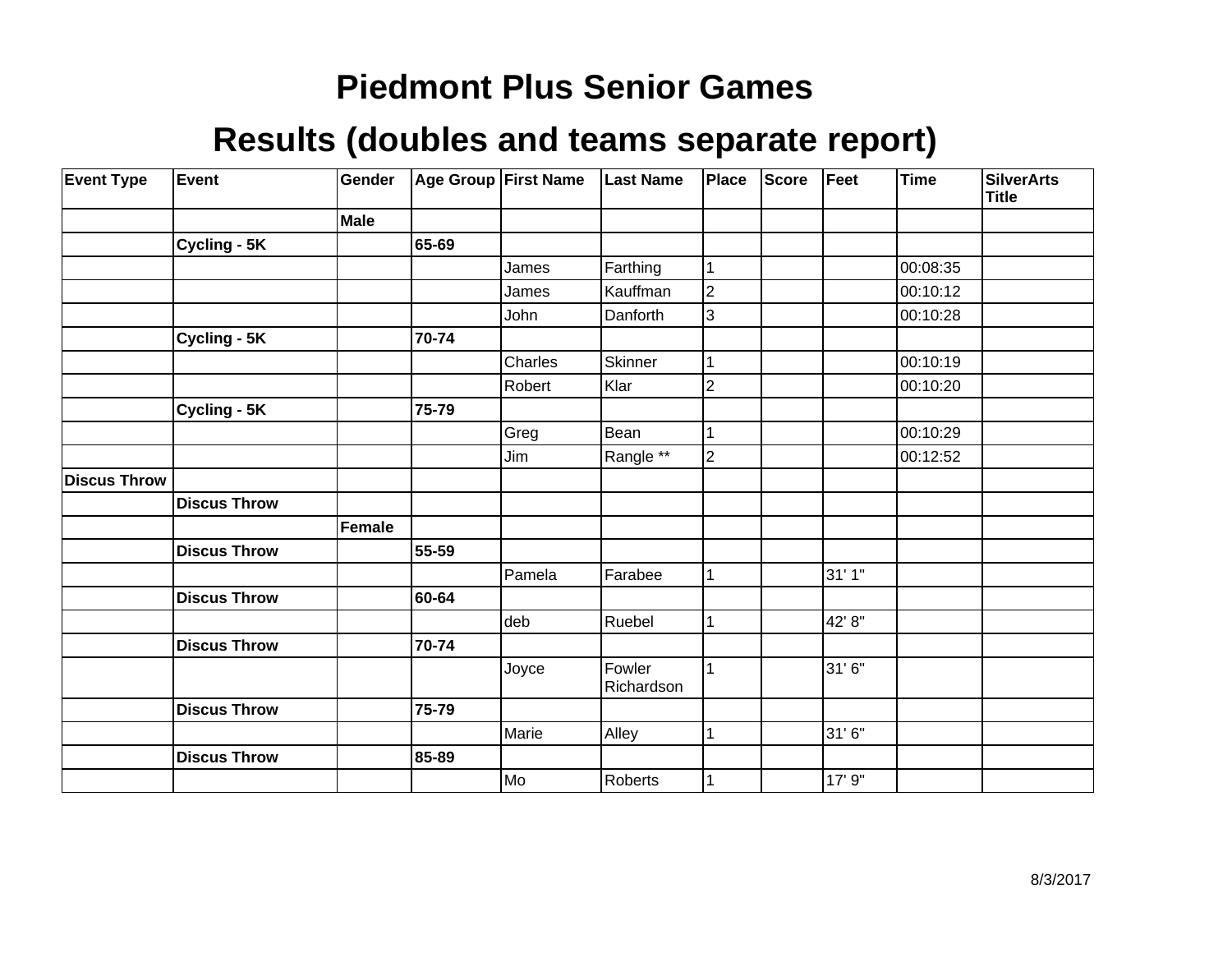| <b>Event Type</b>   | Event               | Gender |       | Age Group First Name | <b>Last Name</b>     | Place          | <b>Score</b> | Feet   | Time     | <b>SilverArts</b><br><b>Title</b> |
|---------------------|---------------------|--------|-------|----------------------|----------------------|----------------|--------------|--------|----------|-----------------------------------|
|                     |                     | Male   |       |                      |                      |                |              |        |          |                                   |
|                     | Cycling - 5K        |        | 65-69 |                      |                      |                |              |        |          |                                   |
|                     |                     |        |       | James                | Farthing             | $\mathbf 1$    |              |        | 00:08:35 |                                   |
|                     |                     |        |       | James                | Kauffman             | $\overline{2}$ |              |        | 00:10:12 |                                   |
|                     |                     |        |       | John                 | Danforth             | 3              |              |        | 00:10:28 |                                   |
|                     | Cycling - 5K        |        | 70-74 |                      |                      |                |              |        |          |                                   |
|                     |                     |        |       | Charles              | <b>Skinner</b>       |                |              |        | 00:10:19 |                                   |
|                     |                     |        |       | Robert               | Klar                 | $\overline{2}$ |              |        | 00:10:20 |                                   |
|                     | Cycling - 5K        |        | 75-79 |                      |                      |                |              |        |          |                                   |
|                     |                     |        |       | Greg                 | Bean                 | 1              |              |        | 00:10:29 |                                   |
|                     |                     |        |       | Jim                  | Rangle **            | $\overline{c}$ |              |        | 00:12:52 |                                   |
| <b>Discus Throw</b> |                     |        |       |                      |                      |                |              |        |          |                                   |
|                     | <b>Discus Throw</b> |        |       |                      |                      |                |              |        |          |                                   |
|                     |                     | Female |       |                      |                      |                |              |        |          |                                   |
|                     | <b>Discus Throw</b> |        | 55-59 |                      |                      |                |              |        |          |                                   |
|                     |                     |        |       | Pamela               | Farabee              | 1              |              | 31' 1" |          |                                   |
|                     | <b>Discus Throw</b> |        | 60-64 |                      |                      |                |              |        |          |                                   |
|                     |                     |        |       | deb                  | Ruebel               |                |              | 42' 8" |          |                                   |
|                     | <b>Discus Throw</b> |        | 70-74 |                      |                      |                |              |        |          |                                   |
|                     |                     |        |       | Joyce                | Fowler<br>Richardson | l 1            |              | 31'6"  |          |                                   |
|                     | <b>Discus Throw</b> |        | 75-79 |                      |                      |                |              |        |          |                                   |
|                     |                     |        |       | Marie                | Alley                | 1              |              | 31'6"  |          |                                   |
|                     | <b>Discus Throw</b> |        | 85-89 |                      |                      |                |              |        |          |                                   |
|                     |                     |        |       | Mo]                  | Roberts              |                |              | 17' 9" |          |                                   |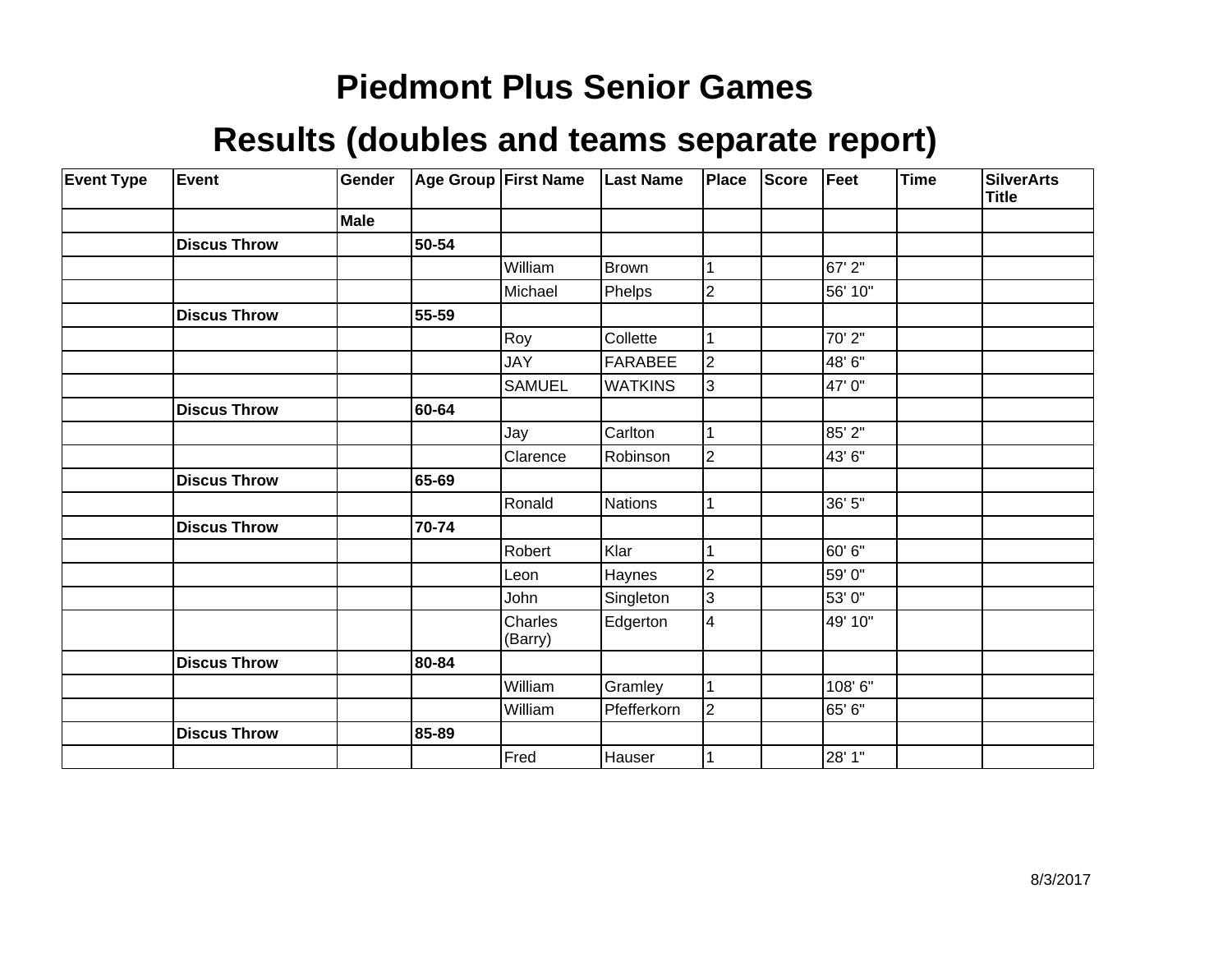| <b>Event Type</b> | Event               | Gender      |       | <b>Age Group First Name</b> | <b>Last Name</b> | Place          | <b>Score</b> | Feet    | Time | <b>SilverArts</b><br><b>Title</b> |
|-------------------|---------------------|-------------|-------|-----------------------------|------------------|----------------|--------------|---------|------|-----------------------------------|
|                   |                     | <b>Male</b> |       |                             |                  |                |              |         |      |                                   |
|                   | <b>Discus Throw</b> |             | 50-54 |                             |                  |                |              |         |      |                                   |
|                   |                     |             |       | William                     | Brown            |                |              | 67' 2"  |      |                                   |
|                   |                     |             |       | Michael                     | Phelps           | $\overline{2}$ |              | 56' 10" |      |                                   |
|                   | <b>Discus Throw</b> |             | 55-59 |                             |                  |                |              |         |      |                                   |
|                   |                     |             |       | Roy                         | Collette         |                |              | 70'2"   |      |                                   |
|                   |                     |             |       | <b>JAY</b>                  | <b>FARABEE</b>   | $\overline{2}$ |              | 48' 6"  |      |                                   |
|                   |                     |             |       | <b>SAMUEL</b>               | <b>WATKINS</b>   | 3              |              | 47'0"   |      |                                   |
|                   | <b>Discus Throw</b> |             | 60-64 |                             |                  |                |              |         |      |                                   |
|                   |                     |             |       | Jay                         | Carlton          |                |              | 85' 2"  |      |                                   |
|                   |                     |             |       | Clarence                    | Robinson         | $\mathbf 2$    |              | 43'6"   |      |                                   |
|                   | <b>Discus Throw</b> |             | 65-69 |                             |                  |                |              |         |      |                                   |
|                   |                     |             |       | Ronald                      | Nations          |                |              | 36' 5"  |      |                                   |
|                   | <b>Discus Throw</b> |             | 70-74 |                             |                  |                |              |         |      |                                   |
|                   |                     |             |       | Robert                      | Klar             |                |              | 60' 6"  |      |                                   |
|                   |                     |             |       | Leon                        | Haynes           | $\overline{2}$ |              | 59' 0"  |      |                                   |
|                   |                     |             |       | John                        | Singleton        | 3              |              | 53'0"   |      |                                   |
|                   |                     |             |       | Charles<br>(Barry)          | Edgerton         | 4              |              | 49' 10" |      |                                   |
|                   | <b>Discus Throw</b> |             | 80-84 |                             |                  |                |              |         |      |                                   |
|                   |                     |             |       | William                     | Gramley          |                |              | 108'6"  |      |                                   |
|                   |                     |             |       | William                     | Pfefferkorn      | $\overline{c}$ |              | 65' 6"  |      |                                   |
|                   | <b>Discus Throw</b> |             | 85-89 |                             |                  |                |              |         |      |                                   |
|                   |                     |             |       | Fred                        | Hauser           |                |              | 28' 1"  |      |                                   |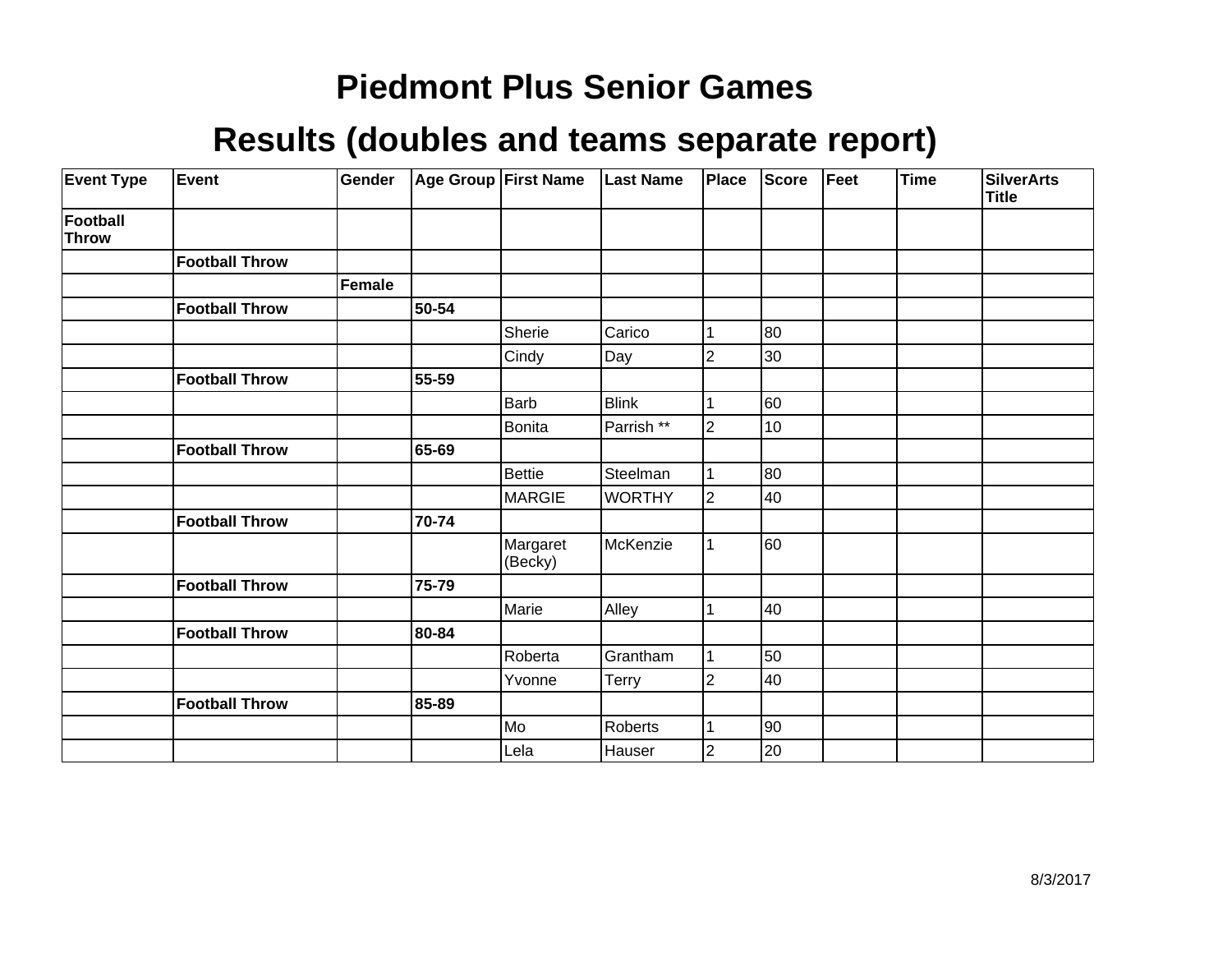| <b>Event Type</b> | Event                 | Gender        |       | Age Group First Name | <b>Last Name</b> | Place          | <b>Score</b> | Feet | Time | <b>SilverArts</b><br><b>Title</b> |
|-------------------|-----------------------|---------------|-------|----------------------|------------------|----------------|--------------|------|------|-----------------------------------|
| Football<br>Throw |                       |               |       |                      |                  |                |              |      |      |                                   |
|                   | <b>Football Throw</b> |               |       |                      |                  |                |              |      |      |                                   |
|                   |                       | <b>Female</b> |       |                      |                  |                |              |      |      |                                   |
|                   | <b>Football Throw</b> |               | 50-54 |                      |                  |                |              |      |      |                                   |
|                   |                       |               |       | Sherie               | Carico           |                | 80           |      |      |                                   |
|                   |                       |               |       | Cindy                | Day              | 2              | 30           |      |      |                                   |
|                   | <b>Football Throw</b> |               | 55-59 |                      |                  |                |              |      |      |                                   |
|                   |                       |               |       | <b>Barb</b>          | <b>Blink</b>     |                | 60           |      |      |                                   |
|                   |                       |               |       | Bonita               | Parrish **       | $\overline{2}$ | 10           |      |      |                                   |
|                   | <b>Football Throw</b> |               | 65-69 |                      |                  |                |              |      |      |                                   |
|                   |                       |               |       | <b>Bettie</b>        | Steelman         |                | 80           |      |      |                                   |
|                   |                       |               |       | MARGIE               | <b>WORTHY</b>    | $\overline{2}$ | 40           |      |      |                                   |
|                   | <b>Football Throw</b> |               | 70-74 |                      |                  |                |              |      |      |                                   |
|                   |                       |               |       | Margaret<br>(Becky)  | McKenzie         |                | 60           |      |      |                                   |
|                   | <b>Football Throw</b> |               | 75-79 |                      |                  |                |              |      |      |                                   |
|                   |                       |               |       | Marie                | Alley            |                | 40           |      |      |                                   |
|                   | <b>Football Throw</b> |               | 80-84 |                      |                  |                |              |      |      |                                   |
|                   |                       |               |       | Roberta              | Grantham         |                | 50           |      |      |                                   |
|                   |                       |               |       | Yvonne               | Terry            | $\overline{2}$ | 40           |      |      |                                   |
|                   | <b>Football Throw</b> |               | 85-89 |                      |                  |                |              |      |      |                                   |
|                   |                       |               |       | Mo]                  | Roberts          |                | 90           |      |      |                                   |
|                   |                       |               |       | Lela                 | Hauser           | $\overline{2}$ | 20           |      |      |                                   |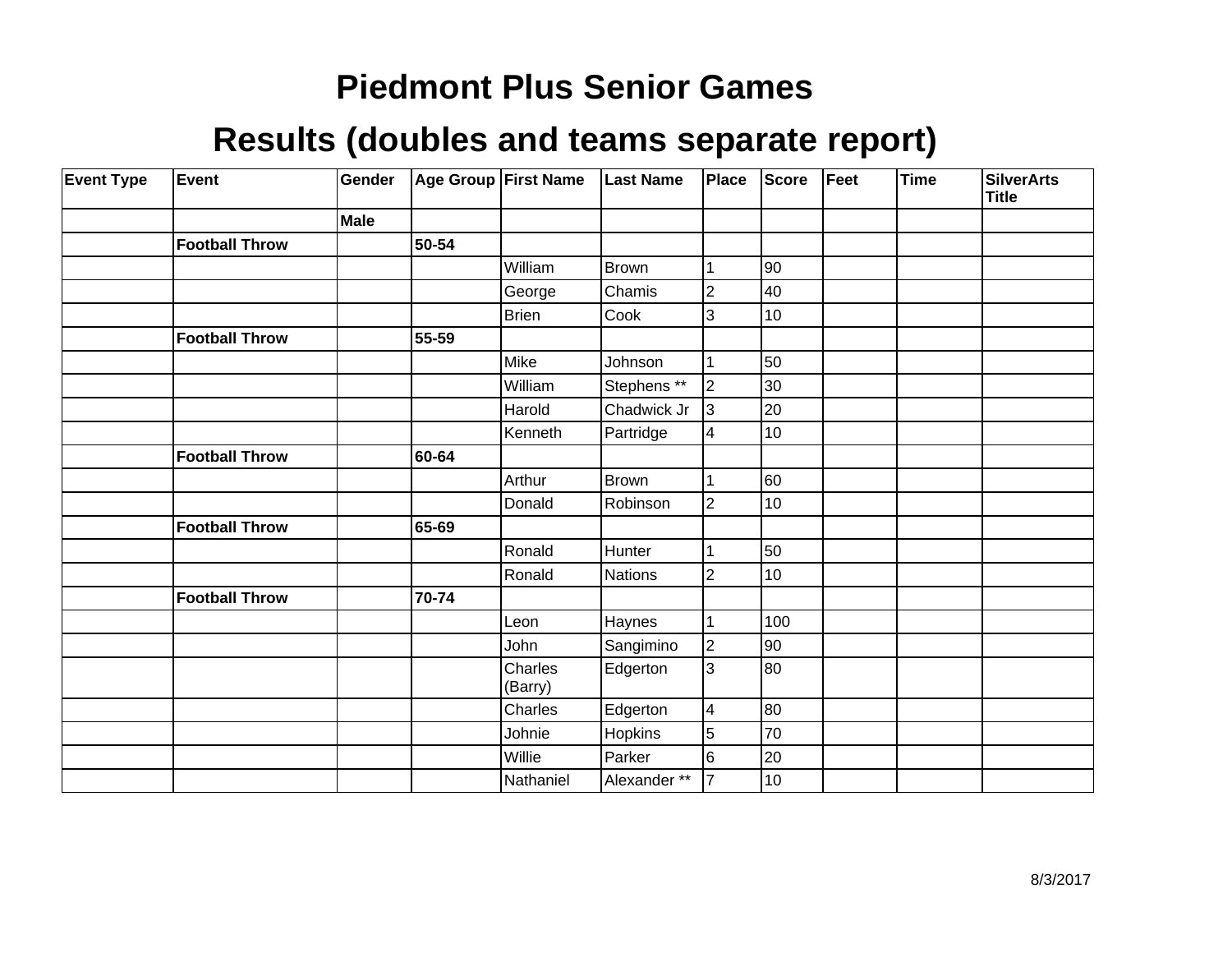| <b>Event Type</b> | Event                 | Gender |       | Age Group First Name | <b>Last Name</b> | Place                   | Score | Feet | <b>Time</b> | <b>SilverArts</b><br><b>Title</b> |
|-------------------|-----------------------|--------|-------|----------------------|------------------|-------------------------|-------|------|-------------|-----------------------------------|
|                   |                       | Male   |       |                      |                  |                         |       |      |             |                                   |
|                   | <b>Football Throw</b> |        | 50-54 |                      |                  |                         |       |      |             |                                   |
|                   |                       |        |       | William              | Brown            |                         | 90    |      |             |                                   |
|                   |                       |        |       | George               | Chamis           | $\overline{2}$          | 40    |      |             |                                   |
|                   |                       |        |       | <b>Brien</b>         | Cook             | 3                       | 10    |      |             |                                   |
|                   | <b>Football Throw</b> |        | 55-59 |                      |                  |                         |       |      |             |                                   |
|                   |                       |        |       | Mike                 | Johnson          |                         | 50    |      |             |                                   |
|                   |                       |        |       | William              | Stephens **      | $\overline{2}$          | 30    |      |             |                                   |
|                   |                       |        |       | Harold               | Chadwick Jr      | 3                       | 20    |      |             |                                   |
|                   |                       |        |       | Kenneth              | Partridge        | 4                       | 10    |      |             |                                   |
|                   | <b>Football Throw</b> |        | 60-64 |                      |                  |                         |       |      |             |                                   |
|                   |                       |        |       | Arthur               | Brown            |                         | 60    |      |             |                                   |
|                   |                       |        |       | Donald               | Robinson         | $\overline{2}$          | 10    |      |             |                                   |
|                   | <b>Football Throw</b> |        | 65-69 |                      |                  |                         |       |      |             |                                   |
|                   |                       |        |       | Ronald               | Hunter           |                         | 50    |      |             |                                   |
|                   |                       |        |       | Ronald               | Nations          | $\overline{2}$          | 10    |      |             |                                   |
|                   | <b>Football Throw</b> |        | 70-74 |                      |                  |                         |       |      |             |                                   |
|                   |                       |        |       | Leon                 | Haynes           |                         | 100   |      |             |                                   |
|                   |                       |        |       | John                 | Sangimino        | $\overline{2}$          | 90    |      |             |                                   |
|                   |                       |        |       | Charles<br>(Barry)   | Edgerton         | 3                       | 80    |      |             |                                   |
|                   |                       |        |       | Charles              | Edgerton         | $\overline{\mathbf{4}}$ | 80    |      |             |                                   |
|                   |                       |        |       | Johnie               | Hopkins          | $\overline{5}$          | 70    |      |             |                                   |
|                   |                       |        |       | Willie               | Parker           | 6                       | 20    |      |             |                                   |
|                   |                       |        |       | Nathaniel            | Alexander **     | 7                       | 10    |      |             |                                   |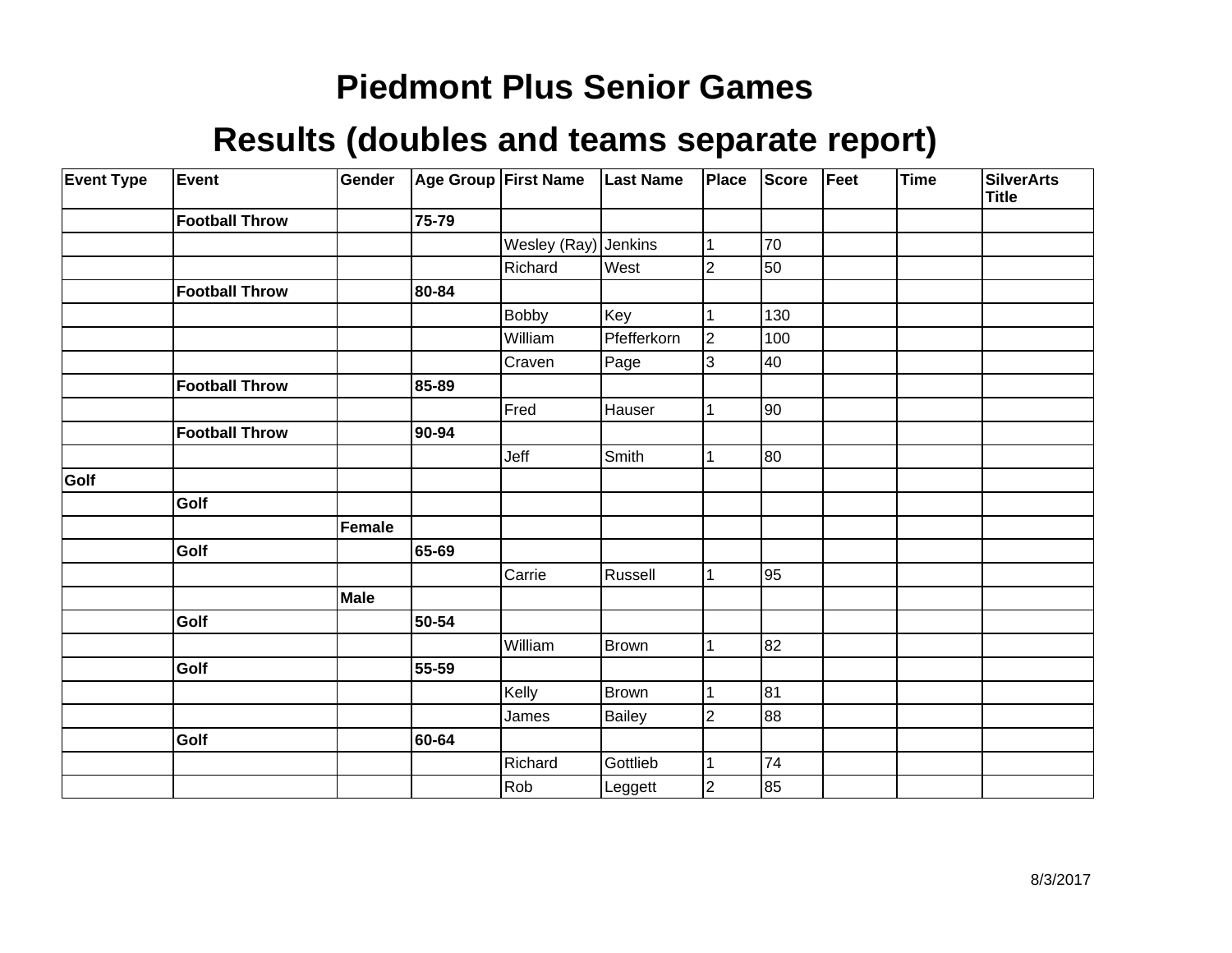| <b>Event Type</b> | Event                 | Gender      |       | Age Group First Name | <b>Last Name</b> | Place          | <b>Score</b> | Feet | Time | <b>SilverArts</b><br><b>Title</b> |
|-------------------|-----------------------|-------------|-------|----------------------|------------------|----------------|--------------|------|------|-----------------------------------|
|                   | <b>Football Throw</b> |             | 75-79 |                      |                  |                |              |      |      |                                   |
|                   |                       |             |       | Wesley (Ray) Jenkins |                  | 1              | 70           |      |      |                                   |
|                   |                       |             |       | Richard              | West             | $\overline{2}$ | 50           |      |      |                                   |
|                   | <b>Football Throw</b> |             | 80-84 |                      |                  |                |              |      |      |                                   |
|                   |                       |             |       | <b>Bobby</b>         | Key              |                | 130          |      |      |                                   |
|                   |                       |             |       | William              | Pfefferkorn      | $\overline{2}$ | 100          |      |      |                                   |
|                   |                       |             |       | Craven               | Page             | 3              | 40           |      |      |                                   |
|                   | <b>Football Throw</b> |             | 85-89 |                      |                  |                |              |      |      |                                   |
|                   |                       |             |       | Fred                 | Hauser           | 1              | 90           |      |      |                                   |
|                   | <b>Football Throw</b> |             | 90-94 |                      |                  |                |              |      |      |                                   |
|                   |                       |             |       | Jeff                 | Smith            | 1              | 80           |      |      |                                   |
| Golf              |                       |             |       |                      |                  |                |              |      |      |                                   |
|                   | Golf                  |             |       |                      |                  |                |              |      |      |                                   |
|                   |                       | Female      |       |                      |                  |                |              |      |      |                                   |
|                   | Golf                  |             | 65-69 |                      |                  |                |              |      |      |                                   |
|                   |                       |             |       | Carrie               | Russell          | $\mathbf{1}$   | 95           |      |      |                                   |
|                   |                       | <b>Male</b> |       |                      |                  |                |              |      |      |                                   |
|                   | Golf                  |             | 50-54 |                      |                  |                |              |      |      |                                   |
|                   |                       |             |       | William              | Brown            | 1              | 82           |      |      |                                   |
|                   | Golf                  |             | 55-59 |                      |                  |                |              |      |      |                                   |
|                   |                       |             |       | Kelly                | Brown            | 1              | 81           |      |      |                                   |
|                   |                       |             |       | James                | Bailey           | $\overline{2}$ | 88           |      |      |                                   |
|                   | Golf                  |             | 60-64 |                      |                  |                |              |      |      |                                   |
|                   |                       |             |       | Richard              | Gottlieb         | 1              | 74           |      |      |                                   |
|                   |                       |             |       | Rob                  | Leggett          | $\overline{2}$ | 85           |      |      |                                   |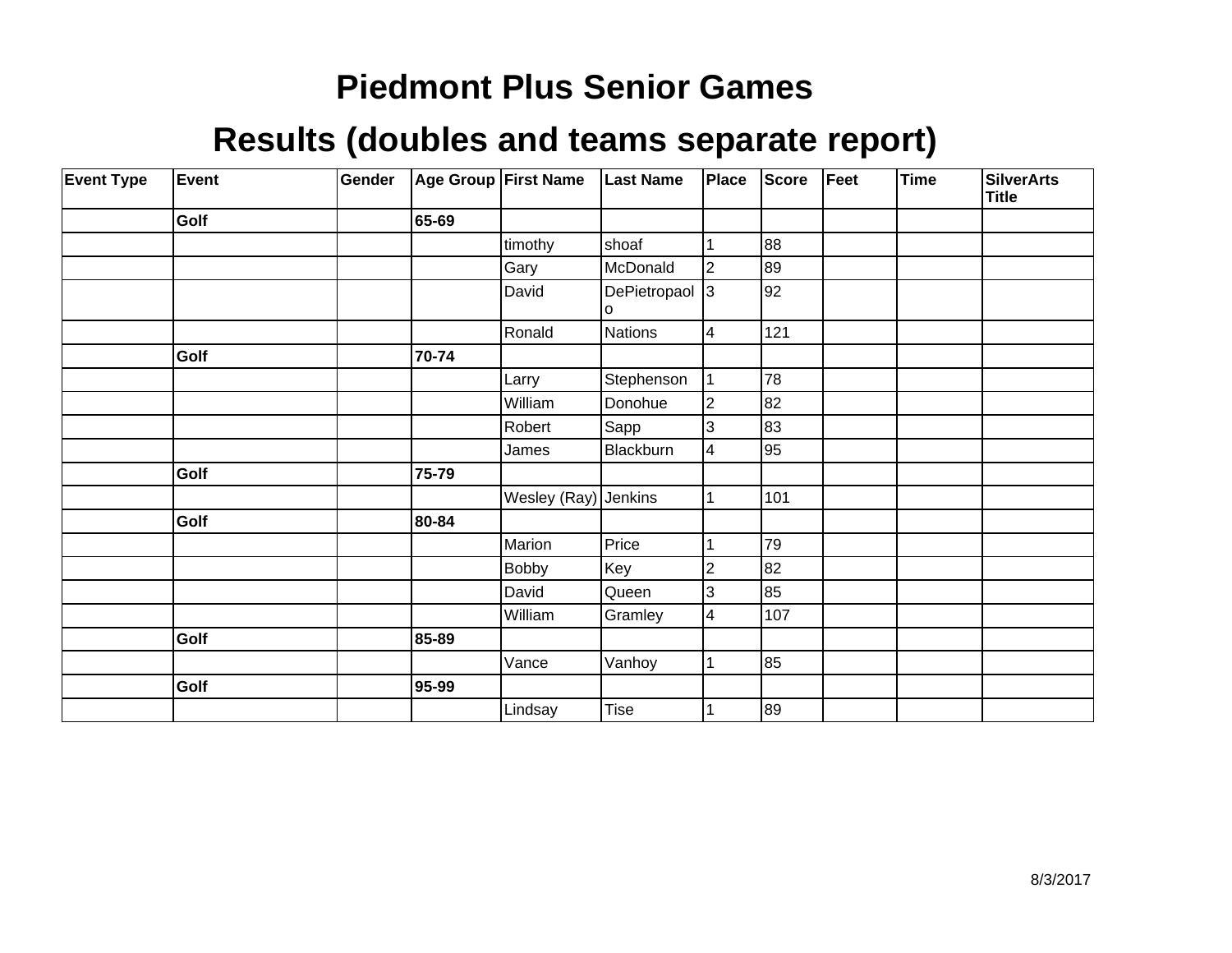| <b>Event Type</b> | Event | Gender |       | Age Group First Name | <b>Last Name</b>    | Place          | <b>Score</b> | Feet | Time | <b>SilverArts</b><br><b>Title</b> |
|-------------------|-------|--------|-------|----------------------|---------------------|----------------|--------------|------|------|-----------------------------------|
|                   | Golf  |        | 65-69 |                      |                     |                |              |      |      |                                   |
|                   |       |        |       | timothy              | shoaf               |                | 88           |      |      |                                   |
|                   |       |        |       | Gary                 | McDonald            | 2              | 89           |      |      |                                   |
|                   |       |        |       | David                | DePietropaol 3<br>O |                | 92           |      |      |                                   |
|                   |       |        |       | Ronald               | <b>Nations</b>      | 4              | 121          |      |      |                                   |
|                   | Golf  |        | 70-74 |                      |                     |                |              |      |      |                                   |
|                   |       |        |       | Larry                | Stephenson          |                | 78           |      |      |                                   |
|                   |       |        |       | William              | Donohue             | $\overline{2}$ | 82           |      |      |                                   |
|                   |       |        |       | Robert               | Sapp                | 3              | 83           |      |      |                                   |
|                   |       |        |       | James                | Blackburn           | 4              | 95           |      |      |                                   |
|                   | Golf  |        | 75-79 |                      |                     |                |              |      |      |                                   |
|                   |       |        |       | Wesley (Ray) Jenkins |                     |                | 101          |      |      |                                   |
|                   | Golf  |        | 80-84 |                      |                     |                |              |      |      |                                   |
|                   |       |        |       | Marion               | Price               |                | 79           |      |      |                                   |
|                   |       |        |       | <b>Bobby</b>         | Key                 | 2              | 82           |      |      |                                   |
|                   |       |        |       | David                | Queen               | 3              | 85           |      |      |                                   |
|                   |       |        |       | William              | Gramley             | 4              | 107          |      |      |                                   |
|                   | Golf  |        | 85-89 |                      |                     |                |              |      |      |                                   |
|                   |       |        |       | Vance                | Vanhoy              |                | 85           |      |      |                                   |
|                   | Golf  |        | 95-99 |                      |                     |                |              |      |      |                                   |
|                   |       |        |       | Lindsay              | Tise                |                | 89           |      |      |                                   |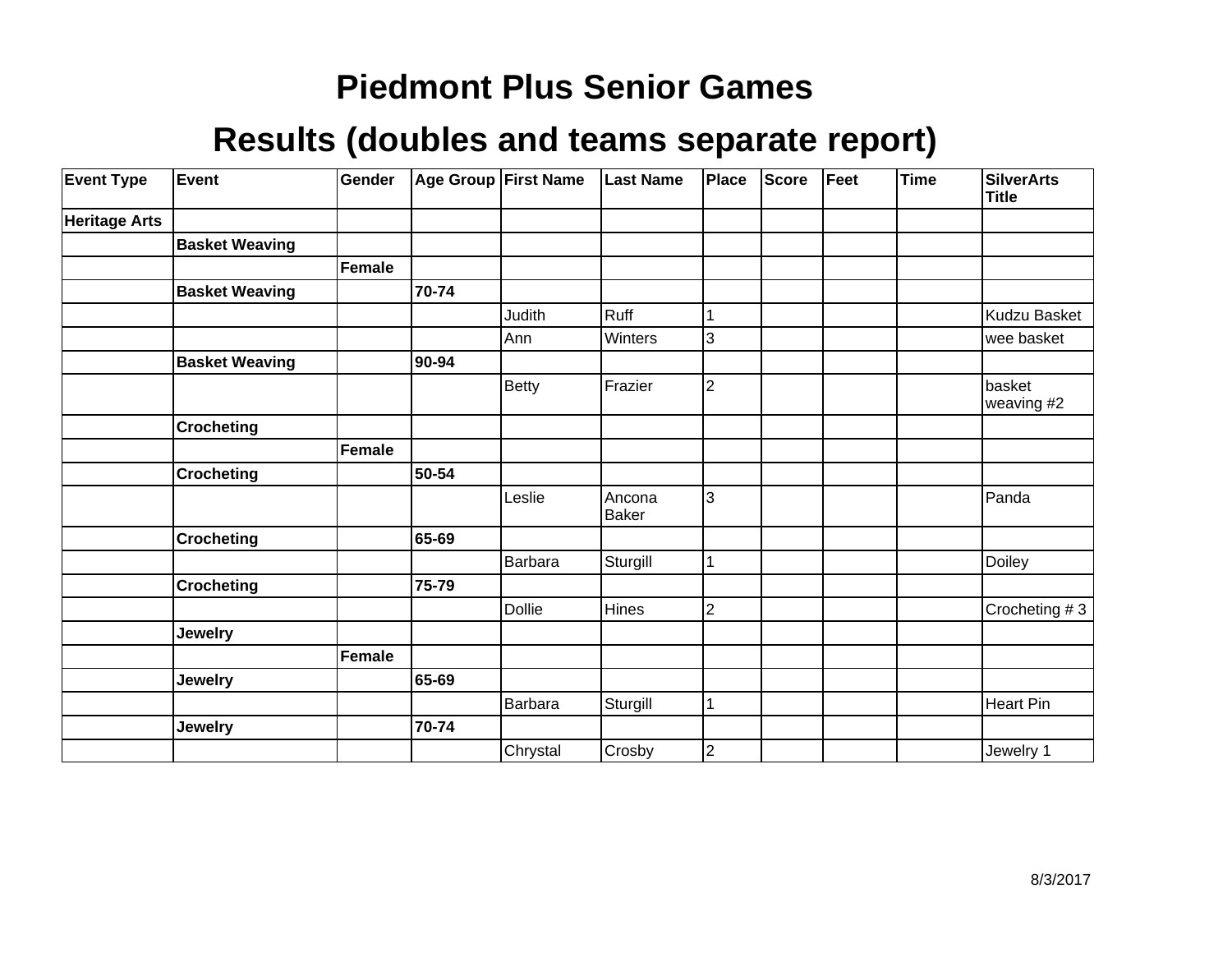| <b>Event Type</b>    | Event                 | Gender |       | Age Group First Name | <b>Last Name</b>       | Place          | Score | Feet | <b>Time</b> | <b>SilverArts</b><br><b>Title</b> |
|----------------------|-----------------------|--------|-------|----------------------|------------------------|----------------|-------|------|-------------|-----------------------------------|
| <b>Heritage Arts</b> |                       |        |       |                      |                        |                |       |      |             |                                   |
|                      | <b>Basket Weaving</b> |        |       |                      |                        |                |       |      |             |                                   |
|                      |                       | Female |       |                      |                        |                |       |      |             |                                   |
|                      | <b>Basket Weaving</b> |        | 70-74 |                      |                        |                |       |      |             |                                   |
|                      |                       |        |       | Judith               | Ruff                   | 1              |       |      |             | Kudzu Basket                      |
|                      |                       |        |       | Ann                  | Winters                | 3              |       |      |             | wee basket                        |
|                      | <b>Basket Weaving</b> |        | 90-94 |                      |                        |                |       |      |             |                                   |
|                      |                       |        |       | <b>Betty</b>         | Frazier                | $\overline{2}$ |       |      |             | basket<br>weaving #2              |
|                      | <b>Crocheting</b>     |        |       |                      |                        |                |       |      |             |                                   |
|                      |                       | Female |       |                      |                        |                |       |      |             |                                   |
|                      | <b>Crocheting</b>     |        | 50-54 |                      |                        |                |       |      |             |                                   |
|                      |                       |        |       | Leslie               | Ancona<br><b>Baker</b> | 3              |       |      |             | Panda                             |
|                      | <b>Crocheting</b>     |        | 65-69 |                      |                        |                |       |      |             |                                   |
|                      |                       |        |       | <b>Barbara</b>       | Sturgill               | 1              |       |      |             | Doiley                            |
|                      | <b>Crocheting</b>     |        | 75-79 |                      |                        |                |       |      |             |                                   |
|                      |                       |        |       | Dollie               | Hines                  | $\overline{c}$ |       |      |             | Crocheting #3                     |
|                      | <b>Jewelry</b>        |        |       |                      |                        |                |       |      |             |                                   |
|                      |                       | Female |       |                      |                        |                |       |      |             |                                   |
|                      | <b>Jewelry</b>        |        | 65-69 |                      |                        |                |       |      |             |                                   |
|                      |                       |        |       | Barbara              | Sturgill               | 1              |       |      |             | Heart Pin                         |
|                      | <b>Jewelry</b>        |        | 70-74 |                      |                        |                |       |      |             |                                   |
|                      |                       |        |       | Chrystal             | Crosby                 | $\overline{c}$ |       |      |             | Jewelry 1                         |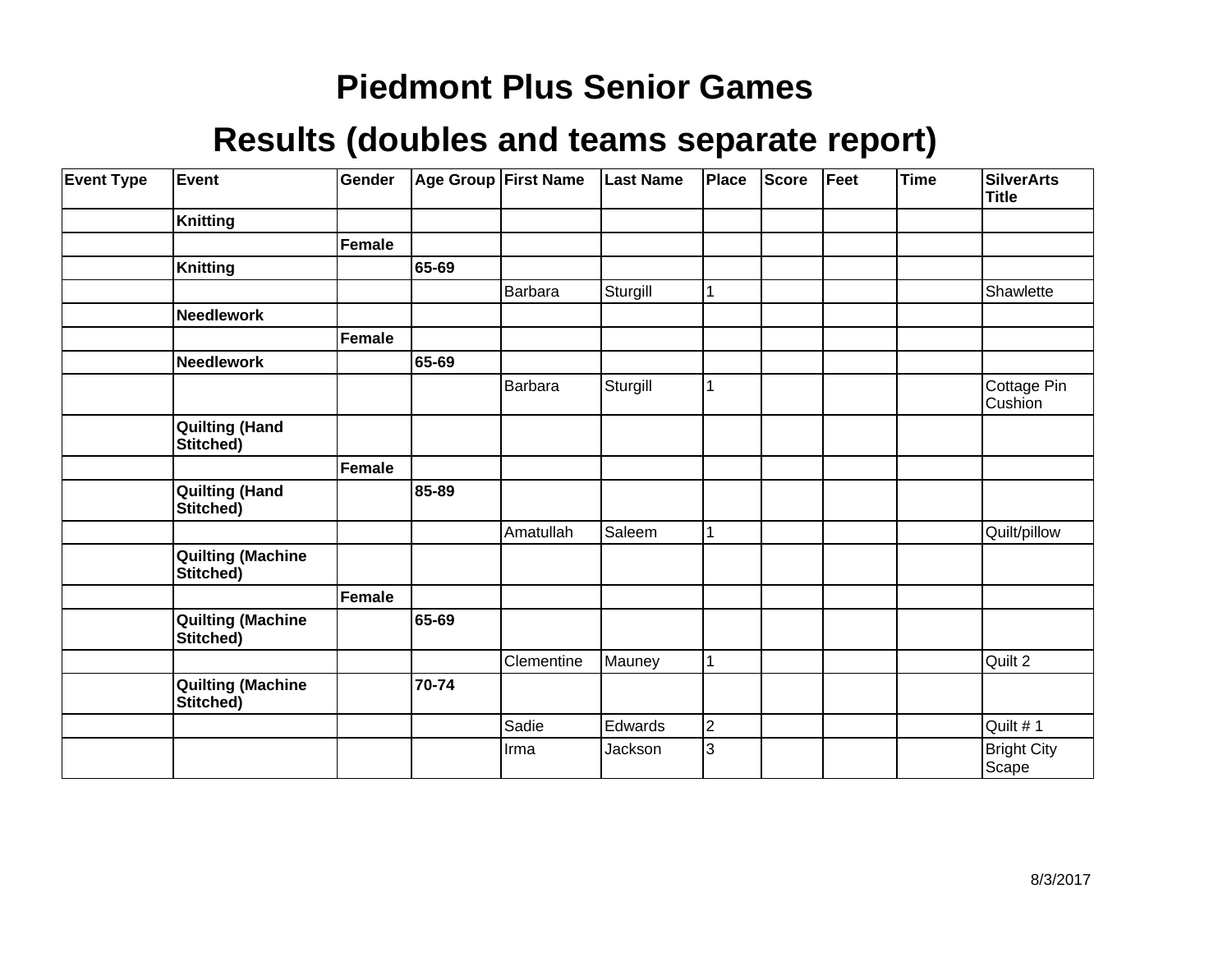| <b>Event Type</b> | Event                                 | Gender |       | Age Group First Name | <b>Last Name</b> | Place          | Score | Feet | <b>Time</b> | <b>SilverArts</b><br><b>Title</b> |
|-------------------|---------------------------------------|--------|-------|----------------------|------------------|----------------|-------|------|-------------|-----------------------------------|
|                   | <b>Knitting</b>                       |        |       |                      |                  |                |       |      |             |                                   |
|                   |                                       | Female |       |                      |                  |                |       |      |             |                                   |
|                   | <b>Knitting</b>                       |        | 65-69 |                      |                  |                |       |      |             |                                   |
|                   |                                       |        |       | Barbara              | Sturgill         | 1              |       |      |             | Shawlette                         |
|                   | Needlework                            |        |       |                      |                  |                |       |      |             |                                   |
|                   |                                       | Female |       |                      |                  |                |       |      |             |                                   |
|                   | <b>Needlework</b>                     |        | 65-69 |                      |                  |                |       |      |             |                                   |
|                   |                                       |        |       | Barbara              | Sturgill         | 1              |       |      |             | Cottage Pin<br>Cushion            |
|                   | <b>Quilting (Hand</b><br>Stitched)    |        |       |                      |                  |                |       |      |             |                                   |
|                   |                                       | Female |       |                      |                  |                |       |      |             |                                   |
|                   | <b>Quilting (Hand</b><br>Stitched)    |        | 85-89 |                      |                  |                |       |      |             |                                   |
|                   |                                       |        |       | Amatullah            | Saleem           | 1              |       |      |             | Quilt/pillow                      |
|                   | <b>Quilting (Machine</b><br>Stitched) |        |       |                      |                  |                |       |      |             |                                   |
|                   |                                       | Female |       |                      |                  |                |       |      |             |                                   |
|                   | <b>Quilting (Machine</b><br>Stitched) |        | 65-69 |                      |                  |                |       |      |             |                                   |
|                   |                                       |        |       | Clementine           | Mauney           | 1              |       |      |             | Quilt 2                           |
|                   | <b>Quilting (Machine</b><br>Stitched) |        | 70-74 |                      |                  |                |       |      |             |                                   |
|                   |                                       |        |       | Sadie                | Edwards          | $\overline{c}$ |       |      |             | Quilt #1                          |
|                   |                                       |        |       | Irma                 | Jackson          | 3              |       |      |             | <b>Bright City</b><br>Scape       |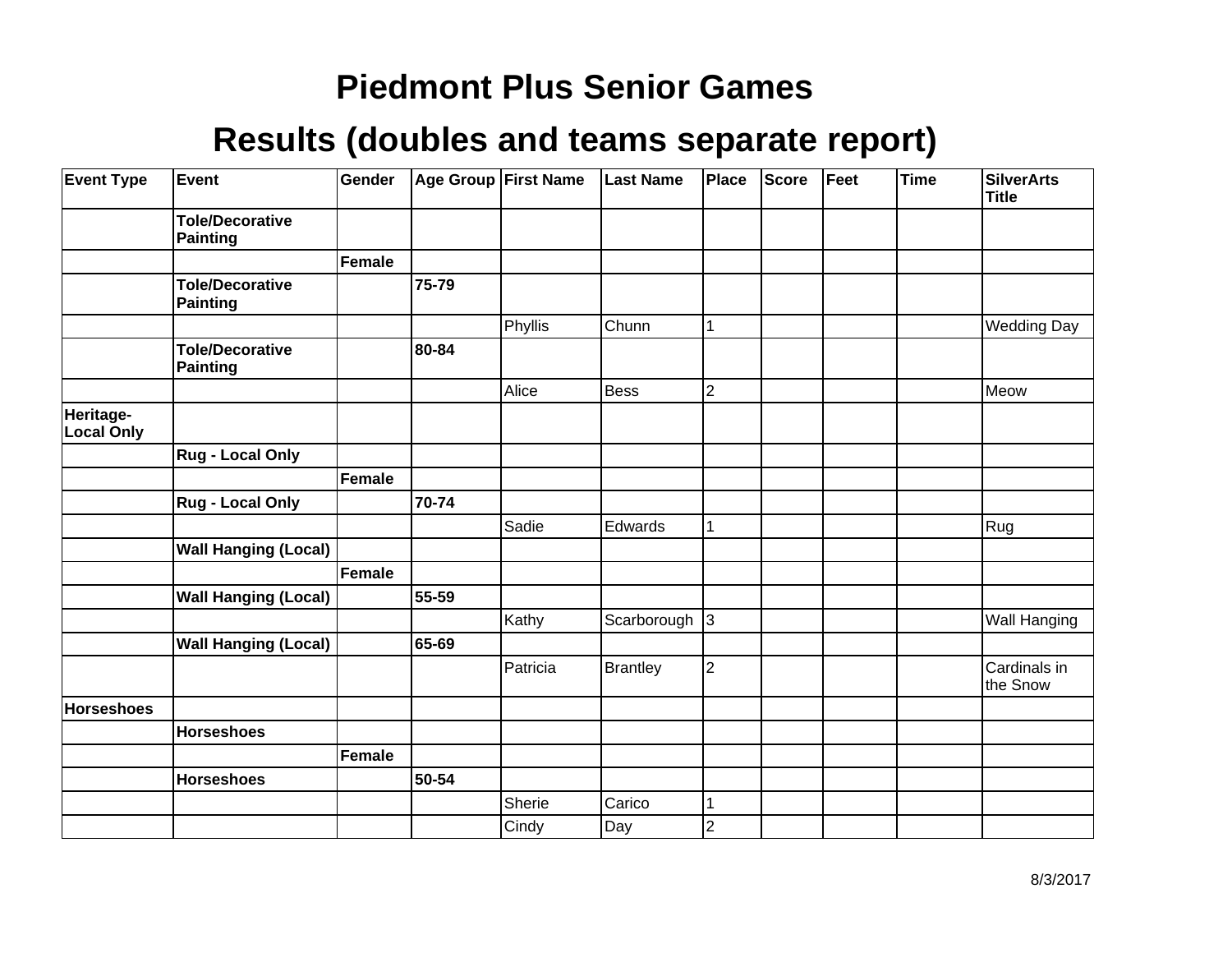| <b>Event Type</b>              | Event                                     | Gender |           | Age Group First Name | <b>Last Name</b> | Place                   | Score | Feet | <b>Time</b> | <b>SilverArts</b><br><b>Title</b> |
|--------------------------------|-------------------------------------------|--------|-----------|----------------------|------------------|-------------------------|-------|------|-------------|-----------------------------------|
|                                | <b>Tole/Decorative</b><br>Painting        |        |           |                      |                  |                         |       |      |             |                                   |
|                                |                                           | Female |           |                      |                  |                         |       |      |             |                                   |
|                                | <b>Tole/Decorative</b><br>Painting        |        | 75-79     |                      |                  |                         |       |      |             |                                   |
|                                |                                           |        |           | Phyllis              | Chunn            | 1                       |       |      |             | <b>Wedding Day</b>                |
|                                | <b>Tole/Decorative</b><br><b>Painting</b> |        | 80-84     |                      |                  |                         |       |      |             |                                   |
|                                |                                           |        |           | Alice                | Bess             | $\overline{2}$          |       |      |             | Meow                              |
| Heritage-<br><b>Local Only</b> |                                           |        |           |                      |                  |                         |       |      |             |                                   |
|                                | <b>Rug - Local Only</b>                   |        |           |                      |                  |                         |       |      |             |                                   |
|                                |                                           | Female |           |                      |                  |                         |       |      |             |                                   |
|                                | <b>Rug - Local Only</b>                   |        | 70-74     |                      |                  |                         |       |      |             |                                   |
|                                |                                           |        |           | Sadie                | Edwards          | 1                       |       |      |             | Rug                               |
|                                | <b>Wall Hanging (Local)</b>               |        |           |                      |                  |                         |       |      |             |                                   |
|                                |                                           | Female |           |                      |                  |                         |       |      |             |                                   |
|                                | <b>Wall Hanging (Local)</b>               |        | 55-59     |                      |                  |                         |       |      |             |                                   |
|                                |                                           |        |           | Kathy                | Scarborough      | $\vert$ 3               |       |      |             | <b>Wall Hanging</b>               |
|                                | <b>Wall Hanging (Local)</b>               |        | 65-69     |                      |                  |                         |       |      |             |                                   |
|                                |                                           |        |           | Patricia             | <b>Brantley</b>  | $\overline{2}$          |       |      |             | Cardinals in<br>the Snow          |
| <b>Horseshoes</b>              |                                           |        |           |                      |                  |                         |       |      |             |                                   |
|                                | <b>Horseshoes</b>                         |        |           |                      |                  |                         |       |      |             |                                   |
|                                |                                           | Female |           |                      |                  |                         |       |      |             |                                   |
|                                | <b>Horseshoes</b>                         |        | $50 - 54$ |                      |                  |                         |       |      |             |                                   |
|                                |                                           |        |           | Sherie               | Carico           | 1                       |       |      |             |                                   |
|                                |                                           |        |           | Cindy                | Day              | $\overline{\mathbf{c}}$ |       |      |             |                                   |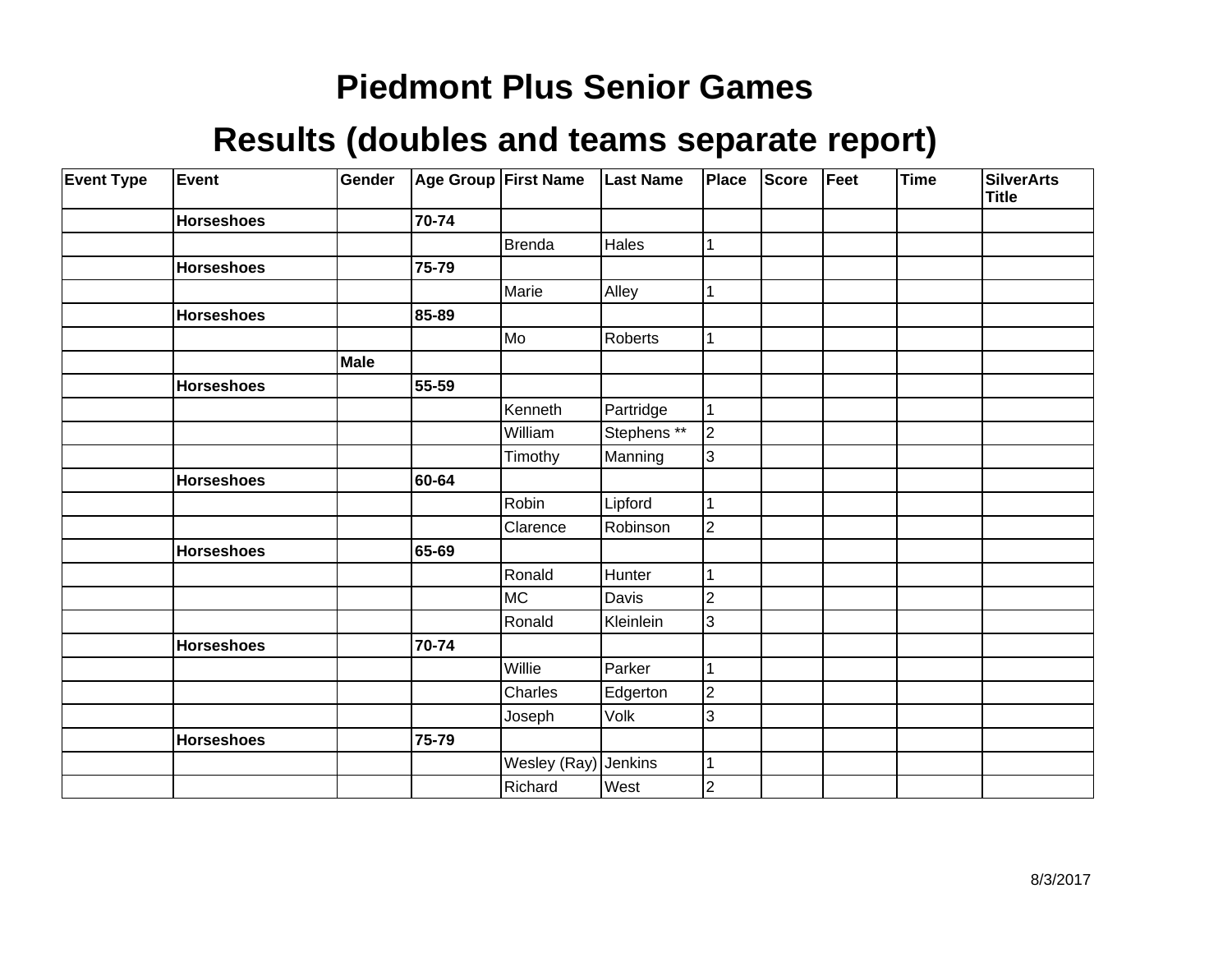| <b>Event Type</b> | Event             | Gender |       | Age Group First Name | <b>Last Name</b> | Place                   | <b>Score</b> | Feet | Time | <b>SilverArts</b><br>Title |
|-------------------|-------------------|--------|-------|----------------------|------------------|-------------------------|--------------|------|------|----------------------------|
|                   | <b>Horseshoes</b> |        | 70-74 |                      |                  |                         |              |      |      |                            |
|                   |                   |        |       | <b>Brenda</b>        | Hales            | 1                       |              |      |      |                            |
|                   | <b>Horseshoes</b> |        | 75-79 |                      |                  |                         |              |      |      |                            |
|                   |                   |        |       | Marie                | Alley            | 1                       |              |      |      |                            |
|                   | <b>Horseshoes</b> |        | 85-89 |                      |                  |                         |              |      |      |                            |
|                   |                   |        |       | Mo                   | Roberts          | $\mathbf{1}$            |              |      |      |                            |
|                   |                   | Male   |       |                      |                  |                         |              |      |      |                            |
|                   | <b>Horseshoes</b> |        | 55-59 |                      |                  |                         |              |      |      |                            |
|                   |                   |        |       | Kenneth              | Partridge        | 1                       |              |      |      |                            |
|                   |                   |        |       | William              | Stephens **      | $ 2\rangle$             |              |      |      |                            |
|                   |                   |        |       | Timothy              | Manning          | $ 3\rangle$             |              |      |      |                            |
|                   | <b>Horseshoes</b> |        | 60-64 |                      |                  |                         |              |      |      |                            |
|                   |                   |        |       | Robin                | Lipford          | 1                       |              |      |      |                            |
|                   |                   |        |       | Clarence             | Robinson         | $\overline{2}$          |              |      |      |                            |
|                   | <b>Horseshoes</b> |        | 65-69 |                      |                  |                         |              |      |      |                            |
|                   |                   |        |       | Ronald               | Hunter           | 1                       |              |      |      |                            |
|                   |                   |        |       | <b>MC</b>            | Davis            | $\overline{c}$          |              |      |      |                            |
|                   |                   |        |       | Ronald               | Kleinlein        | 3                       |              |      |      |                            |
|                   | <b>Horseshoes</b> |        | 70-74 |                      |                  |                         |              |      |      |                            |
|                   |                   |        |       | Willie               | Parker           |                         |              |      |      |                            |
|                   |                   |        |       | Charles              | Edgerton         | $\overline{2}$          |              |      |      |                            |
|                   |                   |        |       | Joseph               | Volk             | 3                       |              |      |      |                            |
|                   | <b>Horseshoes</b> |        | 75-79 |                      |                  |                         |              |      |      |                            |
|                   |                   |        |       | Wesley (Ray) Jenkins |                  | 1                       |              |      |      |                            |
|                   |                   |        |       | Richard              | West             | $\overline{\mathbf{c}}$ |              |      |      |                            |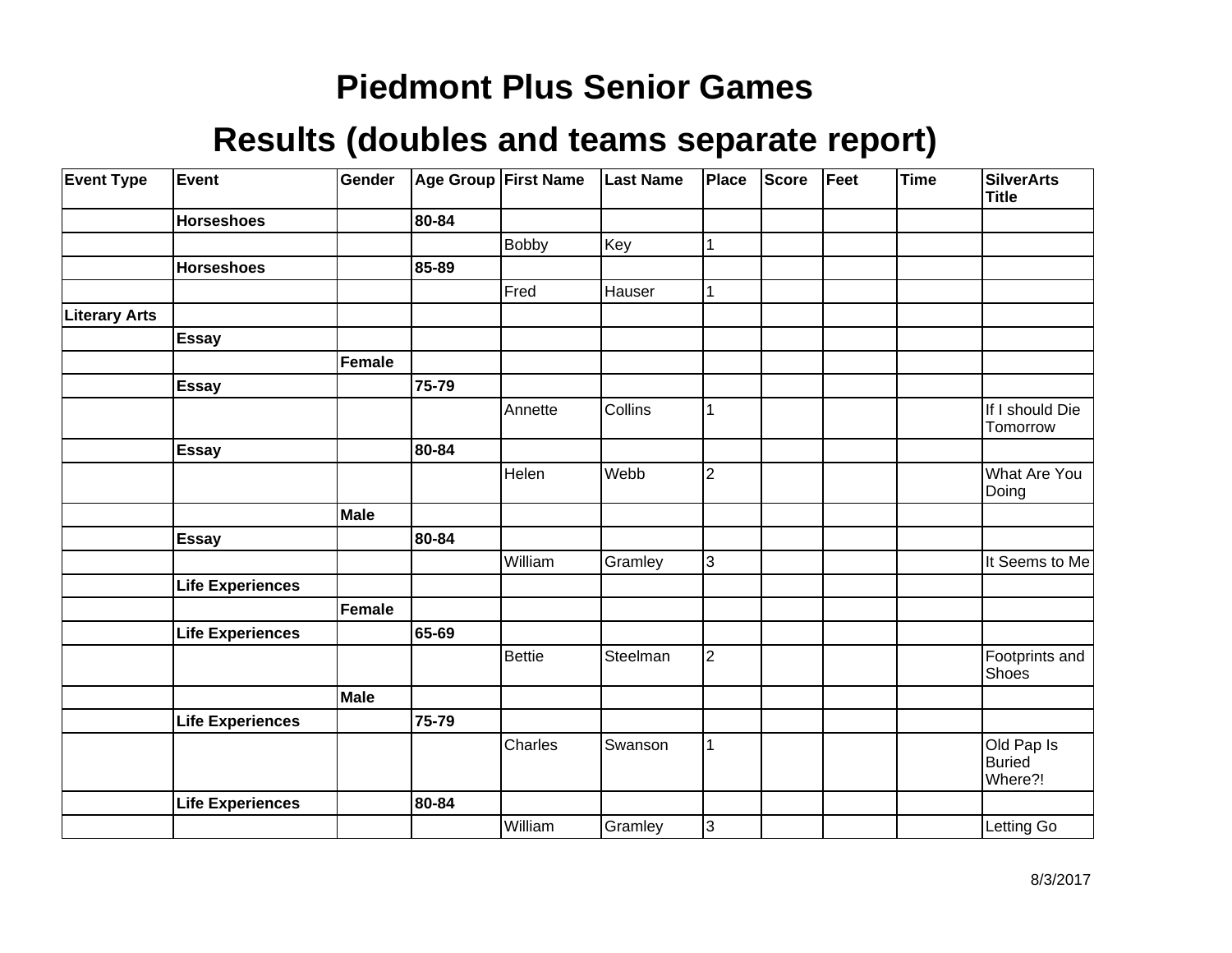| <b>Event Type</b>    | Event                   | Gender        |       | Age Group First Name | <b>Last Name</b> | Place          | <b>Score</b> | Feet | <b>Time</b> | <b>SilverArts</b><br><b>Title</b>      |
|----------------------|-------------------------|---------------|-------|----------------------|------------------|----------------|--------------|------|-------------|----------------------------------------|
|                      | <b>Horseshoes</b>       |               | 80-84 |                      |                  |                |              |      |             |                                        |
|                      |                         |               |       | <b>Bobby</b>         | Key              | 1              |              |      |             |                                        |
|                      | <b>Horseshoes</b>       |               | 85-89 |                      |                  |                |              |      |             |                                        |
|                      |                         |               |       | Fred                 | Hauser           |                |              |      |             |                                        |
| <b>Literary Arts</b> |                         |               |       |                      |                  |                |              |      |             |                                        |
|                      | <b>Essay</b>            |               |       |                      |                  |                |              |      |             |                                        |
|                      |                         | Female        |       |                      |                  |                |              |      |             |                                        |
|                      | <b>Essay</b>            |               | 75-79 |                      |                  |                |              |      |             |                                        |
|                      |                         |               |       | Annette              | Collins          |                |              |      |             | If I should Die<br>Tomorrow            |
|                      | <b>Essay</b>            |               | 80-84 |                      |                  |                |              |      |             |                                        |
|                      |                         |               |       | Helen                | Webb             | $\overline{c}$ |              |      |             | What Are You<br>Doing                  |
|                      |                         | Male          |       |                      |                  |                |              |      |             |                                        |
|                      | Essay                   |               | 80-84 |                      |                  |                |              |      |             |                                        |
|                      |                         |               |       | William              | Gramley          | $\overline{3}$ |              |      |             | It Seems to Me                         |
|                      | <b>Life Experiences</b> |               |       |                      |                  |                |              |      |             |                                        |
|                      |                         | <b>Female</b> |       |                      |                  |                |              |      |             |                                        |
|                      | <b>Life Experiences</b> |               | 65-69 |                      |                  |                |              |      |             |                                        |
|                      |                         |               |       | <b>Bettie</b>        | Steelman         | $\overline{2}$ |              |      |             | Footprints and<br>Shoes                |
|                      |                         | Male          |       |                      |                  |                |              |      |             |                                        |
|                      | <b>Life Experiences</b> |               | 75-79 |                      |                  |                |              |      |             |                                        |
|                      |                         |               |       | Charles              | Swanson          | 1              |              |      |             | Old Pap Is<br><b>Buried</b><br>Where?! |
|                      | <b>Life Experiences</b> |               | 80-84 |                      |                  |                |              |      |             |                                        |
|                      |                         |               |       | William              | Gramley          | $\overline{3}$ |              |      |             | Letting Go                             |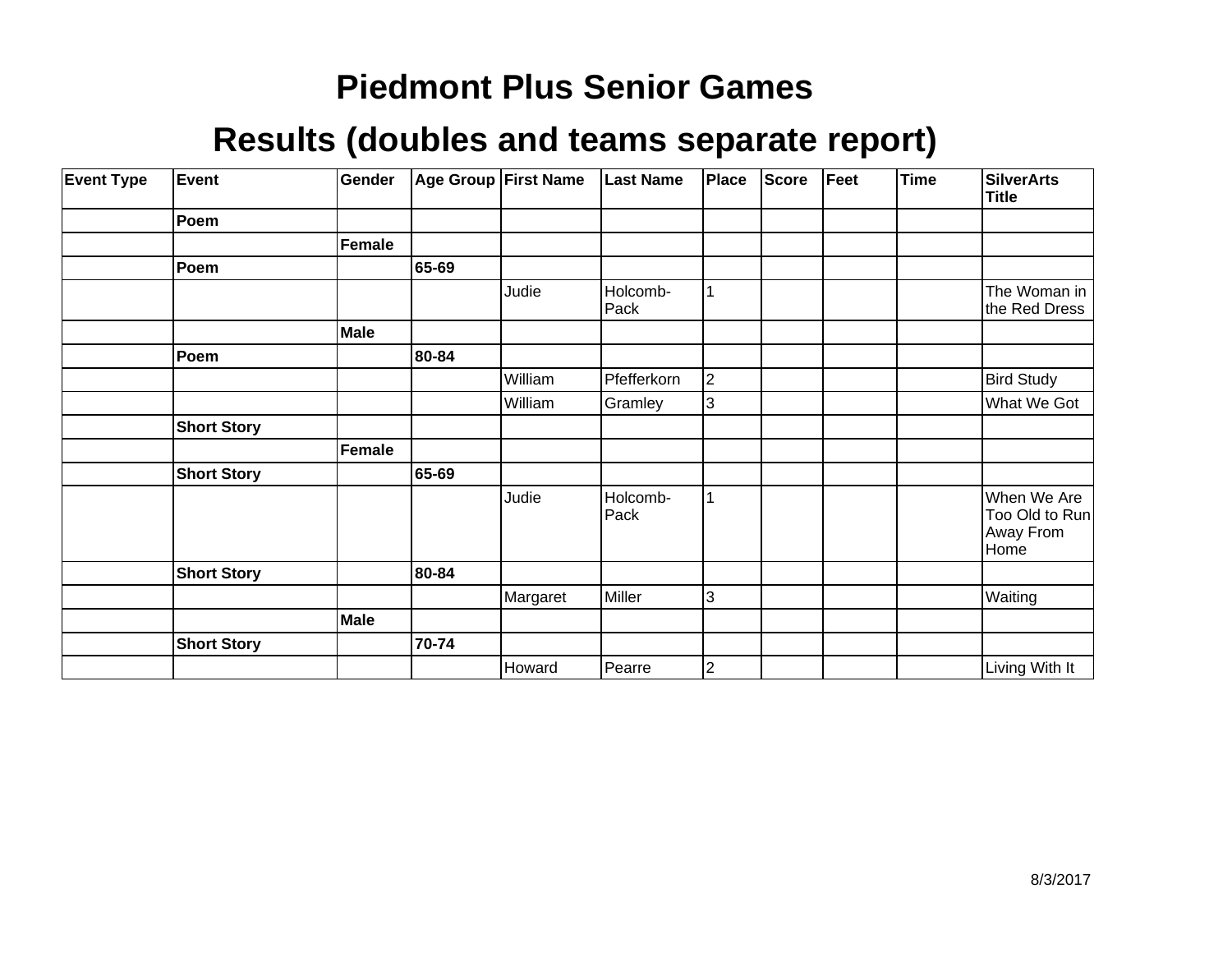| <b>Event Type</b> | Event              | Gender |       | Age Group   First Name | <b>Last Name</b> | Place       | Score | Feet | <b>Time</b> | <b>SilverArts</b><br><b>Title</b>                  |
|-------------------|--------------------|--------|-------|------------------------|------------------|-------------|-------|------|-------------|----------------------------------------------------|
|                   | Poem               |        |       |                        |                  |             |       |      |             |                                                    |
|                   |                    | Female |       |                        |                  |             |       |      |             |                                                    |
|                   | Poem               |        | 65-69 |                        |                  |             |       |      |             |                                                    |
|                   |                    |        |       | Judie                  | Holcomb-<br>Pack |             |       |      |             | The Woman in<br>the Red Dress                      |
|                   |                    | Male   |       |                        |                  |             |       |      |             |                                                    |
|                   | Poem               |        | 80-84 |                        |                  |             |       |      |             |                                                    |
|                   |                    |        |       | William                | Pfefferkorn      | $ 2\rangle$ |       |      |             | <b>Bird Study</b>                                  |
|                   |                    |        |       | William                | Gramley          | Iз          |       |      |             | What We Got                                        |
|                   | <b>Short Story</b> |        |       |                        |                  |             |       |      |             |                                                    |
|                   |                    | Female |       |                        |                  |             |       |      |             |                                                    |
|                   | <b>Short Story</b> |        | 65-69 |                        |                  |             |       |      |             |                                                    |
|                   |                    |        |       | Judie                  | Holcomb-<br>Pack |             |       |      |             | When We Are<br>Too Old to Run<br>Away From<br>Home |
|                   | <b>Short Story</b> |        | 80-84 |                        |                  |             |       |      |             |                                                    |
|                   |                    |        |       | Margaret               | Miller           | 3           |       |      |             | Waiting                                            |
|                   |                    | Male   |       |                        |                  |             |       |      |             |                                                    |
|                   | <b>Short Story</b> |        | 70-74 |                        |                  |             |       |      |             |                                                    |
|                   |                    |        |       | Howard                 | Pearre           | 2           |       |      |             | Living With It                                     |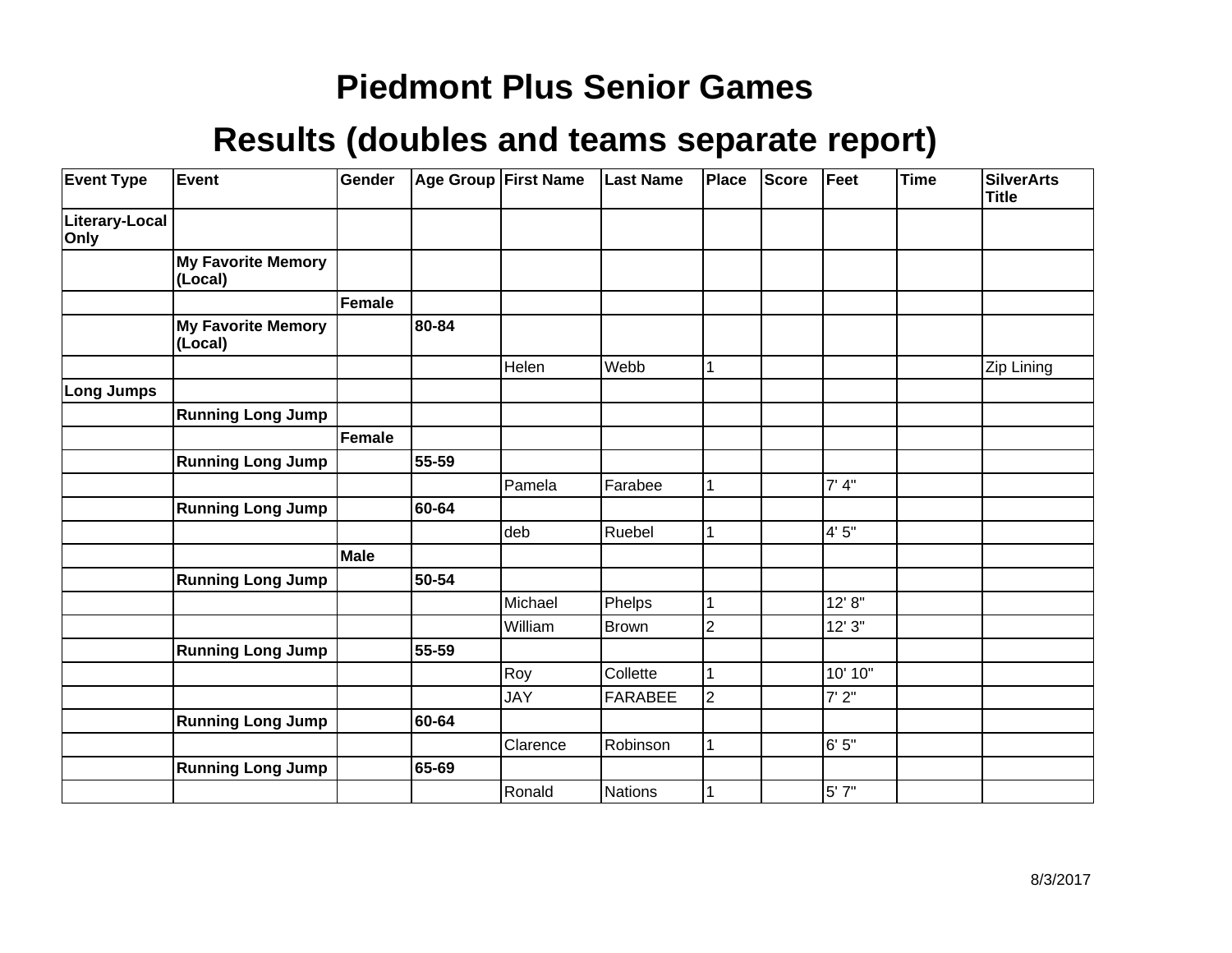| <b>Event Type</b>      | Event                                | Gender      | Age Group First Name |            | <b>Last Name</b> | Place          | Score | Feet      | <b>Time</b> | <b>SilverArts</b><br><b>Title</b> |
|------------------------|--------------------------------------|-------------|----------------------|------------|------------------|----------------|-------|-----------|-------------|-----------------------------------|
| Literary-Local<br>Only |                                      |             |                      |            |                  |                |       |           |             |                                   |
|                        | <b>My Favorite Memory</b><br>(Local) |             |                      |            |                  |                |       |           |             |                                   |
|                        |                                      | Female      |                      |            |                  |                |       |           |             |                                   |
|                        | <b>My Favorite Memory</b><br>(Local) |             | 80-84                |            |                  |                |       |           |             |                                   |
|                        |                                      |             |                      | Helen      | Webb             |                |       |           |             | Zip Lining                        |
| <b>Long Jumps</b>      |                                      |             |                      |            |                  |                |       |           |             |                                   |
|                        | <b>Running Long Jump</b>             |             |                      |            |                  |                |       |           |             |                                   |
|                        |                                      | Female      |                      |            |                  |                |       |           |             |                                   |
|                        | <b>Running Long Jump</b>             |             | 55-59                |            |                  |                |       |           |             |                                   |
|                        |                                      |             |                      | Pamela     | Farabee          |                |       | 7' 4''    |             |                                   |
|                        | <b>Running Long Jump</b>             |             | 60-64                |            |                  |                |       |           |             |                                   |
|                        |                                      |             |                      | deb        | Ruebel           |                |       | 4'5''     |             |                                   |
|                        |                                      | <b>Male</b> |                      |            |                  |                |       |           |             |                                   |
|                        | <b>Running Long Jump</b>             |             | 50-54                |            |                  |                |       |           |             |                                   |
|                        |                                      |             |                      | Michael    | Phelps           |                |       | 12' 8''   |             |                                   |
|                        |                                      |             |                      | William    | Brown            | $\overline{2}$ |       | 12'3''    |             |                                   |
|                        | <b>Running Long Jump</b>             |             | 55-59                |            |                  |                |       |           |             |                                   |
|                        |                                      |             |                      | Roy        | Collette         |                |       | 10' 10"   |             |                                   |
|                        |                                      |             |                      | <b>JAY</b> | <b>FARABEE</b>   | $\overline{2}$ |       | 7'2''     |             |                                   |
|                        | <b>Running Long Jump</b>             |             | 60-64                |            |                  |                |       |           |             |                                   |
|                        |                                      |             |                      | Clarence   | Robinson         |                |       | 6'5''     |             |                                   |
|                        | <b>Running Long Jump</b>             |             | 65-69                |            |                  |                |       |           |             |                                   |
|                        |                                      |             |                      | Ronald     | <b>Nations</b>   |                |       | $5'$ $7"$ |             |                                   |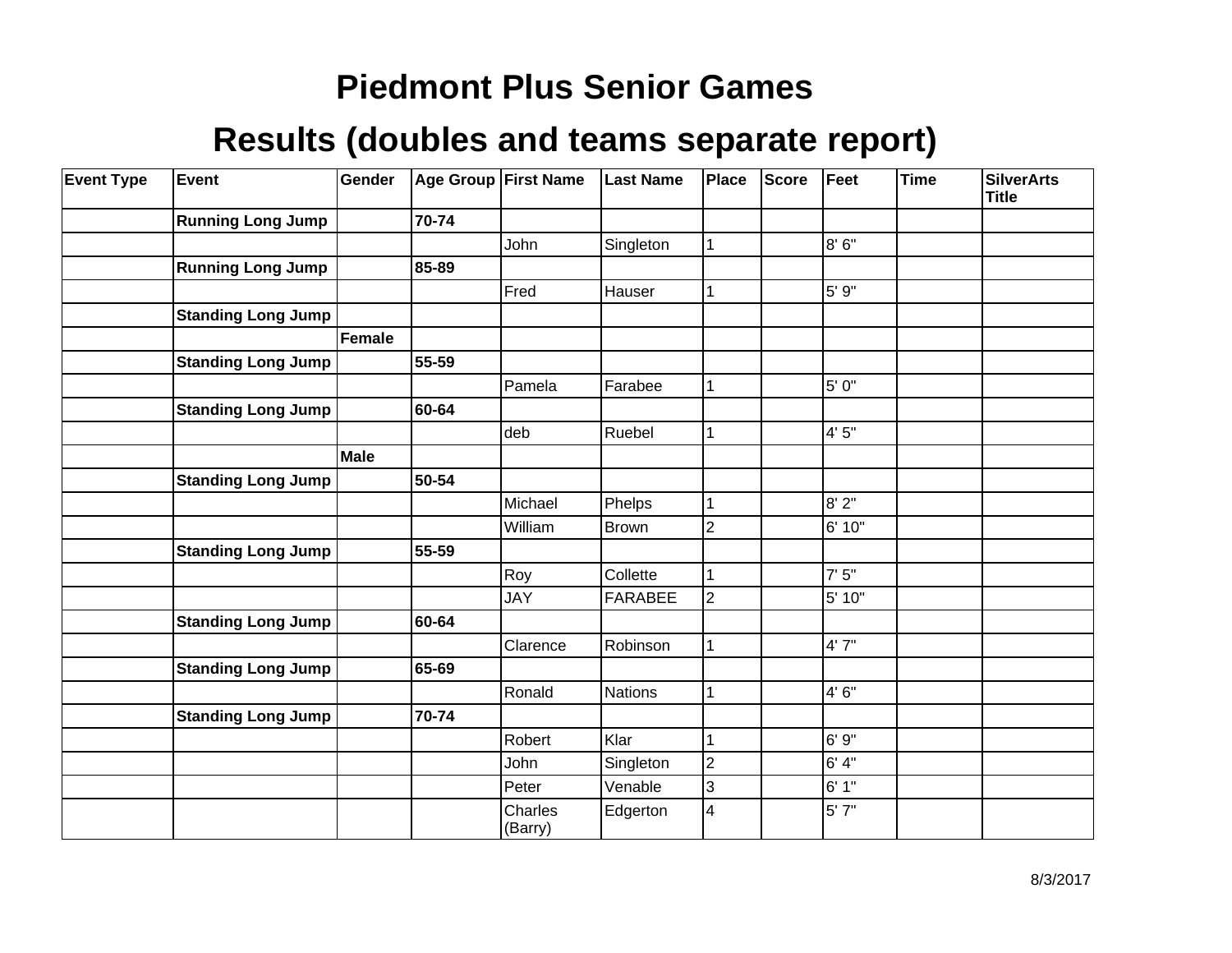| <b>Event Type</b> | Event                     | Gender | <b>Age Group First Name</b> |                    | <b>Last Name</b> | <b>Place</b>   | <b>Score</b> | Feet   | <b>Time</b> | <b>SilverArts</b><br><b>Title</b> |
|-------------------|---------------------------|--------|-----------------------------|--------------------|------------------|----------------|--------------|--------|-------------|-----------------------------------|
|                   | <b>Running Long Jump</b>  |        | 70-74                       |                    |                  |                |              |        |             |                                   |
|                   |                           |        |                             | John               | Singleton        | 1              |              | 8' 6"  |             |                                   |
|                   | <b>Running Long Jump</b>  |        | 85-89                       |                    |                  |                |              |        |             |                                   |
|                   |                           |        |                             | Fred               | Hauser           |                |              | 5' 9"  |             |                                   |
|                   | <b>Standing Long Jump</b> |        |                             |                    |                  |                |              |        |             |                                   |
|                   |                           | Female |                             |                    |                  |                |              |        |             |                                   |
|                   | <b>Standing Long Jump</b> |        | 55-59                       |                    |                  |                |              |        |             |                                   |
|                   |                           |        |                             | Pamela             | Farabee          |                |              | 5' 0"  |             |                                   |
|                   | <b>Standing Long Jump</b> |        | 60-64                       |                    |                  |                |              |        |             |                                   |
|                   |                           |        |                             | deb                | Ruebel           |                |              | 4'5''  |             |                                   |
|                   |                           | Male   |                             |                    |                  |                |              |        |             |                                   |
|                   | <b>Standing Long Jump</b> |        | 50-54                       |                    |                  |                |              |        |             |                                   |
|                   |                           |        |                             | Michael            | Phelps           |                |              | 8' 2"  |             |                                   |
|                   |                           |        |                             | William            | Brown            | $\overline{2}$ |              | 6' 10" |             |                                   |
|                   | <b>Standing Long Jump</b> |        | 55-59                       |                    |                  |                |              |        |             |                                   |
|                   |                           |        |                             | Roy                | Collette         |                |              | 7'5''  |             |                                   |
|                   |                           |        |                             | <b>JAY</b>         | <b>FARABEE</b>   | $\overline{2}$ |              | 5' 10" |             |                                   |
|                   | <b>Standing Long Jump</b> |        | 60-64                       |                    |                  |                |              |        |             |                                   |
|                   |                           |        |                             | Clarence           | Robinson         |                |              | 4'7''  |             |                                   |
|                   | <b>Standing Long Jump</b> |        | 65-69                       |                    |                  |                |              |        |             |                                   |
|                   |                           |        |                             | Ronald             | Nations          |                |              | 4'6''  |             |                                   |
|                   | <b>Standing Long Jump</b> |        | 70-74                       |                    |                  |                |              |        |             |                                   |
|                   |                           |        |                             | Robert             | Klar             |                |              | 6' 9"  |             |                                   |
|                   |                           |        |                             | John               | Singleton        | $\overline{2}$ |              | 6' 4"  |             |                                   |
|                   |                           |        |                             | Peter              | Venable          | 3              |              | 6' 1"  |             |                                   |
|                   |                           |        |                             | Charles<br>(Barry) | Edgerton         | 4              |              | 5' 7"  |             |                                   |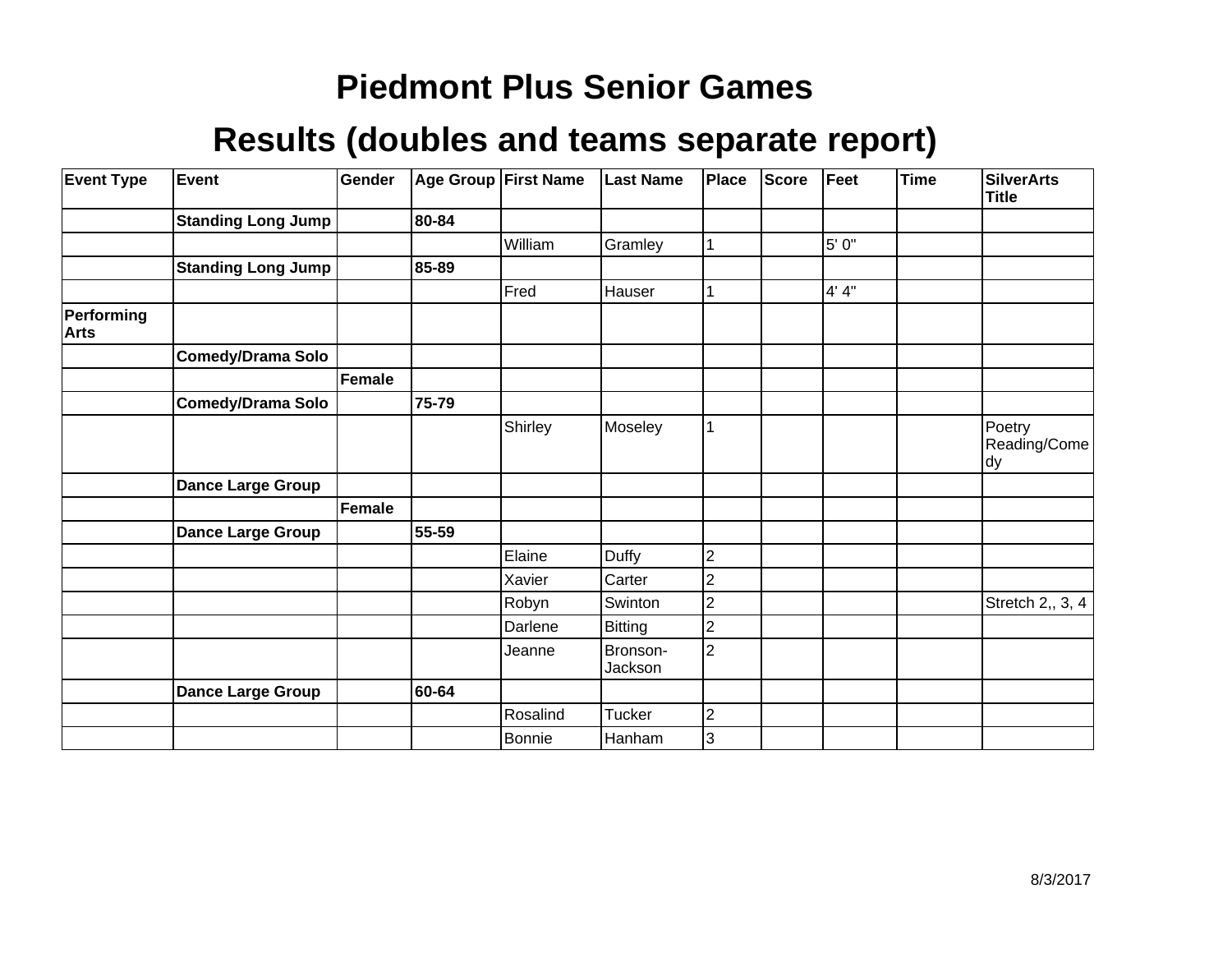| <b>Event Type</b>         | Event                     | Gender        | Age Group First Name |          | <b>Last Name</b>    | Place          | <b>Score</b> | Feet  | <b>Time</b> | <b>SilverArts</b><br><b>Title</b> |
|---------------------------|---------------------------|---------------|----------------------|----------|---------------------|----------------|--------------|-------|-------------|-----------------------------------|
|                           | <b>Standing Long Jump</b> |               | 80-84                |          |                     |                |              |       |             |                                   |
|                           |                           |               |                      | William  | Gramley             |                |              | 5' 0" |             |                                   |
|                           | <b>Standing Long Jump</b> |               | 85-89                |          |                     |                |              |       |             |                                   |
|                           |                           |               |                      | Fred     | Hauser              |                |              | 4' 4" |             |                                   |
| Performing<br><b>Arts</b> |                           |               |                      |          |                     |                |              |       |             |                                   |
|                           | <b>Comedy/Drama Solo</b>  |               |                      |          |                     |                |              |       |             |                                   |
|                           |                           | Female        |                      |          |                     |                |              |       |             |                                   |
|                           | <b>Comedy/Drama Solo</b>  |               | 75-79                |          |                     |                |              |       |             |                                   |
|                           |                           |               |                      | Shirley  | Moseley             | 1              |              |       |             | Poetry<br>Reading/Come<br>dy      |
|                           | <b>Dance Large Group</b>  |               |                      |          |                     |                |              |       |             |                                   |
|                           |                           | <b>Female</b> |                      |          |                     |                |              |       |             |                                   |
|                           | <b>Dance Large Group</b>  |               | 55-59                |          |                     |                |              |       |             |                                   |
|                           |                           |               |                      | Elaine   | <b>Duffy</b>        | 2              |              |       |             |                                   |
|                           |                           |               |                      | Xavier   | Carter              | 2              |              |       |             |                                   |
|                           |                           |               |                      | Robyn    | Swinton             | $\overline{c}$ |              |       |             | Stretch 2,, 3, 4                  |
|                           |                           |               |                      | Darlene  | <b>Bitting</b>      | $\overline{c}$ |              |       |             |                                   |
|                           |                           |               |                      | Jeanne   | Bronson-<br>Jackson | $\overline{2}$ |              |       |             |                                   |
|                           | Dance Large Group         |               | 60-64                |          |                     |                |              |       |             |                                   |
|                           |                           |               |                      | Rosalind | Tucker              | $\overline{c}$ |              |       |             |                                   |
|                           |                           |               |                      | Bonnie   | Hanham              | 3              |              |       |             |                                   |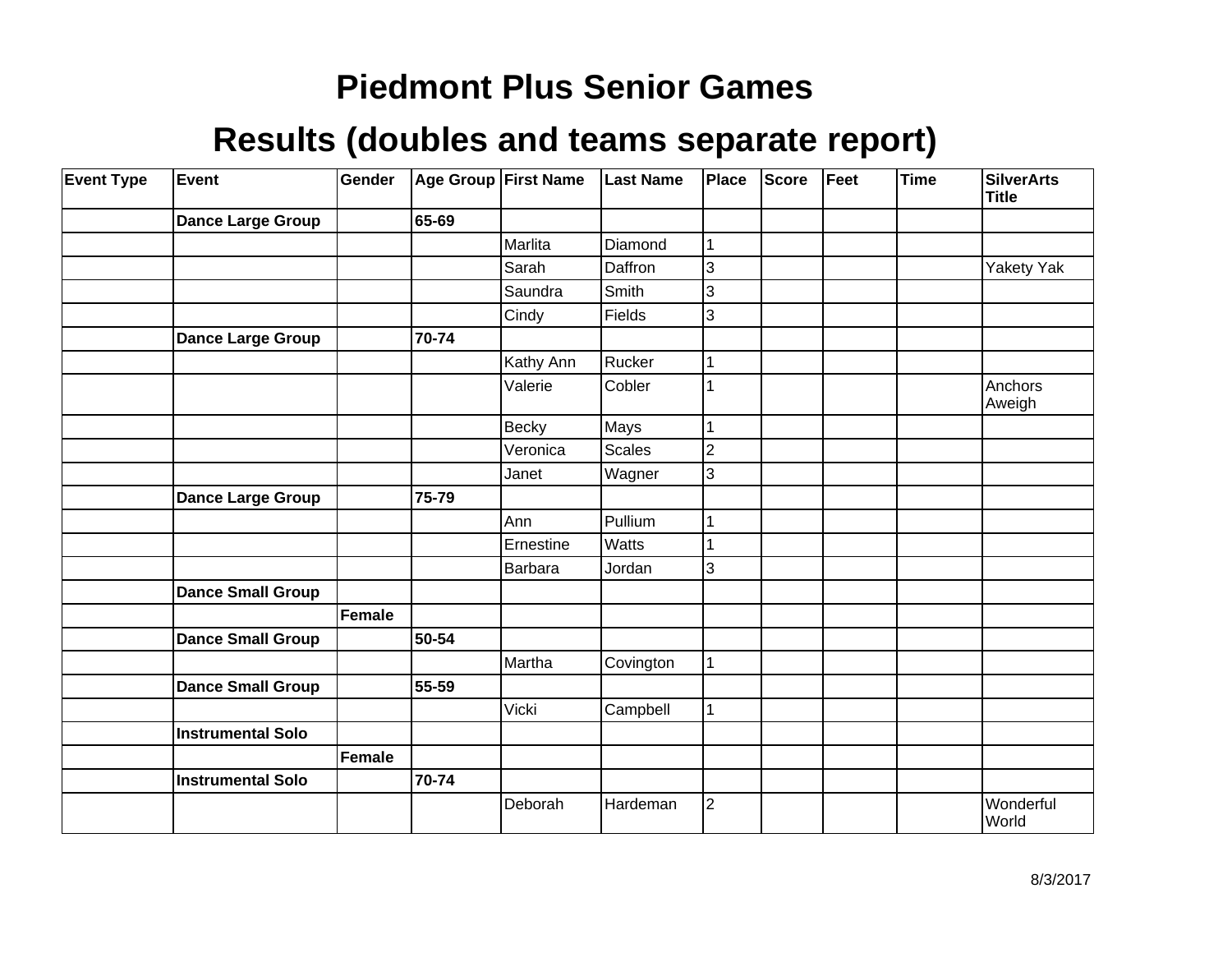| <b>Event Type</b> | Event                    | Gender        |       | Age Group First Name | <b>Last Name</b> | Place          | <b>Score</b> | Feet | <b>Time</b> | <b>SilverArts</b><br><b>Title</b> |
|-------------------|--------------------------|---------------|-------|----------------------|------------------|----------------|--------------|------|-------------|-----------------------------------|
|                   | <b>Dance Large Group</b> |               | 65-69 |                      |                  |                |              |      |             |                                   |
|                   |                          |               |       | Marlita              | Diamond          | 1              |              |      |             |                                   |
|                   |                          |               |       | Sarah                | Daffron          | 3              |              |      |             | Yakety Yak                        |
|                   |                          |               |       | Saundra              | Smith            | 3              |              |      |             |                                   |
|                   |                          |               |       | Cindy                | Fields           | 3              |              |      |             |                                   |
|                   | <b>Dance Large Group</b> |               | 70-74 |                      |                  |                |              |      |             |                                   |
|                   |                          |               |       | Kathy Ann            | Rucker           |                |              |      |             |                                   |
|                   |                          |               |       | Valerie              | Cobler           | 1              |              |      |             | Anchors<br>Aweigh                 |
|                   |                          |               |       | <b>Becky</b>         | Mays             | 1              |              |      |             |                                   |
|                   |                          |               |       | Veronica             | Scales           | $\overline{2}$ |              |      |             |                                   |
|                   |                          |               |       | Janet                | Wagner           | 3              |              |      |             |                                   |
|                   | <b>Dance Large Group</b> |               | 75-79 |                      |                  |                |              |      |             |                                   |
|                   |                          |               |       | Ann                  | Pullium          |                |              |      |             |                                   |
|                   |                          |               |       | Ernestine            | Watts            |                |              |      |             |                                   |
|                   |                          |               |       | Barbara              | Jordan           | 3              |              |      |             |                                   |
|                   | <b>Dance Small Group</b> |               |       |                      |                  |                |              |      |             |                                   |
|                   |                          | Female        |       |                      |                  |                |              |      |             |                                   |
|                   | <b>Dance Small Group</b> |               | 50-54 |                      |                  |                |              |      |             |                                   |
|                   |                          |               |       | Martha               | Covington        | 1              |              |      |             |                                   |
|                   | <b>Dance Small Group</b> |               | 55-59 |                      |                  |                |              |      |             |                                   |
|                   |                          |               |       | Vicki                | Campbell         |                |              |      |             |                                   |
|                   | <b>Instrumental Solo</b> |               |       |                      |                  |                |              |      |             |                                   |
|                   |                          | <b>Female</b> |       |                      |                  |                |              |      |             |                                   |
|                   | <b>Instrumental Solo</b> |               | 70-74 |                      |                  |                |              |      |             |                                   |
|                   |                          |               |       | Deborah              | Hardeman         | $\overline{2}$ |              |      |             | Wonderful<br>World                |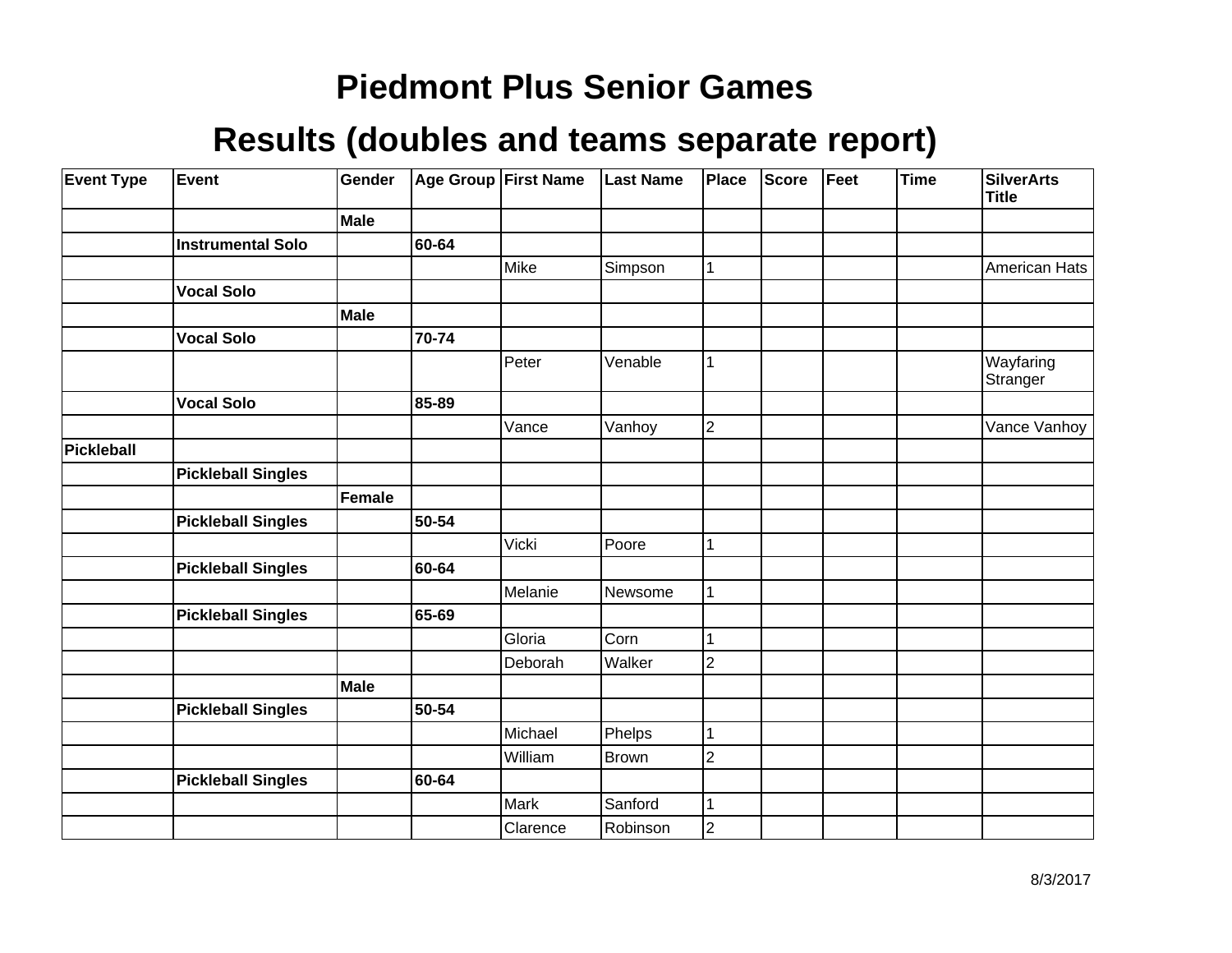| <b>Event Type</b> | Event                     | Gender      |       | Age Group First Name | <b>Last Name</b> | Place          | <b>Score</b> | Feet | <b>Time</b> | <b>SilverArts</b><br><b>Title</b> |
|-------------------|---------------------------|-------------|-------|----------------------|------------------|----------------|--------------|------|-------------|-----------------------------------|
|                   |                           | Male        |       |                      |                  |                |              |      |             |                                   |
|                   | <b>Instrumental Solo</b>  |             | 60-64 |                      |                  |                |              |      |             |                                   |
|                   |                           |             |       | Mike                 | Simpson          | 1              |              |      |             | American Hats                     |
|                   | <b>Vocal Solo</b>         |             |       |                      |                  |                |              |      |             |                                   |
|                   |                           | Male        |       |                      |                  |                |              |      |             |                                   |
|                   | <b>Vocal Solo</b>         |             | 70-74 |                      |                  |                |              |      |             |                                   |
|                   |                           |             |       | Peter                | Venable          | 1              |              |      |             | Wayfaring<br>Stranger             |
|                   | <b>Vocal Solo</b>         |             | 85-89 |                      |                  |                |              |      |             |                                   |
|                   |                           |             |       | Vance                | Vanhoy           | $\overline{2}$ |              |      |             | Vance Vanhoy                      |
| <b>Pickleball</b> |                           |             |       |                      |                  |                |              |      |             |                                   |
|                   | <b>Pickleball Singles</b> |             |       |                      |                  |                |              |      |             |                                   |
|                   |                           | Female      |       |                      |                  |                |              |      |             |                                   |
|                   | <b>Pickleball Singles</b> |             | 50-54 |                      |                  |                |              |      |             |                                   |
|                   |                           |             |       | Vicki                | Poore            | 1              |              |      |             |                                   |
|                   | <b>Pickleball Singles</b> |             | 60-64 |                      |                  |                |              |      |             |                                   |
|                   |                           |             |       | Melanie              | Newsome          | 1              |              |      |             |                                   |
|                   | <b>Pickleball Singles</b> |             | 65-69 |                      |                  |                |              |      |             |                                   |
|                   |                           |             |       | Gloria               | Corn             |                |              |      |             |                                   |
|                   |                           |             |       | Deborah              | Walker           | $\overline{2}$ |              |      |             |                                   |
|                   |                           | <b>Male</b> |       |                      |                  |                |              |      |             |                                   |
|                   | <b>Pickleball Singles</b> |             | 50-54 |                      |                  |                |              |      |             |                                   |
|                   |                           |             |       | Michael              | Phelps           | 1              |              |      |             |                                   |
|                   |                           |             |       | William              | Brown            | $\overline{c}$ |              |      |             |                                   |
|                   | <b>Pickleball Singles</b> |             | 60-64 |                      |                  |                |              |      |             |                                   |
|                   |                           |             |       | Mark                 | Sanford          | 1              |              |      |             |                                   |
|                   |                           |             |       | Clarence             | Robinson         | $\overline{c}$ |              |      |             |                                   |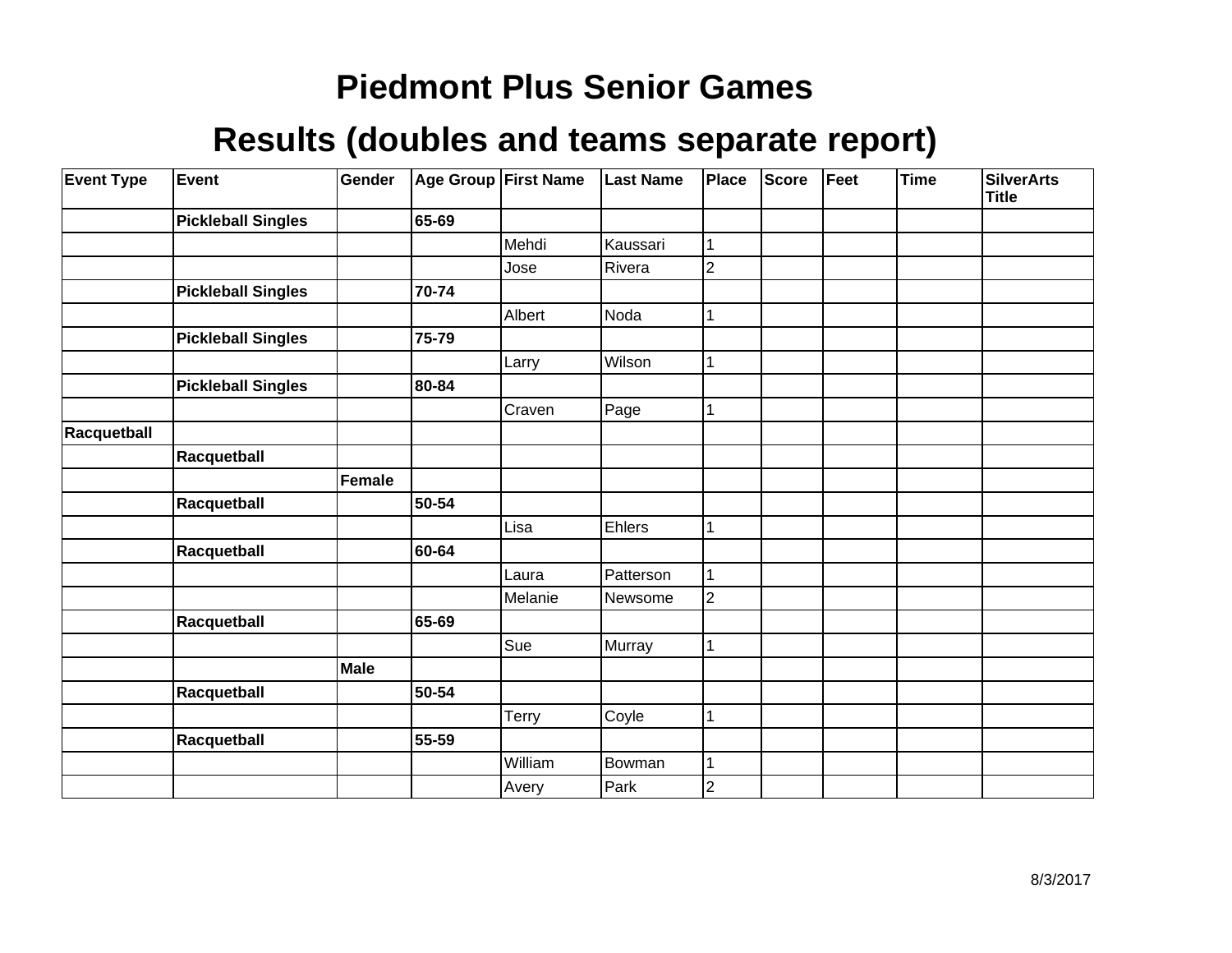| <b>Event Type</b> | <b>Event</b>              | Gender        |           | Age Group First Name | <b>Last Name</b> | Place          | <b>Score</b> | Feet | <b>Time</b> | <b>SilverArts</b><br><b>Title</b> |
|-------------------|---------------------------|---------------|-----------|----------------------|------------------|----------------|--------------|------|-------------|-----------------------------------|
|                   | <b>Pickleball Singles</b> |               | 65-69     |                      |                  |                |              |      |             |                                   |
|                   |                           |               |           | Mehdi                | Kaussari         |                |              |      |             |                                   |
|                   |                           |               |           | Jose                 | Rivera           | $\overline{2}$ |              |      |             |                                   |
|                   | <b>Pickleball Singles</b> |               | 70-74     |                      |                  |                |              |      |             |                                   |
|                   |                           |               |           | Albert               | Noda             |                |              |      |             |                                   |
|                   | <b>Pickleball Singles</b> |               | 75-79     |                      |                  |                |              |      |             |                                   |
|                   |                           |               |           | Larry                | Wilson           |                |              |      |             |                                   |
|                   | <b>Pickleball Singles</b> |               | 80-84     |                      |                  |                |              |      |             |                                   |
|                   |                           |               |           | Craven               | Page             |                |              |      |             |                                   |
| Racquetball       |                           |               |           |                      |                  |                |              |      |             |                                   |
|                   | Racquetball               |               |           |                      |                  |                |              |      |             |                                   |
|                   |                           | <b>Female</b> |           |                      |                  |                |              |      |             |                                   |
|                   | Racquetball               |               | 50-54     |                      |                  |                |              |      |             |                                   |
|                   |                           |               |           | Lisa                 | Ehlers           |                |              |      |             |                                   |
|                   | Racquetball               |               | 60-64     |                      |                  |                |              |      |             |                                   |
|                   |                           |               |           | Laura                | Patterson        |                |              |      |             |                                   |
|                   |                           |               |           | Melanie              | Newsome          | $\overline{2}$ |              |      |             |                                   |
|                   | Racquetball               |               | 65-69     |                      |                  |                |              |      |             |                                   |
|                   |                           |               |           | Sue                  | Murray           |                |              |      |             |                                   |
|                   |                           | <b>Male</b>   |           |                      |                  |                |              |      |             |                                   |
|                   | Racquetball               |               | 50-54     |                      |                  |                |              |      |             |                                   |
|                   |                           |               |           | Terry                | Coyle            |                |              |      |             |                                   |
|                   | Racquetball               |               | $55 - 59$ |                      |                  |                |              |      |             |                                   |
|                   |                           |               |           | William              | Bowman           |                |              |      |             |                                   |
|                   |                           |               |           | Avery                | Park             | $\overline{2}$ |              |      |             |                                   |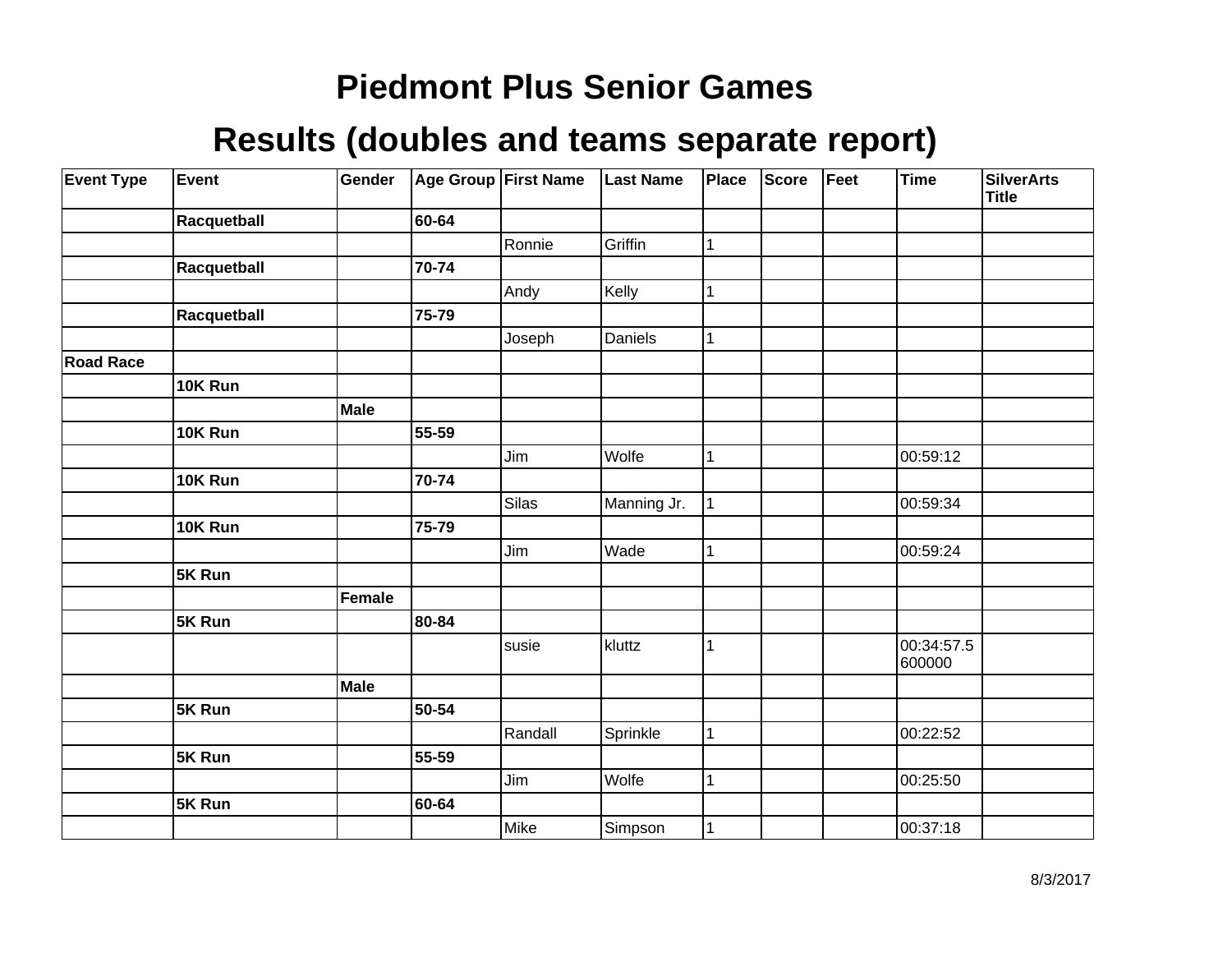| <b>Event Type</b> | Event       | Gender      |       | Age Group First Name | <b>Last Name</b> | Place        | <b>Score</b> | Feet | <b>Time</b>          | <b>SilverArts</b><br>Title |
|-------------------|-------------|-------------|-------|----------------------|------------------|--------------|--------------|------|----------------------|----------------------------|
|                   | Racquetball |             | 60-64 |                      |                  |              |              |      |                      |                            |
|                   |             |             |       | Ronnie               | Griffin          | 1            |              |      |                      |                            |
|                   | Racquetball |             | 70-74 |                      |                  |              |              |      |                      |                            |
|                   |             |             |       | Andy                 | Kelly            | 1            |              |      |                      |                            |
|                   | Racquetball |             | 75-79 |                      |                  |              |              |      |                      |                            |
|                   |             |             |       | Joseph               | Daniels          | 1            |              |      |                      |                            |
| <b>Road Race</b>  |             |             |       |                      |                  |              |              |      |                      |                            |
|                   | 10K Run     |             |       |                      |                  |              |              |      |                      |                            |
|                   |             | <b>Male</b> |       |                      |                  |              |              |      |                      |                            |
|                   | 10K Run     |             | 55-59 |                      |                  |              |              |      |                      |                            |
|                   |             |             |       | Jim                  | Wolfe            | $\mathbf{1}$ |              |      | 00:59:12             |                            |
|                   | 10K Run     |             | 70-74 |                      |                  |              |              |      |                      |                            |
|                   |             |             |       | Silas                | Manning Jr.      | $\mathbf{1}$ |              |      | 00:59:34             |                            |
|                   | 10K Run     |             | 75-79 |                      |                  |              |              |      |                      |                            |
|                   |             |             |       | Jim                  | Wade             | $\mathbf{1}$ |              |      | 00:59:24             |                            |
|                   | 5K Run      |             |       |                      |                  |              |              |      |                      |                            |
|                   |             | Female      |       |                      |                  |              |              |      |                      |                            |
|                   | 5K Run      |             | 80-84 |                      |                  |              |              |      |                      |                            |
|                   |             |             |       | susie                | kluttz           | 1            |              |      | 00:34:57.5<br>600000 |                            |
|                   |             | <b>Male</b> |       |                      |                  |              |              |      |                      |                            |
|                   | 5K Run      |             | 50-54 |                      |                  |              |              |      |                      |                            |
|                   |             |             |       | Randall              | Sprinkle         | $\mathbf{1}$ |              |      | 00:22:52             |                            |
|                   | 5K Run      |             | 55-59 |                      |                  |              |              |      |                      |                            |
|                   |             |             |       | Jim                  | Wolfe            | $\mathbf{1}$ |              |      | 00:25:50             |                            |
|                   | 5K Run      |             | 60-64 |                      |                  |              |              |      |                      |                            |
|                   |             |             |       | Mike                 | Simpson          | 1            |              |      | 00:37:18             |                            |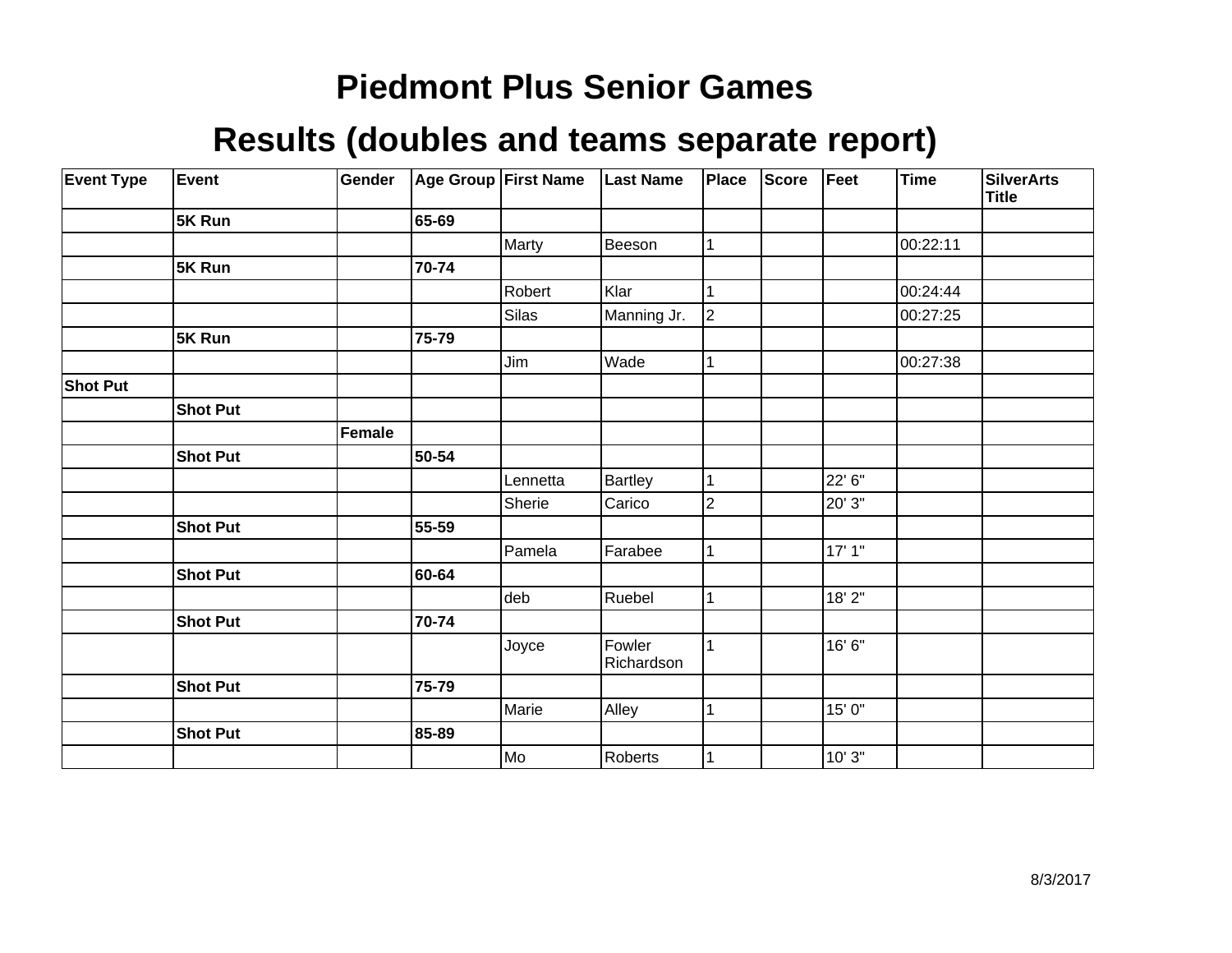| <b>Event Type</b> | Event           | Gender |       | Age Group First Name | <b>Last Name</b>     | Place          | <b>Score</b> | Feet    | Time     | <b>SilverArts</b><br><b>Title</b> |
|-------------------|-----------------|--------|-------|----------------------|----------------------|----------------|--------------|---------|----------|-----------------------------------|
|                   | 5K Run          |        | 65-69 |                      |                      |                |              |         |          |                                   |
|                   |                 |        |       | Marty                | Beeson               | 1              |              |         | 00:22:11 |                                   |
|                   | 5K Run          |        | 70-74 |                      |                      |                |              |         |          |                                   |
|                   |                 |        |       | Robert               | Klar                 |                |              |         | 00:24:44 |                                   |
|                   |                 |        |       | Silas                | Manning Jr.          | 2              |              |         | 00:27:25 |                                   |
|                   | 5K Run          |        | 75-79 |                      |                      |                |              |         |          |                                   |
|                   |                 |        |       | Jim                  | Wade                 | $\mathbf{1}$   |              |         | 00:27:38 |                                   |
| <b>Shot Put</b>   |                 |        |       |                      |                      |                |              |         |          |                                   |
|                   | <b>Shot Put</b> |        |       |                      |                      |                |              |         |          |                                   |
|                   |                 | Female |       |                      |                      |                |              |         |          |                                   |
|                   | <b>Shot Put</b> |        | 50-54 |                      |                      |                |              |         |          |                                   |
|                   |                 |        |       | Lennetta             | Bartley              | $\mathbf{1}$   |              | 22' 6"  |          |                                   |
|                   |                 |        |       | Sherie               | Carico               | $\overline{2}$ |              | 20' 3"  |          |                                   |
|                   | <b>Shot Put</b> |        | 55-59 |                      |                      |                |              |         |          |                                   |
|                   |                 |        |       | Pamela               | Farabee              | 1              |              | 17' 1'' |          |                                   |
|                   | <b>Shot Put</b> |        | 60-64 |                      |                      |                |              |         |          |                                   |
|                   |                 |        |       | deb                  | Ruebel               |                |              | 18' 2"  |          |                                   |
|                   | <b>Shot Put</b> |        | 70-74 |                      |                      |                |              |         |          |                                   |
|                   |                 |        |       | Joyce                | Fowler<br>Richardson | 1              |              | 16' 6'' |          |                                   |
|                   | <b>Shot Put</b> |        | 75-79 |                      |                      |                |              |         |          |                                   |
|                   |                 |        |       | Marie                | Alley                |                |              | 15' 0"  |          |                                   |
|                   | <b>Shot Put</b> |        | 85-89 |                      |                      |                |              |         |          |                                   |
|                   |                 |        |       | Mo]                  | Roberts              | 1              |              | 10' 3"  |          |                                   |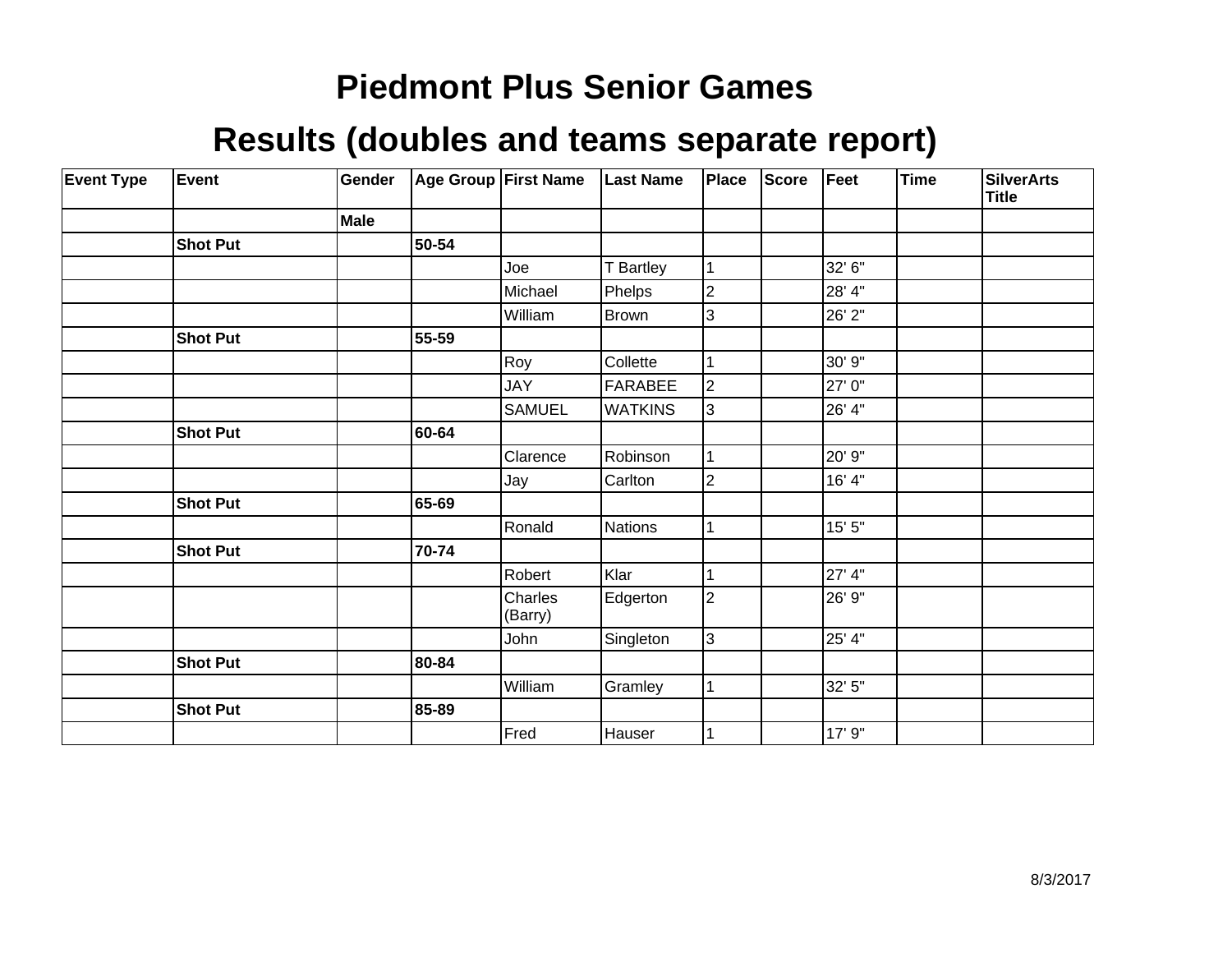| <b>Event Type</b> | Event           | Gender      |       | Age Group First Name | <b>Last Name</b> | Place          | <b>Score</b> | Feet    | Time | <b>SilverArts</b><br><b>Title</b> |
|-------------------|-----------------|-------------|-------|----------------------|------------------|----------------|--------------|---------|------|-----------------------------------|
|                   |                 | <b>Male</b> |       |                      |                  |                |              |         |      |                                   |
|                   | <b>Shot Put</b> |             | 50-54 |                      |                  |                |              |         |      |                                   |
|                   |                 |             |       | Joe                  | T Bartley        | $\mathbf{1}$   |              | 32' 6"  |      |                                   |
|                   |                 |             |       | Michael              | Phelps           | $\overline{c}$ |              | 28' 4"  |      |                                   |
|                   |                 |             |       | William              | Brown            | 3              |              | 26' 2"  |      |                                   |
|                   | <b>Shot Put</b> |             | 55-59 |                      |                  |                |              |         |      |                                   |
|                   |                 |             |       | Roy                  | Collette         | 1              |              | 30' 9"  |      |                                   |
|                   |                 |             |       | <b>JAY</b>           | FARABEE          | $\overline{2}$ |              | 27' 0"  |      |                                   |
|                   |                 |             |       | <b>SAMUEL</b>        | <b>WATKINS</b>   | 3              |              | 26' 4"  |      |                                   |
|                   | <b>Shot Put</b> |             | 60-64 |                      |                  |                |              |         |      |                                   |
|                   |                 |             |       | Clarence             | Robinson         |                |              | 20' 9"  |      |                                   |
|                   |                 |             |       | Jay                  | Carlton          | $\overline{2}$ |              | 16' 4"  |      |                                   |
|                   | <b>Shot Put</b> |             | 65-69 |                      |                  |                |              |         |      |                                   |
|                   |                 |             |       | Ronald               | Nations          | 1              |              | 15' 5'' |      |                                   |
|                   | <b>Shot Put</b> |             | 70-74 |                      |                  |                |              |         |      |                                   |
|                   |                 |             |       | Robert               | Klar             | 1              |              | 27' 4"  |      |                                   |
|                   |                 |             |       | Charles<br>(Barry)   | Edgerton         | $\overline{2}$ |              | 26' 9"  |      |                                   |
|                   |                 |             |       | John                 | Singleton        | $\overline{3}$ |              | 25' 4"  |      |                                   |
|                   | <b>Shot Put</b> |             | 80-84 |                      |                  |                |              |         |      |                                   |
|                   |                 |             |       | William              | Gramley          | $\mathbf{1}$   |              | 32' 5"  |      |                                   |
|                   | <b>Shot Put</b> |             | 85-89 |                      |                  |                |              |         |      |                                   |
|                   |                 |             |       | Fred                 | Hauser           |                |              | 17' 9"  |      |                                   |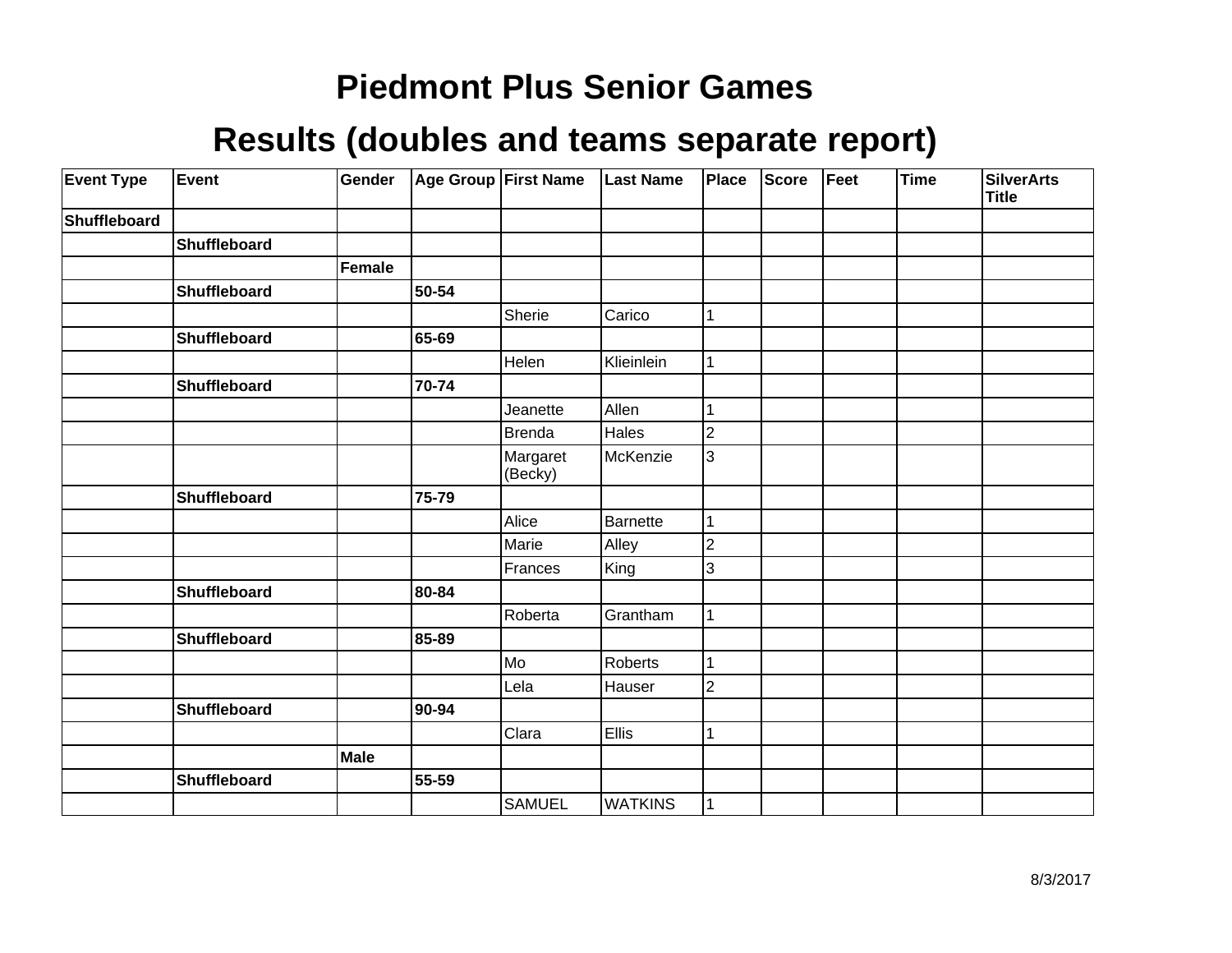| <b>Event Type</b> | Event               | Gender |       | Age Group First Name | <b>Last Name</b> | Place          | <b>Score</b> | Feet | <b>Time</b> | <b>SilverArts</b><br><b>Title</b> |
|-------------------|---------------------|--------|-------|----------------------|------------------|----------------|--------------|------|-------------|-----------------------------------|
| Shuffleboard      |                     |        |       |                      |                  |                |              |      |             |                                   |
|                   | Shuffleboard        |        |       |                      |                  |                |              |      |             |                                   |
|                   |                     | Female |       |                      |                  |                |              |      |             |                                   |
|                   | <b>Shuffleboard</b> |        | 50-54 |                      |                  |                |              |      |             |                                   |
|                   |                     |        |       | Sherie               | Carico           | 1              |              |      |             |                                   |
|                   | Shuffleboard        |        | 65-69 |                      |                  |                |              |      |             |                                   |
|                   |                     |        |       | Helen                | Klieinlein       | 1              |              |      |             |                                   |
|                   | Shuffleboard        |        | 70-74 |                      |                  |                |              |      |             |                                   |
|                   |                     |        |       | Jeanette             | Allen            |                |              |      |             |                                   |
|                   |                     |        |       | <b>Brenda</b>        | Hales            | $\overline{2}$ |              |      |             |                                   |
|                   |                     |        |       | Margaret<br>(Becky)  | McKenzie         | 3              |              |      |             |                                   |
|                   | Shuffleboard        |        | 75-79 |                      |                  |                |              |      |             |                                   |
|                   |                     |        |       | Alice                | Barnette         | 1              |              |      |             |                                   |
|                   |                     |        |       | Marie                | Alley            | $\overline{c}$ |              |      |             |                                   |
|                   |                     |        |       | Frances              | King             | 3              |              |      |             |                                   |
|                   | <b>Shuffleboard</b> |        | 80-84 |                      |                  |                |              |      |             |                                   |
|                   |                     |        |       | Roberta              | Grantham         | 1              |              |      |             |                                   |
|                   | Shuffleboard        |        | 85-89 |                      |                  |                |              |      |             |                                   |
|                   |                     |        |       | Mo                   | Roberts          | 1              |              |      |             |                                   |
|                   |                     |        |       | Lela                 | Hauser           | $\overline{c}$ |              |      |             |                                   |
|                   | Shuffleboard        |        | 90-94 |                      |                  |                |              |      |             |                                   |
|                   |                     |        |       | Clara                | <b>Ellis</b>     | 1              |              |      |             |                                   |
|                   |                     | Male   |       |                      |                  |                |              |      |             |                                   |
|                   | Shuffleboard        |        | 55-59 |                      |                  |                |              |      |             |                                   |
|                   |                     |        |       | <b>SAMUEL</b>        | <b>WATKINS</b>   | 1              |              |      |             |                                   |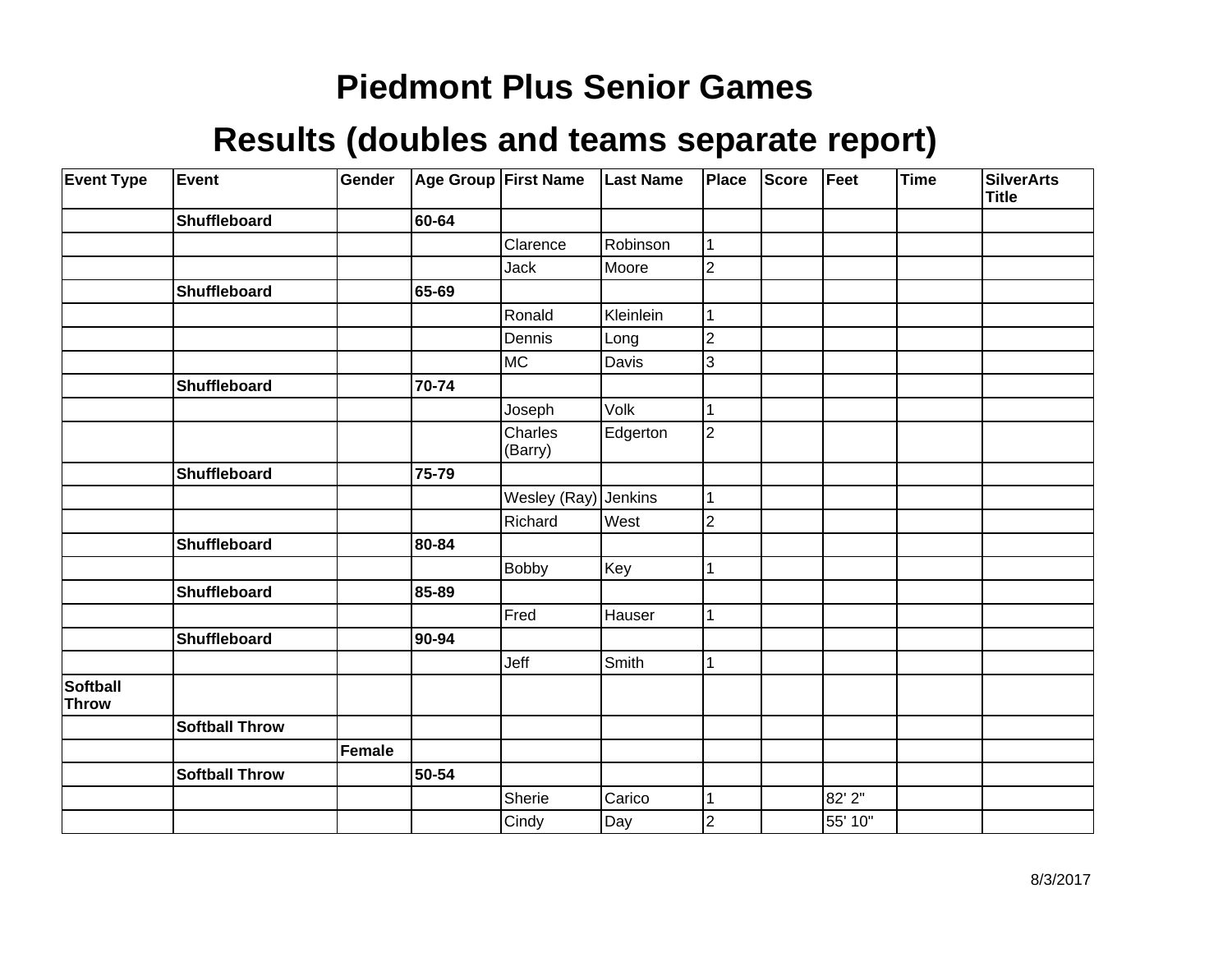| <b>Event Type</b>        | Event                 | Gender | Age Group First Name |                      | <b>Last Name</b> | <b>Place</b>   | <b>Score</b> | Feet    | Time | <b>SilverArts</b><br><b>Title</b> |
|--------------------------|-----------------------|--------|----------------------|----------------------|------------------|----------------|--------------|---------|------|-----------------------------------|
|                          | Shuffleboard          |        | 60-64                |                      |                  |                |              |         |      |                                   |
|                          |                       |        |                      | Clarence             | Robinson         | 1              |              |         |      |                                   |
|                          |                       |        |                      | <b>Jack</b>          | Moore            | $\overline{2}$ |              |         |      |                                   |
|                          | Shuffleboard          |        | 65-69                |                      |                  |                |              |         |      |                                   |
|                          |                       |        |                      | Ronald               | Kleinlein        | 1              |              |         |      |                                   |
|                          |                       |        |                      | Dennis               | Long             | 2              |              |         |      |                                   |
|                          |                       |        |                      | MC                   | Davis            | 3              |              |         |      |                                   |
|                          | Shuffleboard          |        | 70-74                |                      |                  |                |              |         |      |                                   |
|                          |                       |        |                      | Joseph               | Volk             |                |              |         |      |                                   |
|                          |                       |        |                      | Charles<br>(Barry)   | Edgerton         | $\overline{2}$ |              |         |      |                                   |
|                          | Shuffleboard          |        | 75-79                |                      |                  |                |              |         |      |                                   |
|                          |                       |        |                      | Wesley (Ray) Jenkins |                  |                |              |         |      |                                   |
|                          |                       |        |                      | Richard              | West             | $\overline{c}$ |              |         |      |                                   |
|                          | Shuffleboard          |        | 80-84                |                      |                  |                |              |         |      |                                   |
|                          |                       |        |                      | <b>Bobby</b>         | Key              |                |              |         |      |                                   |
|                          | Shuffleboard          |        | 85-89                |                      |                  |                |              |         |      |                                   |
|                          |                       |        |                      | Fred                 | Hauser           | 1              |              |         |      |                                   |
|                          | Shuffleboard          |        | 90-94                |                      |                  |                |              |         |      |                                   |
|                          |                       |        |                      | Jeff                 | Smith            |                |              |         |      |                                   |
| Softball<br><b>Throw</b> |                       |        |                      |                      |                  |                |              |         |      |                                   |
|                          | <b>Softball Throw</b> |        |                      |                      |                  |                |              |         |      |                                   |
|                          |                       | Female |                      |                      |                  |                |              |         |      |                                   |
|                          | <b>Softball Throw</b> |        | 50-54                |                      |                  |                |              |         |      |                                   |
|                          |                       |        |                      | Sherie               | Carico           | 1              |              | 82' 2"  |      |                                   |
|                          |                       |        |                      | Cindy                | Day              | $\overline{c}$ |              | 55' 10" |      |                                   |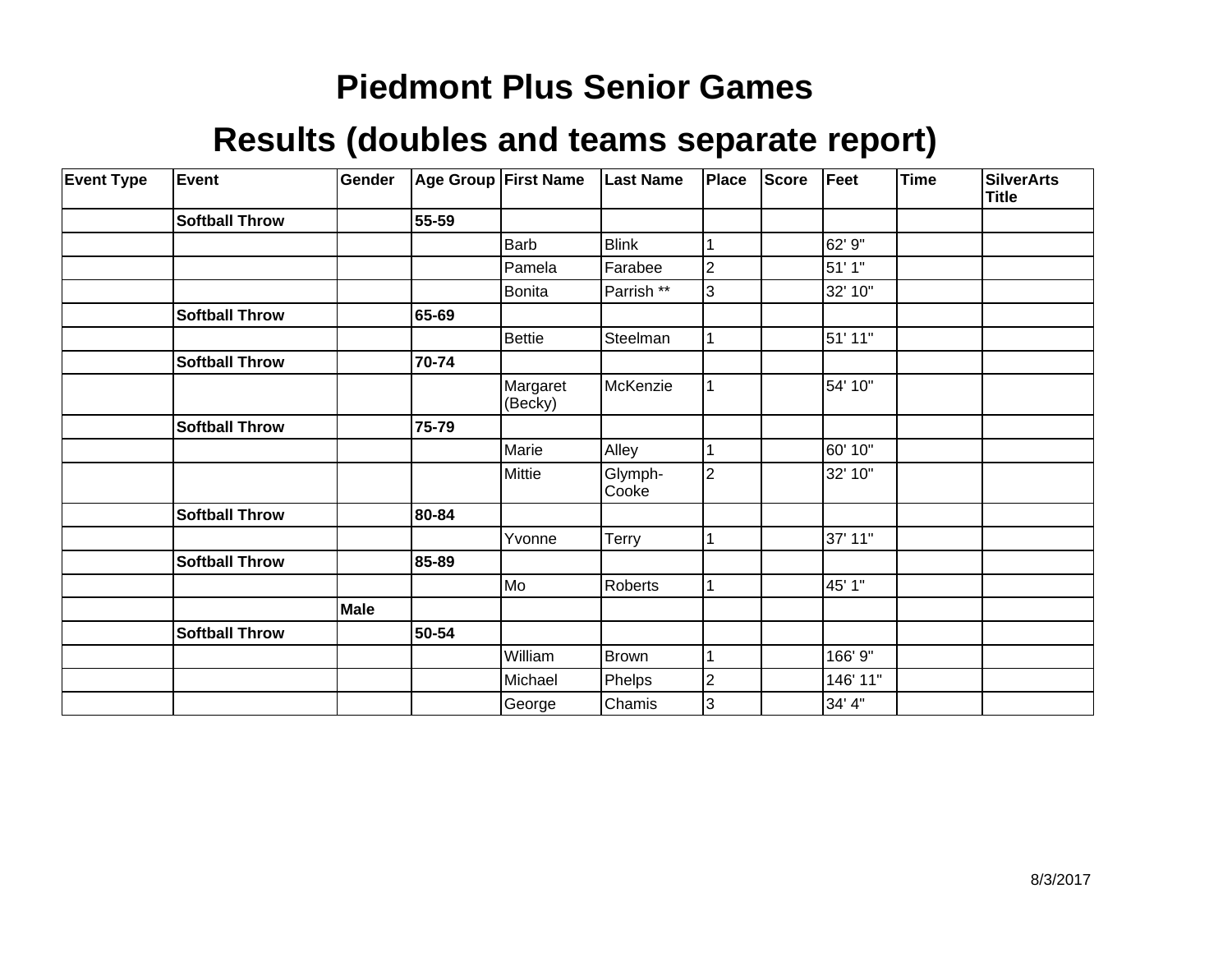| <b>Event Type</b> | <b>Event</b>          | Gender |       | <b>Age Group First Name</b> | <b>Last Name</b> | Place          | <b>Score</b> | Feet     | Time | <b>SilverArts</b><br><b>Title</b> |
|-------------------|-----------------------|--------|-------|-----------------------------|------------------|----------------|--------------|----------|------|-----------------------------------|
|                   | <b>Softball Throw</b> |        | 55-59 |                             |                  |                |              |          |      |                                   |
|                   |                       |        |       | Barb                        | <b>Blink</b>     |                |              | 62' 9"   |      |                                   |
|                   |                       |        |       | Pamela                      | Farabee          | 2              |              | 51'1''   |      |                                   |
|                   |                       |        |       | <b>Bonita</b>               | Parrish **       | 3              |              | 32' 10"  |      |                                   |
|                   | <b>Softball Throw</b> |        | 65-69 |                             |                  |                |              |          |      |                                   |
|                   |                       |        |       | <b>Bettie</b>               | Steelman         |                |              | 51' 11"  |      |                                   |
|                   | <b>Softball Throw</b> |        | 70-74 |                             |                  |                |              |          |      |                                   |
|                   |                       |        |       | Margaret<br>(Becky)         | McKenzie         |                |              | 54' 10"  |      |                                   |
|                   | <b>Softball Throw</b> |        | 75-79 |                             |                  |                |              |          |      |                                   |
|                   |                       |        |       | Marie                       | Alley            |                |              | 60' 10"  |      |                                   |
|                   |                       |        |       | Mittie                      | Glymph-<br>Cooke | $\overline{2}$ |              | 32' 10"  |      |                                   |
|                   | <b>Softball Throw</b> |        | 80-84 |                             |                  |                |              |          |      |                                   |
|                   |                       |        |       | Yvonne                      | Terry            |                |              | 37' 11"  |      |                                   |
|                   | <b>Softball Throw</b> |        | 85-89 |                             |                  |                |              |          |      |                                   |
|                   |                       |        |       | Mo                          | Roberts          |                |              | 45' 1"   |      |                                   |
|                   |                       | Male   |       |                             |                  |                |              |          |      |                                   |
|                   | <b>Softball Throw</b> |        | 50-54 |                             |                  |                |              |          |      |                                   |
|                   |                       |        |       | William                     | <b>Brown</b>     |                |              | 166' 9"  |      |                                   |
|                   |                       |        |       | Michael                     | Phelps           | 2              |              | 146' 11" |      |                                   |
|                   |                       |        |       | George                      | Chamis           | 3              |              | 34' 4"   |      |                                   |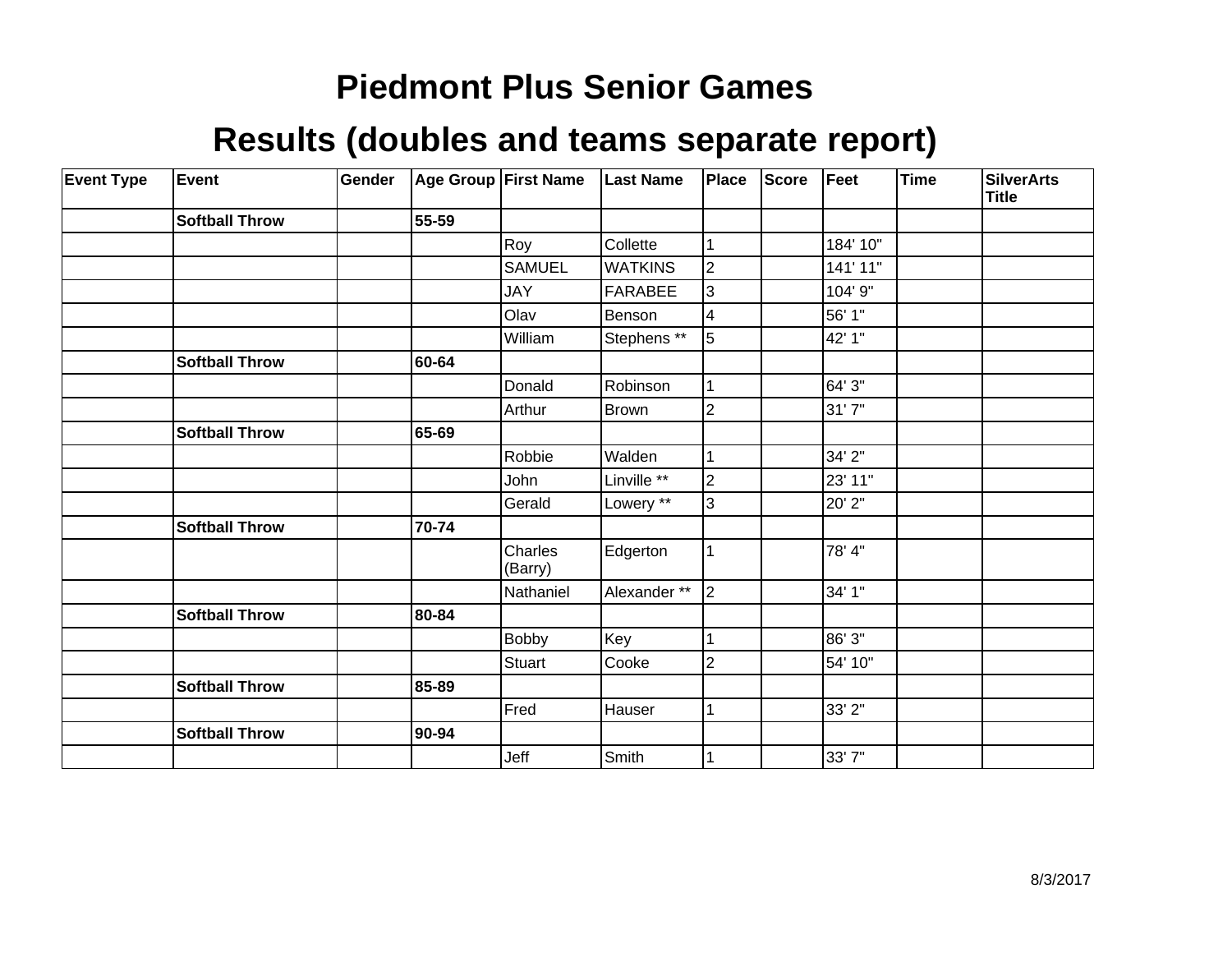| <b>Event Type</b> | Event                 | Gender |       | Age Group First Name | <b>Last Name</b> | Place          | <b>Score</b> | Feet     | Time | <b>SilverArts</b><br><b>Title</b> |
|-------------------|-----------------------|--------|-------|----------------------|------------------|----------------|--------------|----------|------|-----------------------------------|
|                   | <b>Softball Throw</b> |        | 55-59 |                      |                  |                |              |          |      |                                   |
|                   |                       |        |       | Roy                  | Collette         |                |              | 184' 10" |      |                                   |
|                   |                       |        |       | SAMUEL               | IWATKINS         | $\overline{2}$ |              | 141' 11" |      |                                   |
|                   |                       |        |       | <b>JAY</b>           | FARABEE          | 3              |              | 104' 9"  |      |                                   |
|                   |                       |        |       | Olav                 | Benson           | 4              |              | 56' 1"   |      |                                   |
|                   |                       |        |       | William              | Stephens **      | 5              |              | 42' 1"   |      |                                   |
|                   | <b>Softball Throw</b> |        | 60-64 |                      |                  |                |              |          |      |                                   |
|                   |                       |        |       | Donald               | Robinson         |                |              | 64' 3"   |      |                                   |
|                   |                       |        |       | Arthur               | Brown            | $\overline{2}$ |              | 31'7"    |      |                                   |
|                   | <b>Softball Throw</b> |        | 65-69 |                      |                  |                |              |          |      |                                   |
|                   |                       |        |       | Robbie               | Walden           |                |              | 34' 2"   |      |                                   |
|                   |                       |        |       | John                 | Linville **      | $\overline{2}$ |              | 23' 11"  |      |                                   |
|                   |                       |        |       | Gerald               | Lowery **        | 3              |              | 20' 2"   |      |                                   |
|                   | <b>Softball Throw</b> |        | 70-74 |                      |                  |                |              |          |      |                                   |
|                   |                       |        |       | Charles<br>(Barry)   | Edgerton         | 1              |              | 78' 4"   |      |                                   |
|                   |                       |        |       | Nathaniel            | Alexander **     | $\overline{2}$ |              | 34' 1"   |      |                                   |
|                   | <b>Softball Throw</b> |        | 80-84 |                      |                  |                |              |          |      |                                   |
|                   |                       |        |       | <b>Bobby</b>         | Key              |                |              | 86' 3"   |      |                                   |
|                   |                       |        |       | <b>Stuart</b>        | Cooke            | $\overline{2}$ |              | 54' 10"  |      |                                   |
|                   | <b>Softball Throw</b> |        | 85-89 |                      |                  |                |              |          |      |                                   |
|                   |                       |        |       | Fred                 | Hauser           |                |              | 33' 2"   |      |                                   |
|                   | <b>Softball Throw</b> |        | 90-94 |                      |                  |                |              |          |      |                                   |
|                   |                       |        |       | Jeff                 | Smith            |                |              | 33'7"    |      |                                   |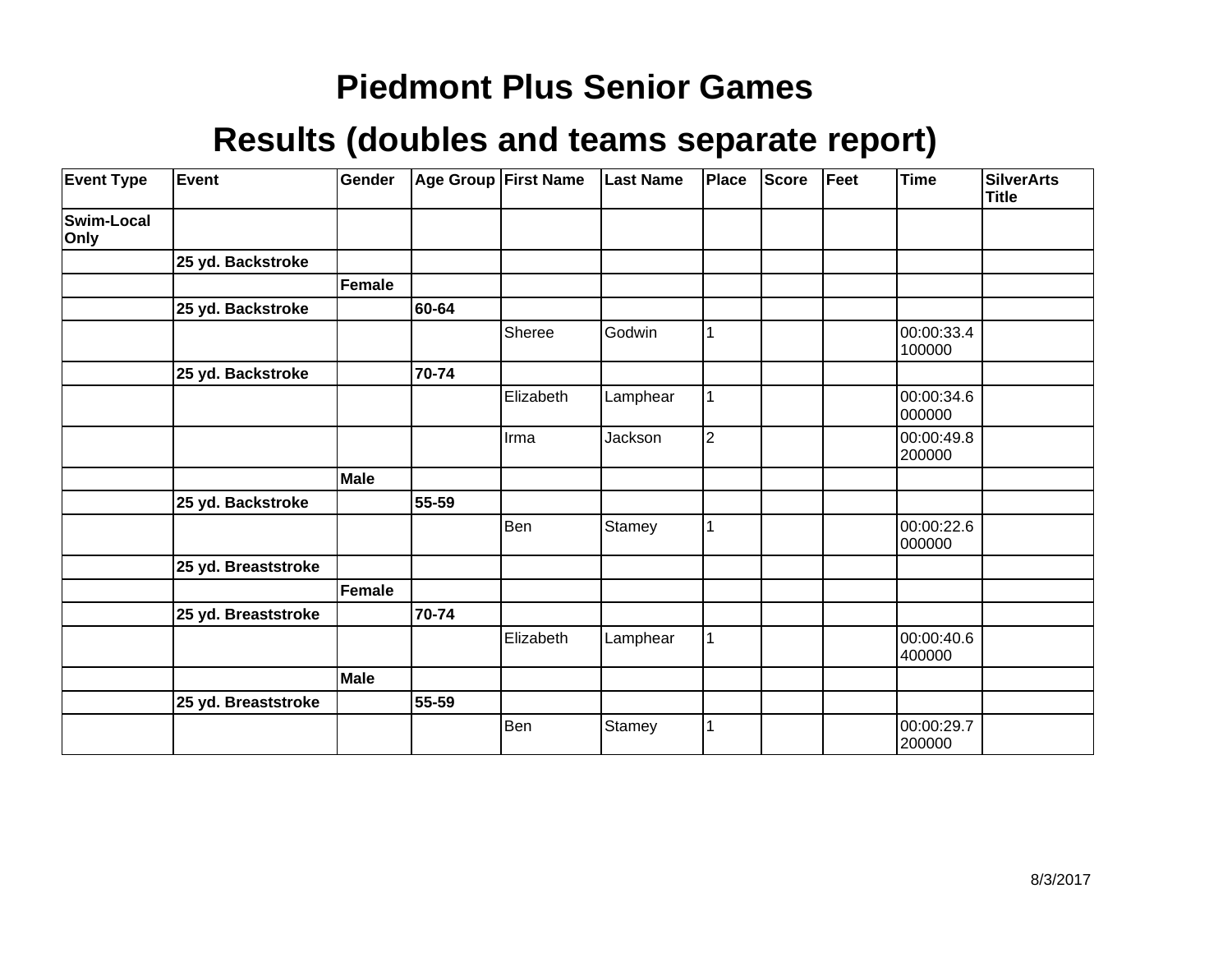| <b>Event Type</b>  | Event               | Gender      |       | <b>Age Group First Name</b> | <b>Last Name</b> | Place          | <b>Score</b> | Feet | <b>Time</b>          | <b>SilverArts</b><br><b>Title</b> |
|--------------------|---------------------|-------------|-------|-----------------------------|------------------|----------------|--------------|------|----------------------|-----------------------------------|
| Swim-Local<br>Only |                     |             |       |                             |                  |                |              |      |                      |                                   |
|                    | 25 yd. Backstroke   |             |       |                             |                  |                |              |      |                      |                                   |
|                    |                     | Female      |       |                             |                  |                |              |      |                      |                                   |
|                    | 25 yd. Backstroke   |             | 60-64 |                             |                  |                |              |      |                      |                                   |
|                    |                     |             |       | Sheree                      | Godwin           |                |              |      | 00:00:33.4<br>100000 |                                   |
|                    | 25 yd. Backstroke   |             | 70-74 |                             |                  |                |              |      |                      |                                   |
|                    |                     |             |       | Elizabeth                   | Lamphear         |                |              |      | 00:00:34.6<br>000000 |                                   |
|                    |                     |             |       | Irma                        | Jackson          | $\overline{2}$ |              |      | 00:00:49.8<br>200000 |                                   |
|                    |                     | <b>Male</b> |       |                             |                  |                |              |      |                      |                                   |
|                    | 25 yd. Backstroke   |             | 55-59 |                             |                  |                |              |      |                      |                                   |
|                    |                     |             |       | Ben                         | Stamey           |                |              |      | 00:00:22.6<br>000000 |                                   |
|                    | 25 yd. Breaststroke |             |       |                             |                  |                |              |      |                      |                                   |
|                    |                     | Female      |       |                             |                  |                |              |      |                      |                                   |
|                    | 25 yd. Breaststroke |             | 70-74 |                             |                  |                |              |      |                      |                                   |
|                    |                     |             |       | Elizabeth                   | Lamphear         |                |              |      | 00:00:40.6<br>400000 |                                   |
|                    |                     | Male        |       |                             |                  |                |              |      |                      |                                   |
|                    | 25 yd. Breaststroke |             | 55-59 |                             |                  |                |              |      |                      |                                   |
|                    |                     |             |       | Ben                         | Stamey           |                |              |      | 00:00:29.7<br>200000 |                                   |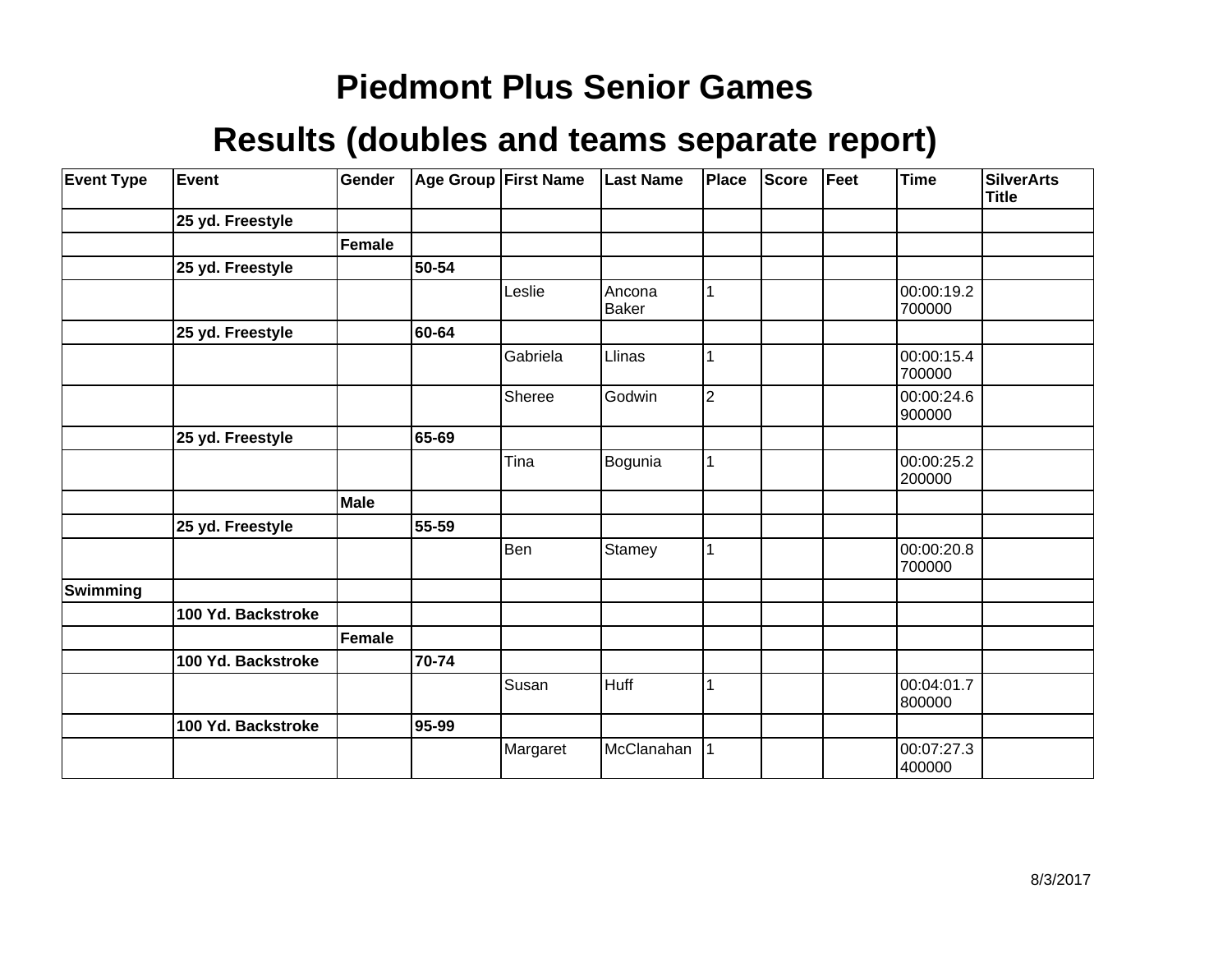| <b>Event Type</b> | Event              | Gender        |       | Age Group First Name | <b>Last Name</b>       | <b>Place</b>   | Score | Feet | <b>Time</b>          | SilverArts<br>Title |
|-------------------|--------------------|---------------|-------|----------------------|------------------------|----------------|-------|------|----------------------|---------------------|
|                   | 25 yd. Freestyle   |               |       |                      |                        |                |       |      |                      |                     |
|                   |                    | <b>Female</b> |       |                      |                        |                |       |      |                      |                     |
|                   | 25 yd. Freestyle   |               | 50-54 |                      |                        |                |       |      |                      |                     |
|                   |                    |               |       | Leslie               | Ancona<br><b>Baker</b> | 1              |       |      | 00:00:19.2<br>700000 |                     |
|                   | 25 yd. Freestyle   |               | 60-64 |                      |                        |                |       |      |                      |                     |
|                   |                    |               |       | Gabriela             | Llinas                 | 1              |       |      | 00:00:15.4<br>700000 |                     |
|                   |                    |               |       | Sheree               | Godwin                 | $\overline{2}$ |       |      | 00:00:24.6<br>900000 |                     |
|                   | 25 yd. Freestyle   |               | 65-69 |                      |                        |                |       |      |                      |                     |
|                   |                    |               |       | Tina                 | Bogunia                | 1              |       |      | 00:00:25.2<br>200000 |                     |
|                   |                    | Male          |       |                      |                        |                |       |      |                      |                     |
|                   | 25 yd. Freestyle   |               | 55-59 |                      |                        |                |       |      |                      |                     |
|                   |                    |               |       | Ben                  | Stamey                 | 1              |       |      | 00:00:20.8<br>700000 |                     |
| Swimming          |                    |               |       |                      |                        |                |       |      |                      |                     |
|                   | 100 Yd. Backstroke |               |       |                      |                        |                |       |      |                      |                     |
|                   |                    | Female        |       |                      |                        |                |       |      |                      |                     |
|                   | 100 Yd. Backstroke |               | 70-74 |                      |                        |                |       |      |                      |                     |
|                   |                    |               |       | Susan                | Huff                   | 1              |       |      | 00:04:01.7<br>800000 |                     |
|                   | 100 Yd. Backstroke |               | 95-99 |                      |                        |                |       |      |                      |                     |
|                   |                    |               |       | Margaret             | McClanahan             |                |       |      | 00:07:27.3<br>400000 |                     |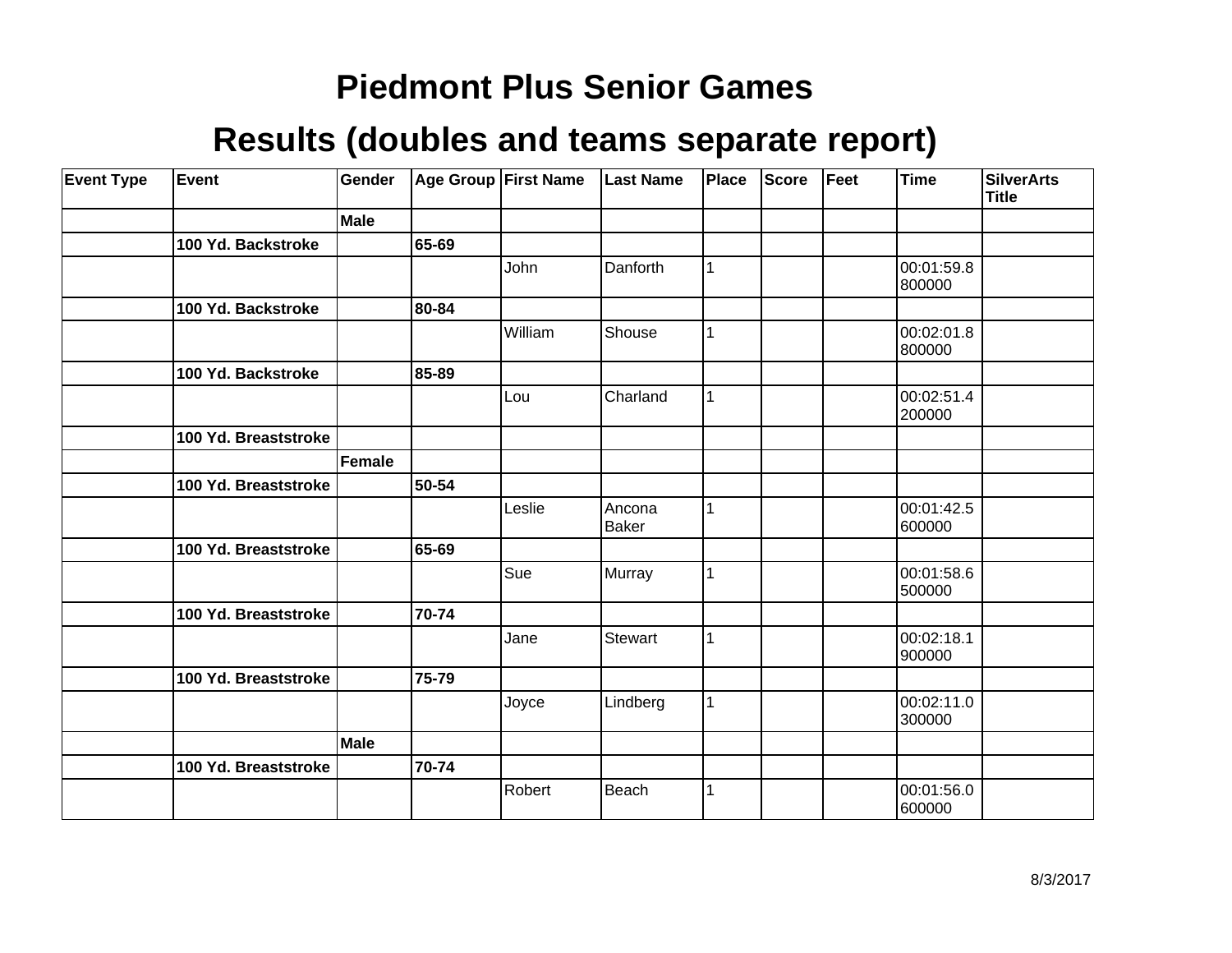| <b>Event Type</b> | Event                | Gender      |       | Age Group First Name | <b>Last Name</b>       | Place | <b>Score</b> | Feet | <b>Time</b>          | <b>SilverArts</b><br><b>Title</b> |
|-------------------|----------------------|-------------|-------|----------------------|------------------------|-------|--------------|------|----------------------|-----------------------------------|
|                   |                      | <b>Male</b> |       |                      |                        |       |              |      |                      |                                   |
|                   | 100 Yd. Backstroke   |             | 65-69 |                      |                        |       |              |      |                      |                                   |
|                   |                      |             |       | John                 | Danforth               | 1     |              |      | 00:01:59.8<br>800000 |                                   |
|                   | 100 Yd. Backstroke   |             | 80-84 |                      |                        |       |              |      |                      |                                   |
|                   |                      |             |       | William              | Shouse                 | 1     |              |      | 00:02:01.8<br>800000 |                                   |
|                   | 100 Yd. Backstroke   |             | 85-89 |                      |                        |       |              |      |                      |                                   |
|                   |                      |             |       | Lou                  | Charland               | 1     |              |      | 00:02:51.4<br>200000 |                                   |
|                   | 100 Yd. Breaststroke |             |       |                      |                        |       |              |      |                      |                                   |
|                   |                      | Female      |       |                      |                        |       |              |      |                      |                                   |
|                   | 100 Yd. Breaststroke |             | 50-54 |                      |                        |       |              |      |                      |                                   |
|                   |                      |             |       | Leslie               | Ancona<br><b>Baker</b> | 1     |              |      | 00:01:42.5<br>600000 |                                   |
|                   | 100 Yd. Breaststroke |             | 65-69 |                      |                        |       |              |      |                      |                                   |
|                   |                      |             |       | Sue                  | Murray                 | 1     |              |      | 00:01:58.6<br>500000 |                                   |
|                   | 100 Yd. Breaststroke |             | 70-74 |                      |                        |       |              |      |                      |                                   |
|                   |                      |             |       | Jane                 | Stewart                | 1     |              |      | 00:02:18.1<br>900000 |                                   |
|                   | 100 Yd. Breaststroke |             | 75-79 |                      |                        |       |              |      |                      |                                   |
|                   |                      |             |       | Joyce                | Lindberg               | 1     |              |      | 00:02:11.0<br>300000 |                                   |
|                   |                      | <b>Male</b> |       |                      |                        |       |              |      |                      |                                   |
|                   | 100 Yd. Breaststroke |             | 70-74 |                      |                        |       |              |      |                      |                                   |
|                   |                      |             |       | Robert               | Beach                  | 1     |              |      | 00:01:56.0<br>600000 |                                   |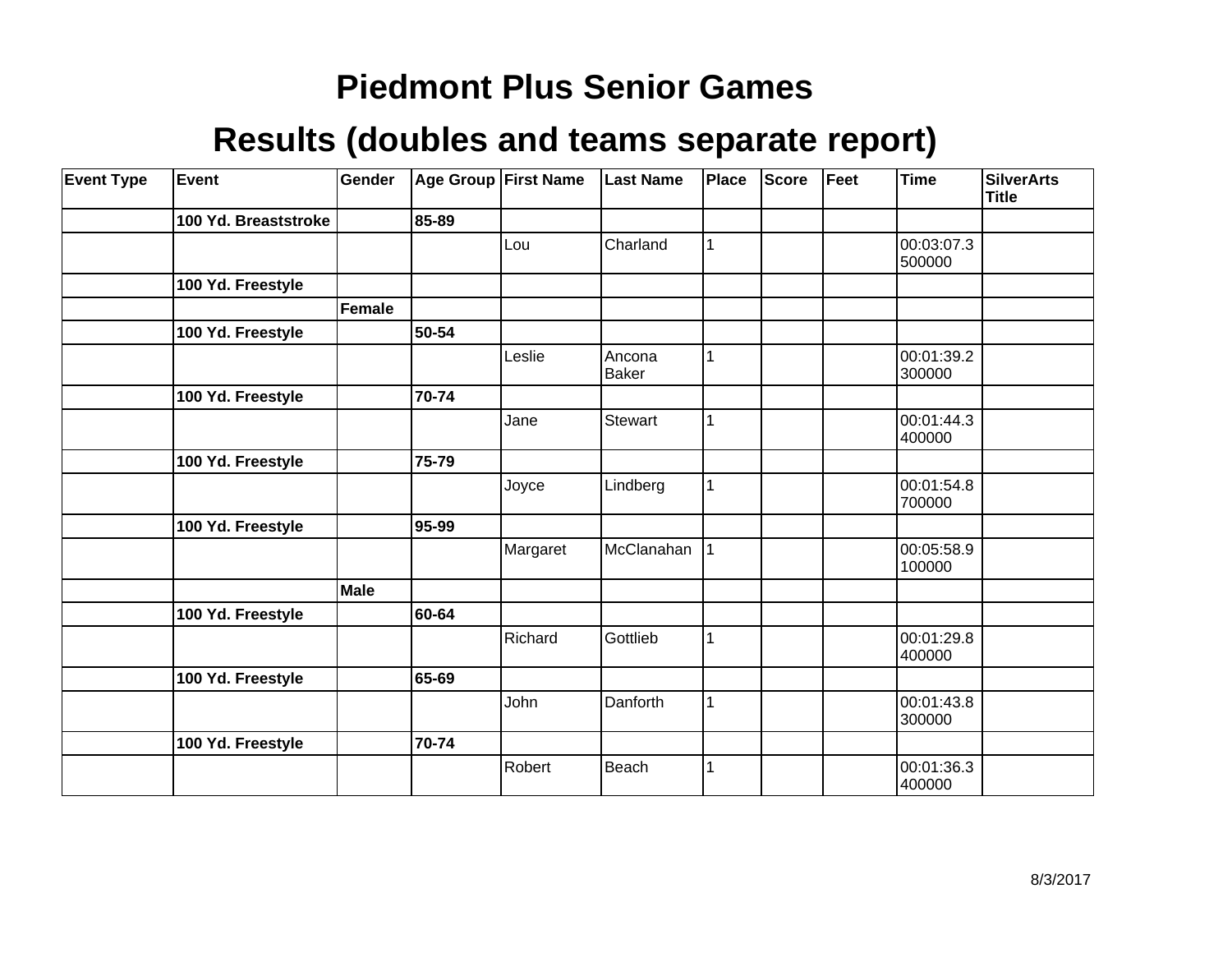| <b>Event Type</b> | Event                | Gender      |       | Age Group First Name | <b>Last Name</b> | Place       | <b>Score</b> | Feet | <b>Time</b>          | <b>SilverArts</b><br><b>Title</b> |
|-------------------|----------------------|-------------|-------|----------------------|------------------|-------------|--------------|------|----------------------|-----------------------------------|
|                   | 100 Yd. Breaststroke |             | 85-89 |                      |                  |             |              |      |                      |                                   |
|                   |                      |             |       | Lou                  | Charland         | 1           |              |      | 00:03:07.3<br>500000 |                                   |
|                   | 100 Yd. Freestyle    |             |       |                      |                  |             |              |      |                      |                                   |
|                   |                      | Female      |       |                      |                  |             |              |      |                      |                                   |
|                   | 100 Yd. Freestyle    |             | 50-54 |                      |                  |             |              |      |                      |                                   |
|                   |                      |             |       | Leslie               | Ancona<br>Baker  |             |              |      | 00:01:39.2<br>300000 |                                   |
|                   | 100 Yd. Freestyle    |             | 70-74 |                      |                  |             |              |      |                      |                                   |
|                   |                      |             |       | Jane                 | <b>Stewart</b>   | 1           |              |      | 00:01:44.3<br>400000 |                                   |
|                   | 100 Yd. Freestyle    |             | 75-79 |                      |                  |             |              |      |                      |                                   |
|                   |                      |             |       | Joyce                | Lindberg         | 1           |              |      | 00:01:54.8<br>700000 |                                   |
|                   | 100 Yd. Freestyle    |             | 95-99 |                      |                  |             |              |      |                      |                                   |
|                   |                      |             |       | Margaret             | McClanahan       | $\mathbf 1$ |              |      | 00:05:58.9<br>100000 |                                   |
|                   |                      | <b>Male</b> |       |                      |                  |             |              |      |                      |                                   |
|                   | 100 Yd. Freestyle    |             | 60-64 |                      |                  |             |              |      |                      |                                   |
|                   |                      |             |       | Richard              | Gottlieb         | 1           |              |      | 00:01:29.8<br>400000 |                                   |
|                   | 100 Yd. Freestyle    |             | 65-69 |                      |                  |             |              |      |                      |                                   |
|                   |                      |             |       | John                 | Danforth         | 1           |              |      | 00:01:43.8<br>300000 |                                   |
|                   | 100 Yd. Freestyle    |             | 70-74 |                      |                  |             |              |      |                      |                                   |
|                   |                      |             |       | Robert               | Beach            | 1           |              |      | 00:01:36.3<br>400000 |                                   |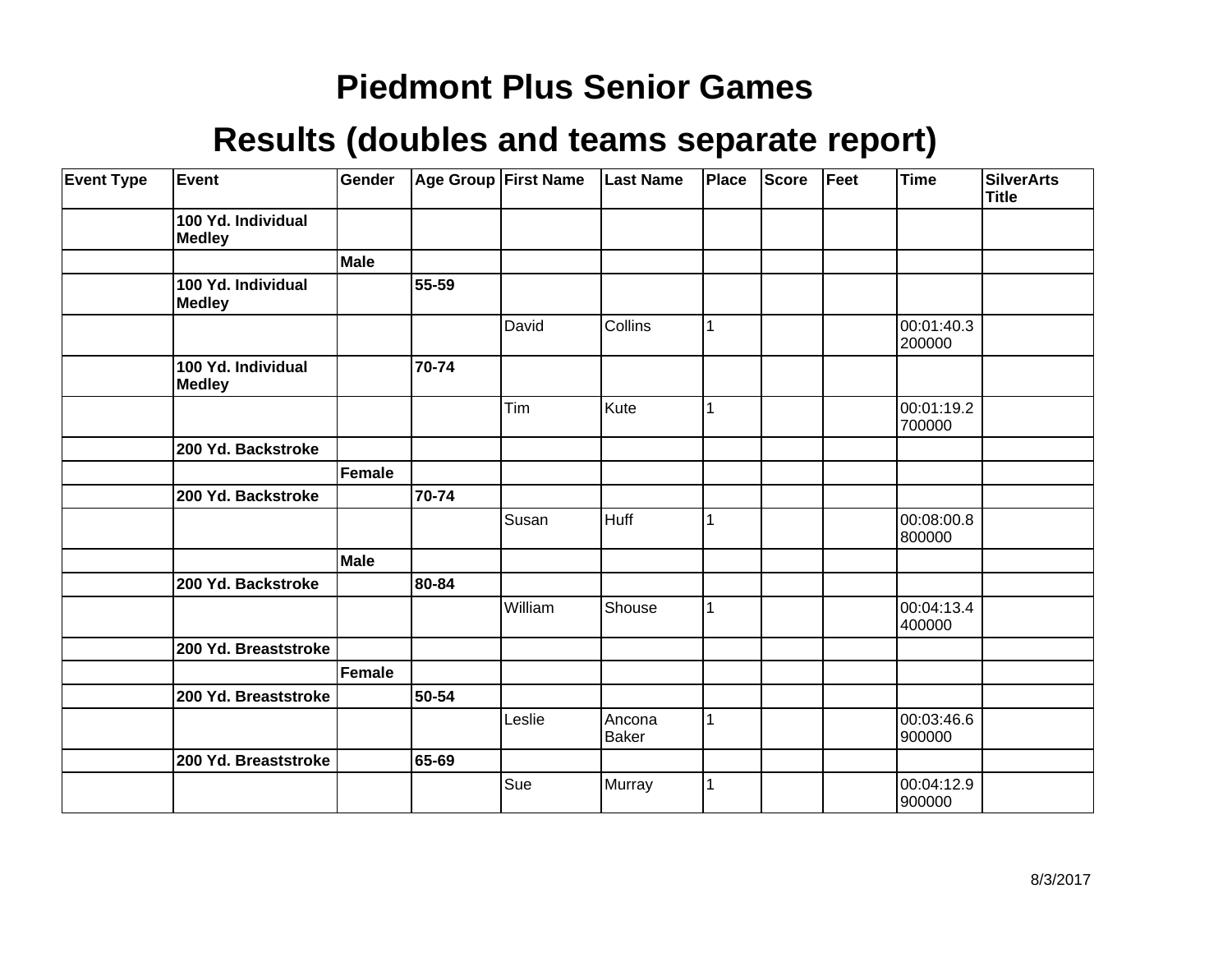| <b>Event Type</b> | Event                               | Gender        |       | Age Group First Name | <b>Last Name</b> | Place | <b>Score</b> | Feet | Time                 | SilverArts<br>Title |
|-------------------|-------------------------------------|---------------|-------|----------------------|------------------|-------|--------------|------|----------------------|---------------------|
|                   | 100 Yd. Individual<br><b>Medley</b> |               |       |                      |                  |       |              |      |                      |                     |
|                   |                                     | <b>Male</b>   |       |                      |                  |       |              |      |                      |                     |
|                   | 100 Yd. Individual<br>Medley        |               | 55-59 |                      |                  |       |              |      |                      |                     |
|                   |                                     |               |       | David                | Collins          | 1     |              |      | 00:01:40.3<br>200000 |                     |
|                   | 100 Yd. Individual<br>Medley        |               | 70-74 |                      |                  |       |              |      |                      |                     |
|                   |                                     |               |       | Tim                  | Kute             | 1     |              |      | 00:01:19.2<br>700000 |                     |
|                   | 200 Yd. Backstroke                  |               |       |                      |                  |       |              |      |                      |                     |
|                   |                                     | <b>Female</b> |       |                      |                  |       |              |      |                      |                     |
|                   | 200 Yd. Backstroke                  |               | 70-74 |                      |                  |       |              |      |                      |                     |
|                   |                                     |               |       | Susan                | Huff             | 1     |              |      | 00:08:00.8<br>800000 |                     |
|                   |                                     | Male          |       |                      |                  |       |              |      |                      |                     |
|                   | 200 Yd. Backstroke                  |               | 80-84 |                      |                  |       |              |      |                      |                     |
|                   |                                     |               |       | William              | Shouse           | 1     |              |      | 00:04:13.4<br>400000 |                     |
|                   | 200 Yd. Breaststroke                |               |       |                      |                  |       |              |      |                      |                     |
|                   |                                     | Female        |       |                      |                  |       |              |      |                      |                     |
|                   | 200 Yd. Breaststroke                |               | 50-54 |                      |                  |       |              |      |                      |                     |
|                   |                                     |               |       | Leslie               | Ancona<br>Baker  | 1     |              |      | 00:03:46.6<br>900000 |                     |
|                   | 200 Yd. Breaststroke                |               | 65-69 |                      |                  |       |              |      |                      |                     |
|                   |                                     |               |       | Sue                  | Murray           | 1     |              |      | 00:04:12.9<br>900000 |                     |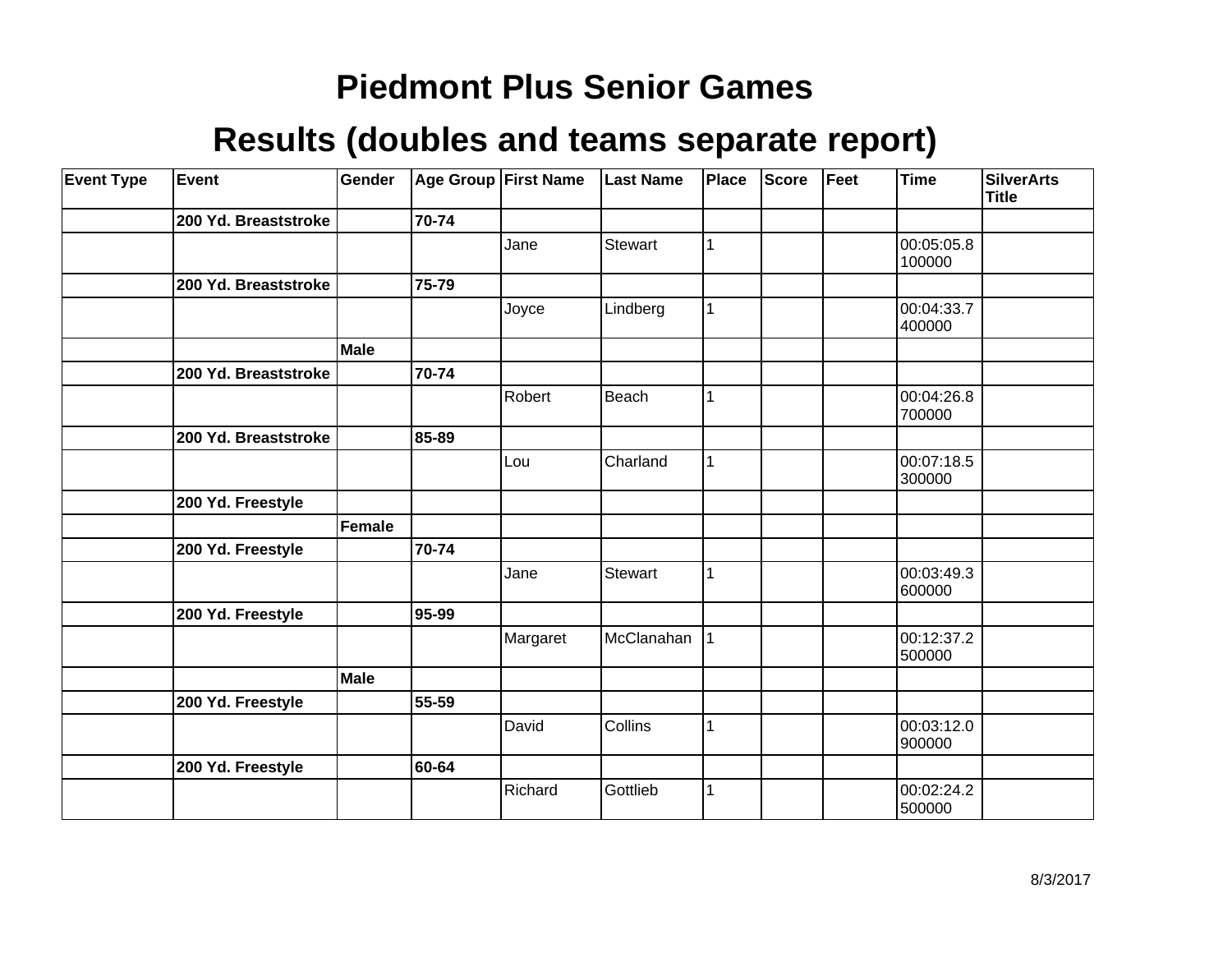| <b>Event Type</b> | <b>Event</b>         | Gender        |       | <b>Age Group First Name</b> | <b>Last Name</b> | Place | Score | Feet | <b>Time</b>          | <b>SilverArts</b><br><b>Title</b> |
|-------------------|----------------------|---------------|-------|-----------------------------|------------------|-------|-------|------|----------------------|-----------------------------------|
|                   | 200 Yd. Breaststroke |               | 70-74 |                             |                  |       |       |      |                      |                                   |
|                   |                      |               |       | Jane                        | Stewart          |       |       |      | 00:05:05.8<br>100000 |                                   |
|                   | 200 Yd. Breaststroke |               | 75-79 |                             |                  |       |       |      |                      |                                   |
|                   |                      |               |       | Joyce                       | Lindberg         | 1     |       |      | 00:04:33.7<br>400000 |                                   |
|                   |                      | Male          |       |                             |                  |       |       |      |                      |                                   |
|                   | 200 Yd. Breaststroke |               | 70-74 |                             |                  |       |       |      |                      |                                   |
|                   |                      |               |       | Robert                      | Beach            |       |       |      | 00:04:26.8<br>700000 |                                   |
|                   | 200 Yd. Breaststroke |               | 85-89 |                             |                  |       |       |      |                      |                                   |
|                   |                      |               |       | Lou                         | Charland         | 1     |       |      | 00:07:18.5<br>300000 |                                   |
|                   | 200 Yd. Freestyle    |               |       |                             |                  |       |       |      |                      |                                   |
|                   |                      | <b>Female</b> |       |                             |                  |       |       |      |                      |                                   |
|                   | 200 Yd. Freestyle    |               | 70-74 |                             |                  |       |       |      |                      |                                   |
|                   |                      |               |       | Jane                        | <b>Stewart</b>   | 1     |       |      | 00:03:49.3<br>600000 |                                   |
|                   | 200 Yd. Freestyle    |               | 95-99 |                             |                  |       |       |      |                      |                                   |
|                   |                      |               |       | Margaret                    | McClanahan       | 1     |       |      | 00:12:37.2<br>500000 |                                   |
|                   |                      | Male          |       |                             |                  |       |       |      |                      |                                   |
|                   | 200 Yd. Freestyle    |               | 55-59 |                             |                  |       |       |      |                      |                                   |
|                   |                      |               |       | David                       | Collins          | 1     |       |      | 00:03:12.0<br>900000 |                                   |
|                   | 200 Yd. Freestyle    |               | 60-64 |                             |                  |       |       |      |                      |                                   |
|                   |                      |               |       | Richard                     | Gottlieb         | 1     |       |      | 00:02:24.2<br>500000 |                                   |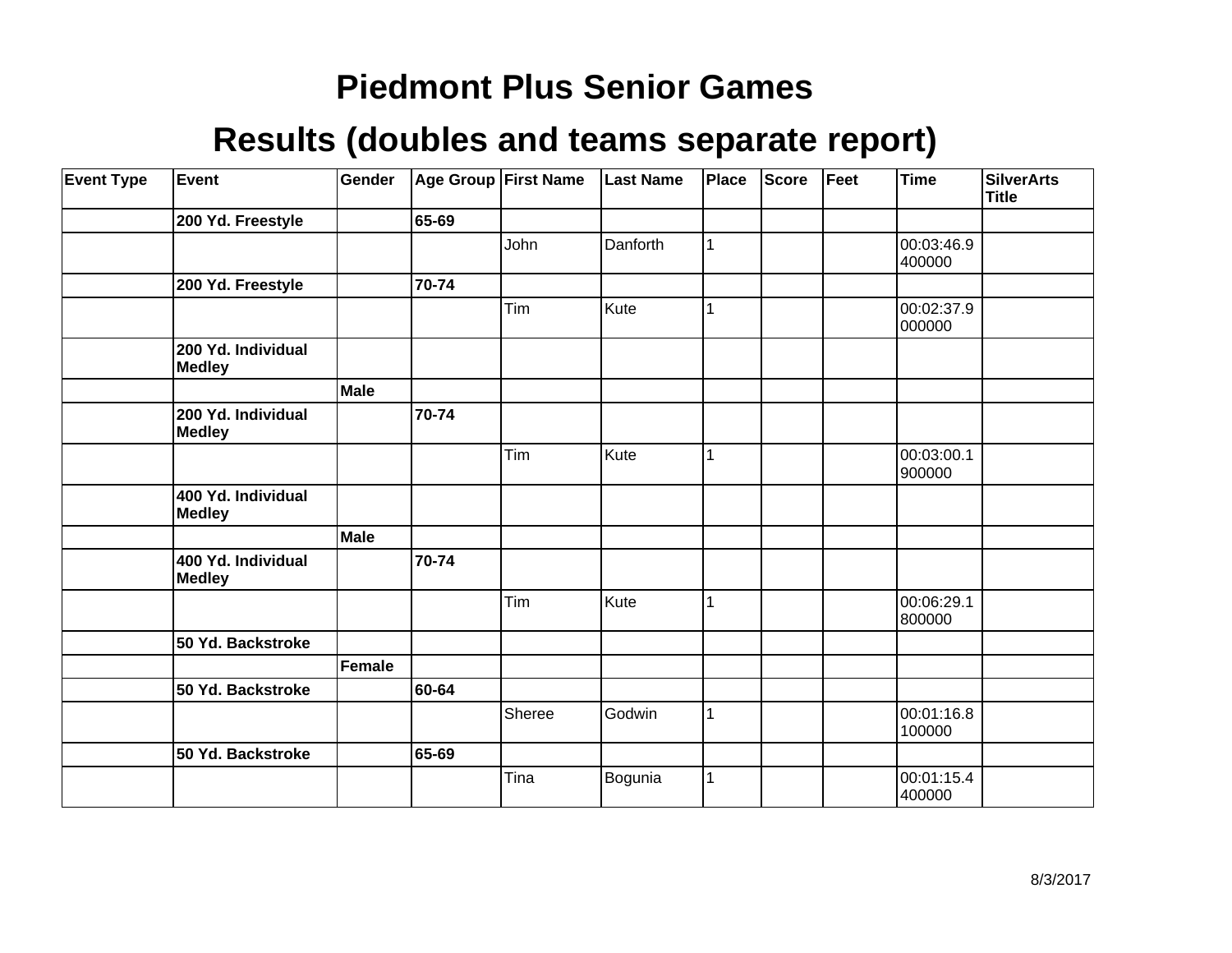| <b>Event Type</b> | Event                               | Gender      |       | Age Group First Name | <b>Last Name</b> | Place | <b>Score</b> | Feet | <b>Time</b>          | <b>SilverArts</b><br><b>Title</b> |
|-------------------|-------------------------------------|-------------|-------|----------------------|------------------|-------|--------------|------|----------------------|-----------------------------------|
|                   | 200 Yd. Freestyle                   |             | 65-69 |                      |                  |       |              |      |                      |                                   |
|                   |                                     |             |       | John                 | Danforth         | 1     |              |      | 00:03:46.9<br>400000 |                                   |
|                   | 200 Yd. Freestyle                   |             | 70-74 |                      |                  |       |              |      |                      |                                   |
|                   |                                     |             |       | Tim                  | Kute             | 1     |              |      | 00:02:37.9<br>000000 |                                   |
|                   | 200 Yd. Individual<br><b>Medley</b> |             |       |                      |                  |       |              |      |                      |                                   |
|                   |                                     | <b>Male</b> |       |                      |                  |       |              |      |                      |                                   |
|                   | 200 Yd. Individual<br><b>Medley</b> |             | 70-74 |                      |                  |       |              |      |                      |                                   |
|                   |                                     |             |       | Tim                  | Kute             | 1     |              |      | 00:03:00.1<br>900000 |                                   |
|                   | 400 Yd. Individual<br><b>Medley</b> |             |       |                      |                  |       |              |      |                      |                                   |
|                   |                                     | <b>Male</b> |       |                      |                  |       |              |      |                      |                                   |
|                   | 400 Yd. Individual<br><b>Medley</b> |             | 70-74 |                      |                  |       |              |      |                      |                                   |
|                   |                                     |             |       | Tim                  | Kute             | 1     |              |      | 00:06:29.1<br>800000 |                                   |
|                   | 50 Yd. Backstroke                   |             |       |                      |                  |       |              |      |                      |                                   |
|                   |                                     | Female      |       |                      |                  |       |              |      |                      |                                   |
|                   | 50 Yd. Backstroke                   |             | 60-64 |                      |                  |       |              |      |                      |                                   |
|                   |                                     |             |       | Sheree               | Godwin           | 1     |              |      | 00:01:16.8<br>100000 |                                   |
|                   | 50 Yd. Backstroke                   |             | 65-69 |                      |                  |       |              |      |                      |                                   |
|                   |                                     |             |       | Tina                 | Bogunia          | 1     |              |      | 00:01:15.4<br>400000 |                                   |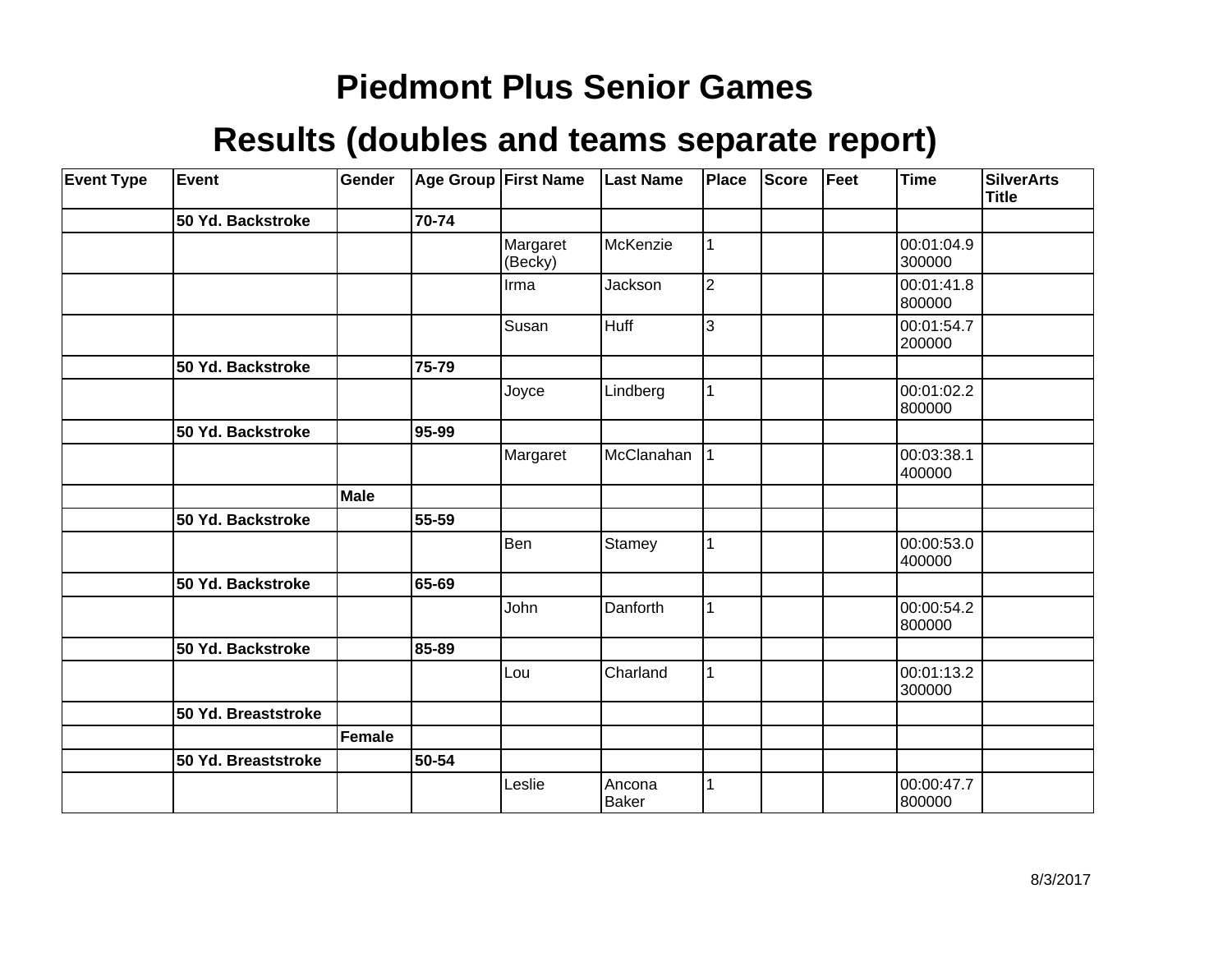| <b>Event Type</b> | Event               | Gender |       | Age Group First Name | <b>Last Name</b>       | Place          | <b>Score</b> | Feet | <b>Time</b>          | <b>SilverArts</b><br>Title |
|-------------------|---------------------|--------|-------|----------------------|------------------------|----------------|--------------|------|----------------------|----------------------------|
|                   | 50 Yd. Backstroke   |        | 70-74 |                      |                        |                |              |      |                      |                            |
|                   |                     |        |       | Margaret<br>(Becky)  | McKenzie               | 1              |              |      | 00:01:04.9<br>300000 |                            |
|                   |                     |        |       | Irma                 | Jackson                | $\overline{2}$ |              |      | 00:01:41.8<br>800000 |                            |
|                   |                     |        |       | Susan                | Huff                   | 3              |              |      | 00:01:54.7<br>200000 |                            |
|                   | 50 Yd. Backstroke   |        | 75-79 |                      |                        |                |              |      |                      |                            |
|                   |                     |        |       | Joyce                | Lindberg               | 1              |              |      | 00:01:02.2<br>800000 |                            |
|                   | 50 Yd. Backstroke   |        | 95-99 |                      |                        |                |              |      |                      |                            |
|                   |                     |        |       | Margaret             | McClanahan             | $\mathbf{1}$   |              |      | 00:03:38.1<br>400000 |                            |
|                   |                     | Male   |       |                      |                        |                |              |      |                      |                            |
|                   | 50 Yd. Backstroke   |        | 55-59 |                      |                        |                |              |      |                      |                            |
|                   |                     |        |       | Ben                  | Stamey                 | $\mathbf{1}$   |              |      | 00:00:53.0<br>400000 |                            |
|                   | 50 Yd. Backstroke   |        | 65-69 |                      |                        |                |              |      |                      |                            |
|                   |                     |        |       | John                 | Danforth               | 1              |              |      | 00:00:54.2<br>800000 |                            |
|                   | 50 Yd. Backstroke   |        | 85-89 |                      |                        |                |              |      |                      |                            |
|                   |                     |        |       | Lou                  | Charland               | 1              |              |      | 00:01:13.2<br>300000 |                            |
|                   | 50 Yd. Breaststroke |        |       |                      |                        |                |              |      |                      |                            |
|                   |                     | Female |       |                      |                        |                |              |      |                      |                            |
|                   | 50 Yd. Breaststroke |        | 50-54 |                      |                        |                |              |      |                      |                            |
|                   |                     |        |       | Leslie               | Ancona<br><b>Baker</b> | 1              |              |      | 00:00:47.7<br>800000 |                            |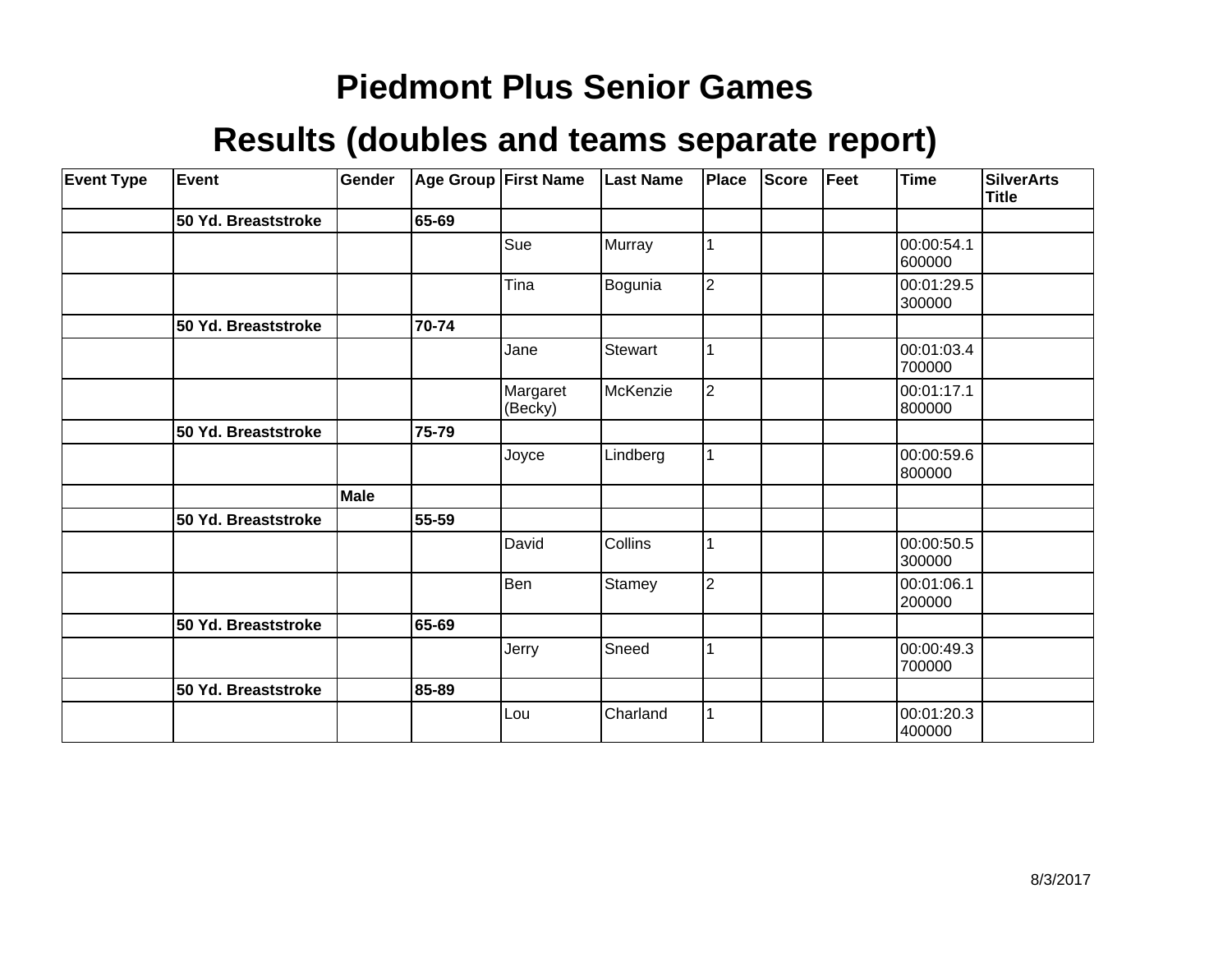| <b>Event Type</b> | Event               | Gender |       | Age Group First Name | <b>Last Name</b> | Place          | <b>Score</b> | Feet | <b>Time</b>          | SilverArts<br><b>Title</b> |
|-------------------|---------------------|--------|-------|----------------------|------------------|----------------|--------------|------|----------------------|----------------------------|
|                   | 50 Yd. Breaststroke |        | 65-69 |                      |                  |                |              |      |                      |                            |
|                   |                     |        |       | Sue                  | Murray           |                |              |      | 00:00:54.1<br>600000 |                            |
|                   |                     |        |       | Tina                 | Bogunia          | $\overline{2}$ |              |      | 00:01:29.5<br>300000 |                            |
|                   | 50 Yd. Breaststroke |        | 70-74 |                      |                  |                |              |      |                      |                            |
|                   |                     |        |       | Jane                 | Stewart          |                |              |      | 00:01:03.4<br>700000 |                            |
|                   |                     |        |       | Margaret<br>(Becky)  | McKenzie         | $\overline{2}$ |              |      | 00:01:17.1<br>800000 |                            |
|                   | 50 Yd. Breaststroke |        | 75-79 |                      |                  |                |              |      |                      |                            |
|                   |                     |        |       | Joyce                | Lindberg         |                |              |      | 00:00:59.6<br>800000 |                            |
|                   |                     | Male   |       |                      |                  |                |              |      |                      |                            |
|                   | 50 Yd. Breaststroke |        | 55-59 |                      |                  |                |              |      |                      |                            |
|                   |                     |        |       | David                | Collins          |                |              |      | 00:00:50.5<br>300000 |                            |
|                   |                     |        |       | Ben                  | Stamey           | $\overline{2}$ |              |      | 00:01:06.1<br>200000 |                            |
|                   | 50 Yd. Breaststroke |        | 65-69 |                      |                  |                |              |      |                      |                            |
|                   |                     |        |       | Jerry                | Sneed            |                |              |      | 00:00:49.3<br>700000 |                            |
|                   | 50 Yd. Breaststroke |        | 85-89 |                      |                  |                |              |      |                      |                            |
|                   |                     |        |       | Lou                  | Charland         |                |              |      | 00:01:20.3<br>400000 |                            |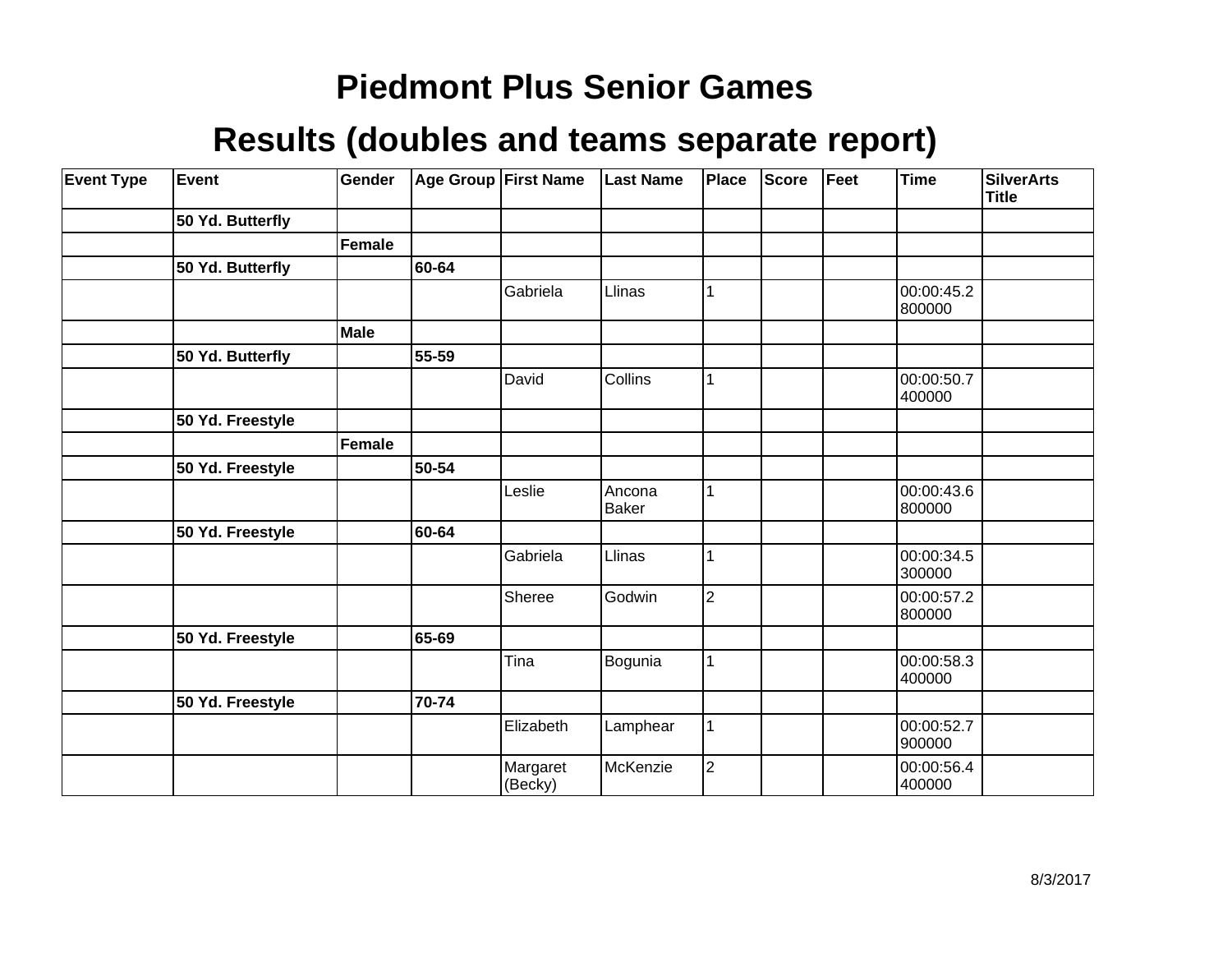| <b>Event Type</b> | Event            | Gender      |       | Age Group First Name | <b>Last Name</b>       | <b>Place</b>   | <b>Score</b> | Feet | Time                 | <b>SilverArts</b><br><b>Title</b> |
|-------------------|------------------|-------------|-------|----------------------|------------------------|----------------|--------------|------|----------------------|-----------------------------------|
|                   | 50 Yd. Butterfly |             |       |                      |                        |                |              |      |                      |                                   |
|                   |                  | Female      |       |                      |                        |                |              |      |                      |                                   |
|                   | 50 Yd. Butterfly |             | 60-64 |                      |                        |                |              |      |                      |                                   |
|                   |                  |             |       | Gabriela             | Llinas                 |                |              |      | 00:00:45.2<br>800000 |                                   |
|                   |                  | <b>Male</b> |       |                      |                        |                |              |      |                      |                                   |
|                   | 50 Yd. Butterfly |             | 55-59 |                      |                        |                |              |      |                      |                                   |
|                   |                  |             |       | David                | Collins                |                |              |      | 00:00:50.7<br>400000 |                                   |
|                   | 50 Yd. Freestyle |             |       |                      |                        |                |              |      |                      |                                   |
|                   |                  | Female      |       |                      |                        |                |              |      |                      |                                   |
|                   | 50 Yd. Freestyle |             | 50-54 |                      |                        |                |              |      |                      |                                   |
|                   |                  |             |       | Leslie               | Ancona<br><b>Baker</b> |                |              |      | 00:00:43.6<br>800000 |                                   |
|                   | 50 Yd. Freestyle |             | 60-64 |                      |                        |                |              |      |                      |                                   |
|                   |                  |             |       | Gabriela             | Llinas                 |                |              |      | 00:00:34.5<br>300000 |                                   |
|                   |                  |             |       | Sheree               | Godwin                 | $\overline{2}$ |              |      | 00:00:57.2<br>800000 |                                   |
|                   | 50 Yd. Freestyle |             | 65-69 |                      |                        |                |              |      |                      |                                   |
|                   |                  |             |       | Tina                 | Bogunia                |                |              |      | 00:00:58.3<br>400000 |                                   |
|                   | 50 Yd. Freestyle |             | 70-74 |                      |                        |                |              |      |                      |                                   |
|                   |                  |             |       | Elizabeth            | Lamphear               |                |              |      | 00:00:52.7<br>900000 |                                   |
|                   |                  |             |       | Margaret<br>(Becky)  | McKenzie               | $\overline{2}$ |              |      | 00:00:56.4<br>400000 |                                   |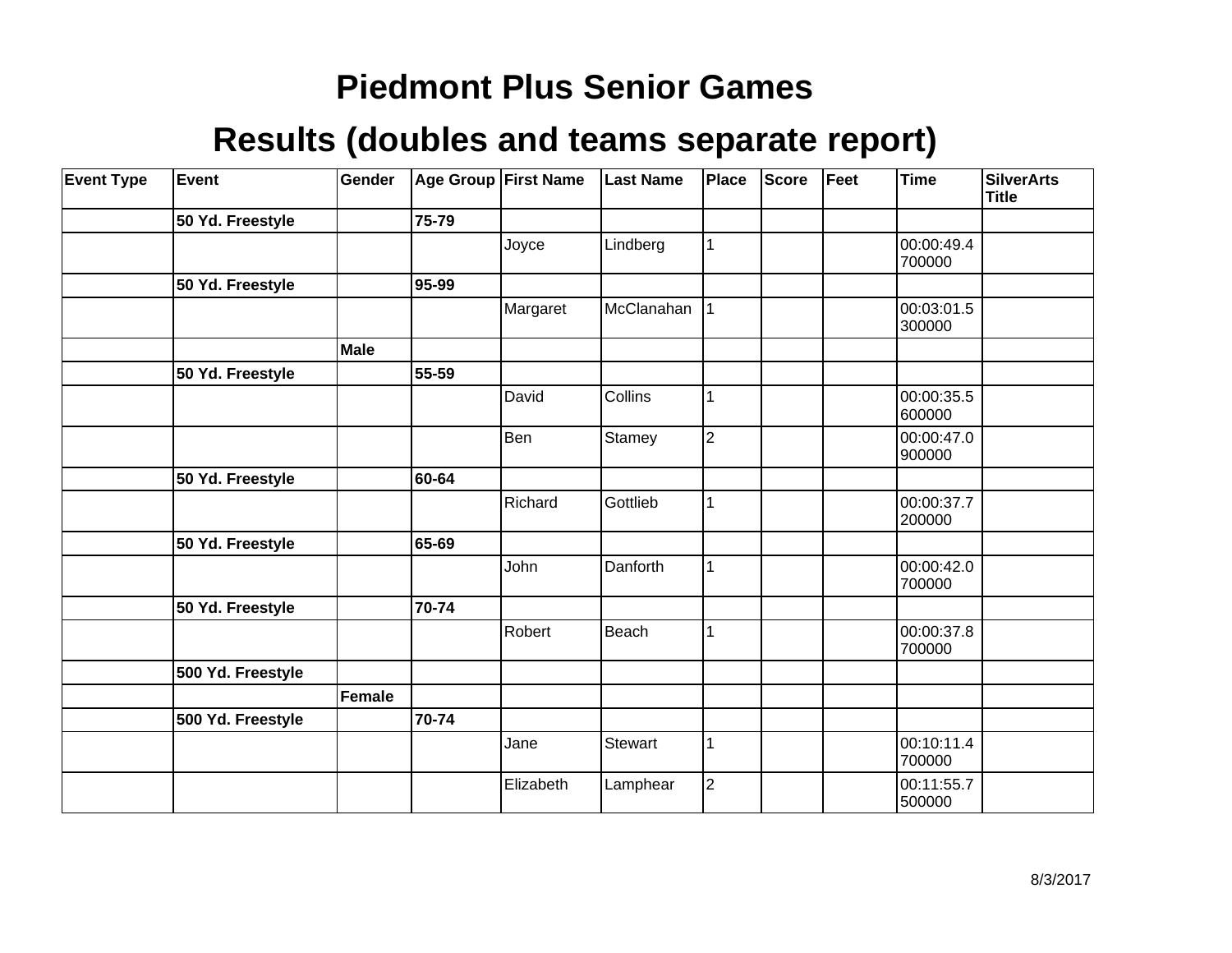| <b>Event Type</b> | Event             | Gender        |       | Age Group First Name | <b>Last Name</b> | <b>Place</b>   | Score | Feet | <b>Time</b>          | <b>SilverArts</b><br><b>Title</b> |
|-------------------|-------------------|---------------|-------|----------------------|------------------|----------------|-------|------|----------------------|-----------------------------------|
|                   | 50 Yd. Freestyle  |               | 75-79 |                      |                  |                |       |      |                      |                                   |
|                   |                   |               |       | Joyce                | Lindberg         |                |       |      | 00:00:49.4<br>700000 |                                   |
|                   | 50 Yd. Freestyle  |               | 95-99 |                      |                  |                |       |      |                      |                                   |
|                   |                   |               |       | Margaret             | McClanahan       |                |       |      | 00:03:01.5<br>300000 |                                   |
|                   |                   | Male          |       |                      |                  |                |       |      |                      |                                   |
|                   | 50 Yd. Freestyle  |               | 55-59 |                      |                  |                |       |      |                      |                                   |
|                   |                   |               |       | David                | Collins          |                |       |      | 00:00:35.5<br>600000 |                                   |
|                   |                   |               |       | Ben                  | Stamey           | $\overline{2}$ |       |      | 00:00:47.0<br>900000 |                                   |
|                   | 50 Yd. Freestyle  |               | 60-64 |                      |                  |                |       |      |                      |                                   |
|                   |                   |               |       | Richard              | Gottlieb         |                |       |      | 00:00:37.7<br>200000 |                                   |
|                   | 50 Yd. Freestyle  |               | 65-69 |                      |                  |                |       |      |                      |                                   |
|                   |                   |               |       | John                 | Danforth         |                |       |      | 00:00:42.0<br>700000 |                                   |
|                   | 50 Yd. Freestyle  |               | 70-74 |                      |                  |                |       |      |                      |                                   |
|                   |                   |               |       | Robert               | Beach            |                |       |      | 00:00:37.8<br>700000 |                                   |
|                   | 500 Yd. Freestyle |               |       |                      |                  |                |       |      |                      |                                   |
|                   |                   | <b>Female</b> |       |                      |                  |                |       |      |                      |                                   |
|                   | 500 Yd. Freestyle |               | 70-74 |                      |                  |                |       |      |                      |                                   |
|                   |                   |               |       | Jane                 | Stewart          |                |       |      | 00:10:11.4<br>700000 |                                   |
|                   |                   |               |       | Elizabeth            | Lamphear         | $\overline{2}$ |       |      | 00:11:55.7<br>500000 |                                   |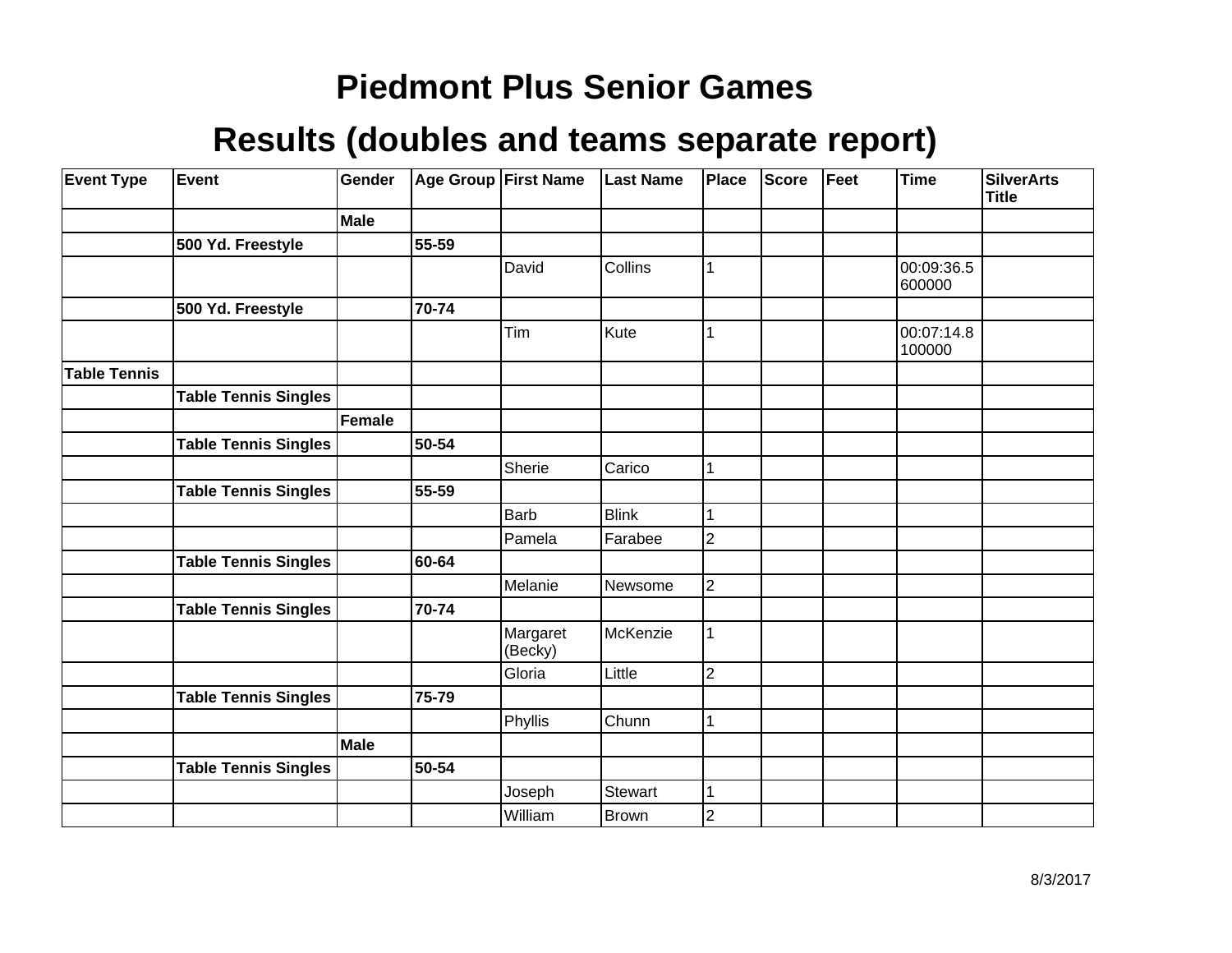| <b>Event Type</b>   | Event                       | Gender        |       | Age Group First Name | <b>Last Name</b> | <b>Place</b>   | Score | Feet | <b>Time</b>          | <b>SilverArts</b><br><b>Title</b> |
|---------------------|-----------------------------|---------------|-------|----------------------|------------------|----------------|-------|------|----------------------|-----------------------------------|
|                     |                             | Male          |       |                      |                  |                |       |      |                      |                                   |
|                     | 500 Yd. Freestyle           |               | 55-59 |                      |                  |                |       |      |                      |                                   |
|                     |                             |               |       | David                | Collins          | 1              |       |      | 00:09:36.5<br>600000 |                                   |
|                     | 500 Yd. Freestyle           |               | 70-74 |                      |                  |                |       |      |                      |                                   |
|                     |                             |               |       | Tim                  | Kute             | 1              |       |      | 00:07:14.8<br>100000 |                                   |
| <b>Table Tennis</b> |                             |               |       |                      |                  |                |       |      |                      |                                   |
|                     | <b>Table Tennis Singles</b> |               |       |                      |                  |                |       |      |                      |                                   |
|                     |                             | <b>Female</b> |       |                      |                  |                |       |      |                      |                                   |
|                     | <b>Table Tennis Singles</b> |               | 50-54 |                      |                  |                |       |      |                      |                                   |
|                     |                             |               |       | Sherie               | Carico           | 1              |       |      |                      |                                   |
|                     | <b>Table Tennis Singles</b> |               | 55-59 |                      |                  |                |       |      |                      |                                   |
|                     |                             |               |       | <b>Barb</b>          | <b>Blink</b>     |                |       |      |                      |                                   |
|                     |                             |               |       | Pamela               | Farabee          | $\overline{2}$ |       |      |                      |                                   |
|                     | <b>Table Tennis Singles</b> |               | 60-64 |                      |                  |                |       |      |                      |                                   |
|                     |                             |               |       | Melanie              | Newsome          | $\overline{2}$ |       |      |                      |                                   |
|                     | <b>Table Tennis Singles</b> |               | 70-74 |                      |                  |                |       |      |                      |                                   |
|                     |                             |               |       | Margaret<br>(Becky)  | McKenzie         | 1              |       |      |                      |                                   |
|                     |                             |               |       | Gloria               | Little           | $\overline{2}$ |       |      |                      |                                   |
|                     | <b>Table Tennis Singles</b> |               | 75-79 |                      |                  |                |       |      |                      |                                   |
|                     |                             |               |       | Phyllis              | Chunn            | 1              |       |      |                      |                                   |
|                     |                             | <b>Male</b>   |       |                      |                  |                |       |      |                      |                                   |
|                     | <b>Table Tennis Singles</b> |               | 50-54 |                      |                  |                |       |      |                      |                                   |
|                     |                             |               |       | Joseph               | <b>Stewart</b>   | 1              |       |      |                      |                                   |
|                     |                             |               |       | William              | Brown            | $\overline{c}$ |       |      |                      |                                   |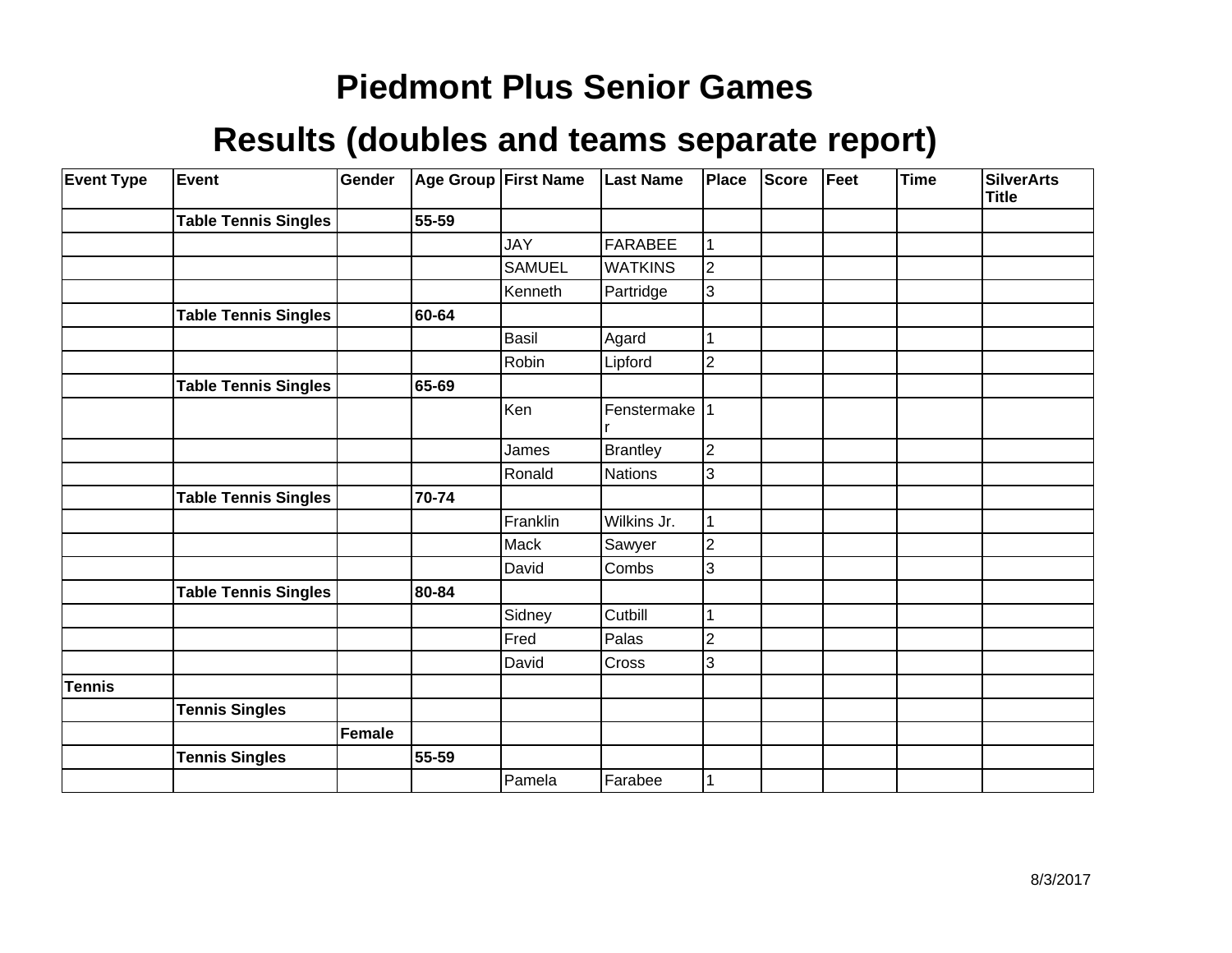| <b>Event Type</b> | <b>Event</b>                | Gender | Age Group First Name |               | <b>Last Name</b> | Place          | Score | Feet | <b>Time</b> | <b>SilverArts</b><br><b>Title</b> |
|-------------------|-----------------------------|--------|----------------------|---------------|------------------|----------------|-------|------|-------------|-----------------------------------|
|                   | <b>Table Tennis Singles</b> |        | 55-59                |               |                  |                |       |      |             |                                   |
|                   |                             |        |                      | <b>JAY</b>    | <b>FARABEE</b>   |                |       |      |             |                                   |
|                   |                             |        |                      | <b>SAMUEL</b> | <b>WATKINS</b>   | 2              |       |      |             |                                   |
|                   |                             |        |                      | Kenneth       | Partridge        | 3              |       |      |             |                                   |
|                   | <b>Table Tennis Singles</b> |        | 60-64                |               |                  |                |       |      |             |                                   |
|                   |                             |        |                      | Basil         | Agard            |                |       |      |             |                                   |
|                   |                             |        |                      | Robin         | Lipford          | $\overline{2}$ |       |      |             |                                   |
|                   | <b>Table Tennis Singles</b> |        | 65-69                |               |                  |                |       |      |             |                                   |
|                   |                             |        |                      | Ken           | Fenstermake      |                |       |      |             |                                   |
|                   |                             |        |                      | James         | Brantley         | $\overline{c}$ |       |      |             |                                   |
|                   |                             |        |                      | Ronald        | <b>Nations</b>   | 3              |       |      |             |                                   |
|                   | <b>Table Tennis Singles</b> |        | 70-74                |               |                  |                |       |      |             |                                   |
|                   |                             |        |                      | Franklin      | Wilkins Jr.      |                |       |      |             |                                   |
|                   |                             |        |                      | Mack          | Sawyer           | $\overline{2}$ |       |      |             |                                   |
|                   |                             |        |                      | David         | Combs            | 3              |       |      |             |                                   |
|                   | <b>Table Tennis Singles</b> |        | 80-84                |               |                  |                |       |      |             |                                   |
|                   |                             |        |                      | Sidney        | Cutbill          |                |       |      |             |                                   |
|                   |                             |        |                      | Fred          | Palas            | 2              |       |      |             |                                   |
|                   |                             |        |                      | David         | Cross            | 3              |       |      |             |                                   |
| <b>Tennis</b>     |                             |        |                      |               |                  |                |       |      |             |                                   |
|                   | <b>Tennis Singles</b>       |        |                      |               |                  |                |       |      |             |                                   |
|                   |                             | Female |                      |               |                  |                |       |      |             |                                   |
|                   | <b>Tennis Singles</b>       |        | 55-59                |               |                  |                |       |      |             |                                   |
|                   |                             |        |                      | Pamela        | Farabee          |                |       |      |             |                                   |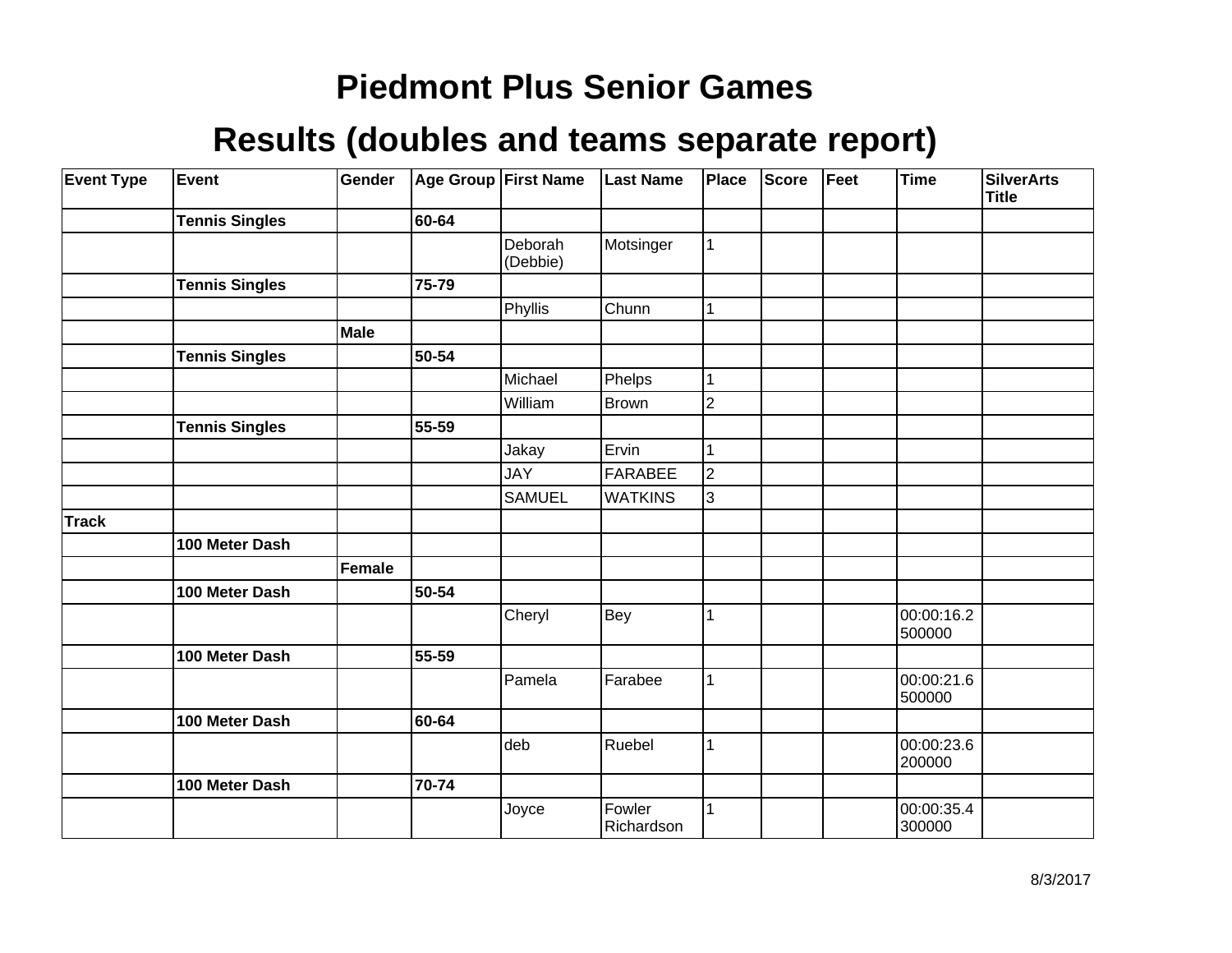| <b>Event Type</b> | Event                 | Gender |       | <b>Age Group First Name</b> | <b>Last Name</b>     | Place          | Score | Feet | <b>Time</b>          | <b>SilverArts</b><br><b>Title</b> |
|-------------------|-----------------------|--------|-------|-----------------------------|----------------------|----------------|-------|------|----------------------|-----------------------------------|
|                   | <b>Tennis Singles</b> |        | 60-64 |                             |                      |                |       |      |                      |                                   |
|                   |                       |        |       | Deborah<br>(Debbie)         | Motsinger            |                |       |      |                      |                                   |
|                   | <b>Tennis Singles</b> |        | 75-79 |                             |                      |                |       |      |                      |                                   |
|                   |                       |        |       | Phyllis                     | Chunn                |                |       |      |                      |                                   |
|                   |                       | Male   |       |                             |                      |                |       |      |                      |                                   |
|                   | <b>Tennis Singles</b> |        | 50-54 |                             |                      |                |       |      |                      |                                   |
|                   |                       |        |       | Michael                     | Phelps               |                |       |      |                      |                                   |
|                   |                       |        |       | William                     | <b>Brown</b>         | $\overline{2}$ |       |      |                      |                                   |
|                   | <b>Tennis Singles</b> |        | 55-59 |                             |                      |                |       |      |                      |                                   |
|                   |                       |        |       | Jakay                       | Ervin                |                |       |      |                      |                                   |
|                   |                       |        |       | <b>JAY</b>                  | <b>FARABEE</b>       | $\overline{2}$ |       |      |                      |                                   |
|                   |                       |        |       | <b>SAMUEL</b>               | <b>WATKINS</b>       | 3              |       |      |                      |                                   |
| <b>Track</b>      |                       |        |       |                             |                      |                |       |      |                      |                                   |
|                   | 100 Meter Dash        |        |       |                             |                      |                |       |      |                      |                                   |
|                   |                       | Female |       |                             |                      |                |       |      |                      |                                   |
|                   | 100 Meter Dash        |        | 50-54 |                             |                      |                |       |      |                      |                                   |
|                   |                       |        |       | Cheryl                      | Bey                  |                |       |      | 00:00:16.2<br>500000 |                                   |
|                   | 100 Meter Dash        |        | 55-59 |                             |                      |                |       |      |                      |                                   |
|                   |                       |        |       | Pamela                      | Farabee              |                |       |      | 00:00:21.6<br>500000 |                                   |
|                   | 100 Meter Dash        |        | 60-64 |                             |                      |                |       |      |                      |                                   |
|                   |                       |        |       | deb                         | Ruebel               |                |       |      | 00:00:23.6<br>200000 |                                   |
|                   | 100 Meter Dash        |        | 70-74 |                             |                      |                |       |      |                      |                                   |
|                   |                       |        |       | Joyce                       | Fowler<br>Richardson |                |       |      | 00:00:35.4<br>300000 |                                   |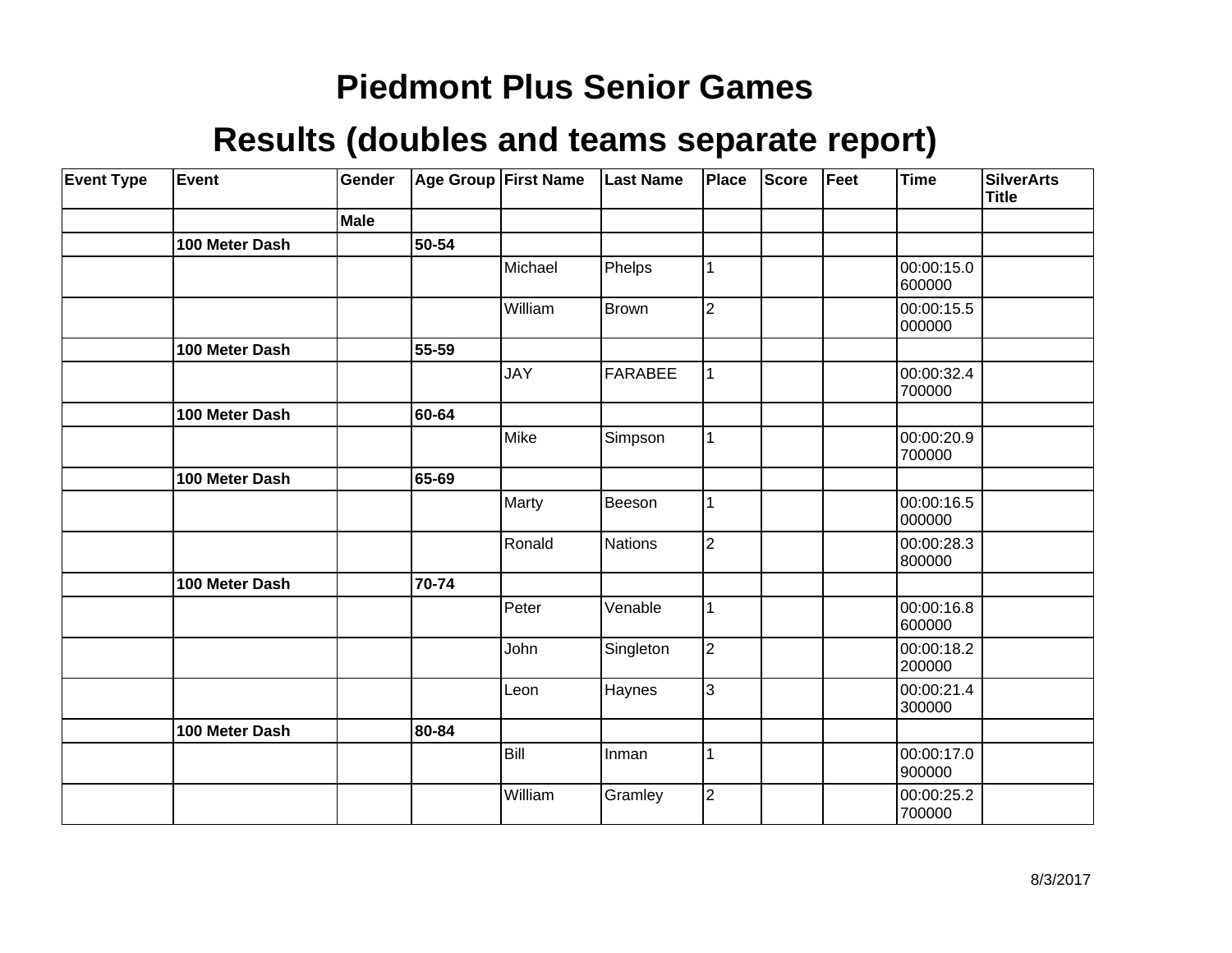| <b>Event Type</b> | Event          | Gender |       | Age Group First Name | <b>Last Name</b> | Place          | <b>Score</b> | Feet | <b>Time</b>          | <b>SilverArts</b><br><b>Title</b> |
|-------------------|----------------|--------|-------|----------------------|------------------|----------------|--------------|------|----------------------|-----------------------------------|
|                   |                | Male   |       |                      |                  |                |              |      |                      |                                   |
|                   | 100 Meter Dash |        | 50-54 |                      |                  |                |              |      |                      |                                   |
|                   |                |        |       | Michael              | Phelps           | 1              |              |      | 00:00:15.0<br>600000 |                                   |
|                   |                |        |       | William              | <b>Brown</b>     | $\overline{2}$ |              |      | 00:00:15.5<br>000000 |                                   |
|                   | 100 Meter Dash |        | 55-59 |                      |                  |                |              |      |                      |                                   |
|                   |                |        |       | <b>JAY</b>           | <b>FARABEE</b>   | 1              |              |      | 00:00:32.4<br>700000 |                                   |
|                   | 100 Meter Dash |        | 60-64 |                      |                  |                |              |      |                      |                                   |
|                   |                |        |       | Mike                 | Simpson          | 1              |              |      | 00:00:20.9<br>700000 |                                   |
|                   | 100 Meter Dash |        | 65-69 |                      |                  |                |              |      |                      |                                   |
|                   |                |        |       | Marty                | Beeson           | 1              |              |      | 00:00:16.5<br>000000 |                                   |
|                   |                |        |       | Ronald               | <b>Nations</b>   | $\overline{2}$ |              |      | 00:00:28.3<br>800000 |                                   |
|                   | 100 Meter Dash |        | 70-74 |                      |                  |                |              |      |                      |                                   |
|                   |                |        |       | Peter                | Venable          | 1              |              |      | 00:00:16.8<br>600000 |                                   |
|                   |                |        |       | John                 | Singleton        | $\overline{2}$ |              |      | 00:00:18.2<br>200000 |                                   |
|                   |                |        |       | Leon                 | Haynes           | 3              |              |      | 00:00:21.4<br>300000 |                                   |
|                   | 100 Meter Dash |        | 80-84 |                      |                  |                |              |      |                      |                                   |
|                   |                |        |       | Bill                 | Inman            | 1              |              |      | 00:00:17.0<br>900000 |                                   |
|                   |                |        |       | William              | Gramley          | $\overline{2}$ |              |      | 00:00:25.2<br>700000 |                                   |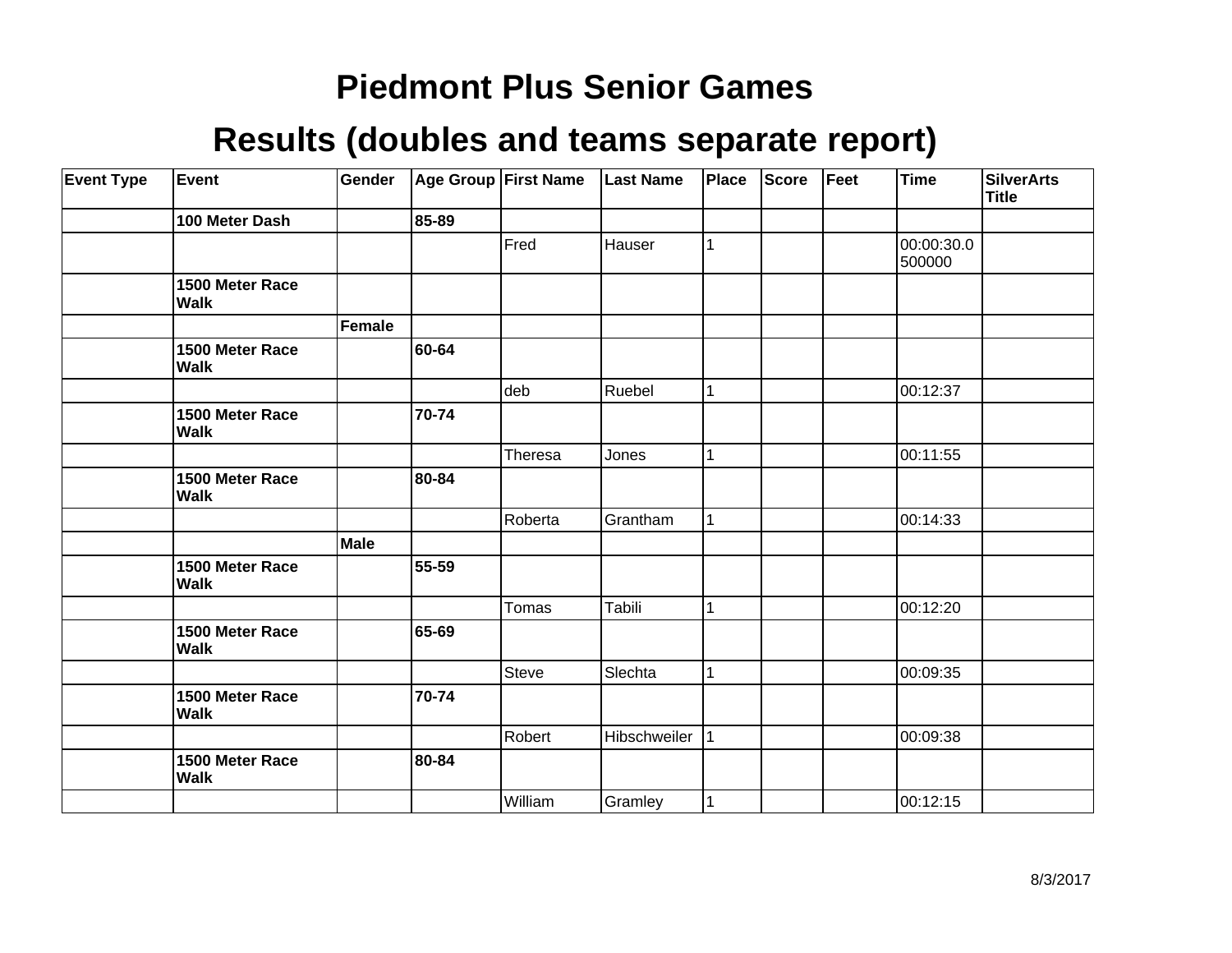| <b>Event Type</b> | <b>Event</b>                   | Gender |       | Age Group First Name | <b>Last Name</b> | Place | <b>Score</b> | Feet | Time                 | <b>SilverArts</b><br><b>Title</b> |
|-------------------|--------------------------------|--------|-------|----------------------|------------------|-------|--------------|------|----------------------|-----------------------------------|
|                   | 100 Meter Dash                 |        | 85-89 |                      |                  |       |              |      |                      |                                   |
|                   |                                |        |       | Fred                 | Hauser           |       |              |      | 00:00:30.0<br>500000 |                                   |
|                   | 1500 Meter Race<br><b>Walk</b> |        |       |                      |                  |       |              |      |                      |                                   |
|                   |                                | Female |       |                      |                  |       |              |      |                      |                                   |
|                   | 1500 Meter Race<br><b>Walk</b> |        | 60-64 |                      |                  |       |              |      |                      |                                   |
|                   |                                |        |       | deb                  | Ruebel           |       |              |      | 00:12:37             |                                   |
|                   | 1500 Meter Race<br><b>Walk</b> |        | 70-74 |                      |                  |       |              |      |                      |                                   |
|                   |                                |        |       | Theresa              | Jones            |       |              |      | 00:11:55             |                                   |
|                   | 1500 Meter Race<br><b>Walk</b> |        | 80-84 |                      |                  |       |              |      |                      |                                   |
|                   |                                |        |       | Roberta              | Grantham         | 1     |              |      | 00:14:33             |                                   |
|                   |                                | Male   |       |                      |                  |       |              |      |                      |                                   |
|                   | 1500 Meter Race<br><b>Walk</b> |        | 55-59 |                      |                  |       |              |      |                      |                                   |
|                   |                                |        |       | Tomas                | Tabili           | 1     |              |      | 00:12:20             |                                   |
|                   | 1500 Meter Race<br><b>Walk</b> |        | 65-69 |                      |                  |       |              |      |                      |                                   |
|                   |                                |        |       | Steve                | Slechta          |       |              |      | 00:09:35             |                                   |
|                   | 1500 Meter Race<br><b>Walk</b> |        | 70-74 |                      |                  |       |              |      |                      |                                   |
|                   |                                |        |       | Robert               | Hibschweiler     |       |              |      | 00:09:38             |                                   |
|                   | 1500 Meter Race<br><b>Walk</b> |        | 80-84 |                      |                  |       |              |      |                      |                                   |
|                   |                                |        |       | William              | Gramley          |       |              |      | 00:12:15             |                                   |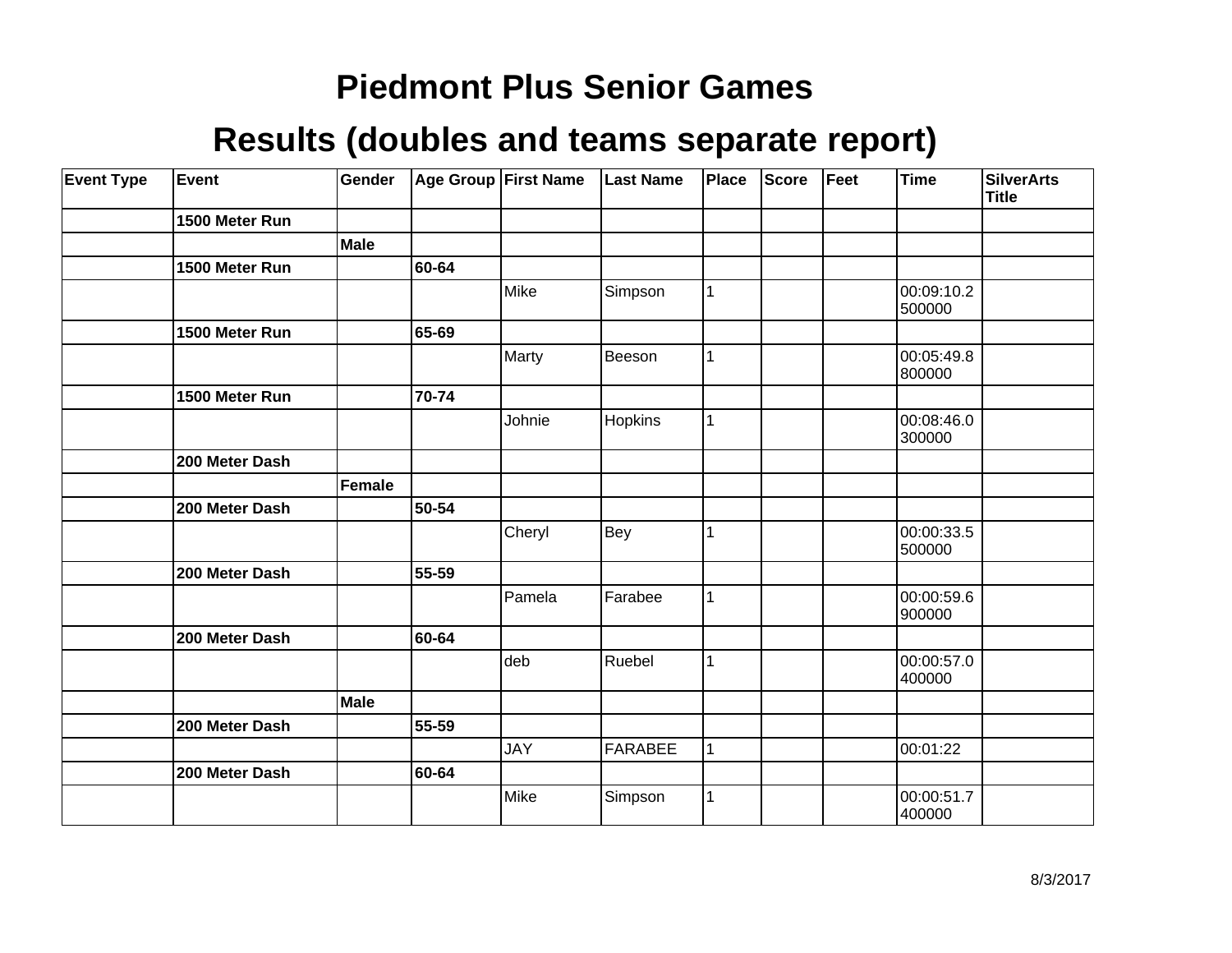| <b>Event Type</b> | Event          | Gender      |       | Age Group First Name | <b>Last Name</b> | Place        | <b>Score</b> | Feet | <b>Time</b>          | <b>SilverArts</b><br><b>Title</b> |
|-------------------|----------------|-------------|-------|----------------------|------------------|--------------|--------------|------|----------------------|-----------------------------------|
|                   | 1500 Meter Run |             |       |                      |                  |              |              |      |                      |                                   |
|                   |                | <b>Male</b> |       |                      |                  |              |              |      |                      |                                   |
|                   | 1500 Meter Run |             | 60-64 |                      |                  |              |              |      |                      |                                   |
|                   |                |             |       | Mike                 | Simpson          | $\mathbf{1}$ |              |      | 00:09:10.2<br>500000 |                                   |
|                   | 1500 Meter Run |             | 65-69 |                      |                  |              |              |      |                      |                                   |
|                   |                |             |       | Marty                | Beeson           | 1            |              |      | 00:05:49.8<br>800000 |                                   |
|                   | 1500 Meter Run |             | 70-74 |                      |                  |              |              |      |                      |                                   |
|                   |                |             |       | Johnie               | Hopkins          | $\mathbf{1}$ |              |      | 00:08:46.0<br>300000 |                                   |
|                   | 200 Meter Dash |             |       |                      |                  |              |              |      |                      |                                   |
|                   |                | Female      |       |                      |                  |              |              |      |                      |                                   |
|                   | 200 Meter Dash |             | 50-54 |                      |                  |              |              |      |                      |                                   |
|                   |                |             |       | Cheryl               | Bey              | $\mathbf{1}$ |              |      | 00:00:33.5<br>500000 |                                   |
|                   | 200 Meter Dash |             | 55-59 |                      |                  |              |              |      |                      |                                   |
|                   |                |             |       | Pamela               | Farabee          | $\mathbf{1}$ |              |      | 00:00:59.6<br>900000 |                                   |
|                   | 200 Meter Dash |             | 60-64 |                      |                  |              |              |      |                      |                                   |
|                   |                |             |       | deb                  | Ruebel           | 1            |              |      | 00:00:57.0<br>400000 |                                   |
|                   |                | Male        |       |                      |                  |              |              |      |                      |                                   |
|                   | 200 Meter Dash |             | 55-59 |                      |                  |              |              |      |                      |                                   |
|                   |                |             |       | <b>JAY</b>           | FARABEE          | $\mathbf{1}$ |              |      | 00:01:22             |                                   |
|                   | 200 Meter Dash |             | 60-64 |                      |                  |              |              |      |                      |                                   |
|                   |                |             |       | Mike                 | Simpson          | $\mathbf{1}$ |              |      | 00:00:51.7<br>400000 |                                   |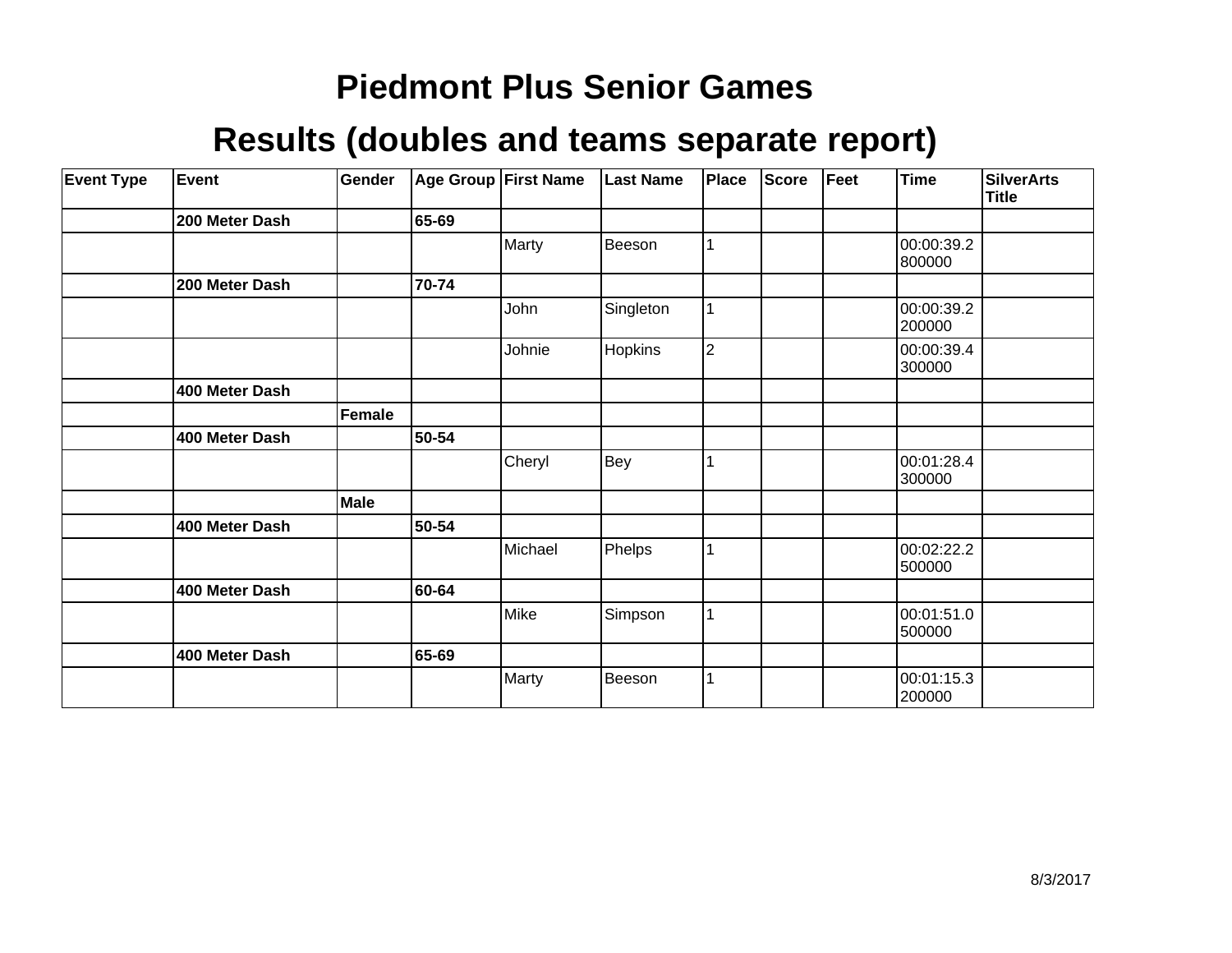| <b>Event Type</b> | Event          | Gender |       | <b>Age Group First Name</b> | <b>Last Name</b> | Place          | <b>Score</b> | Feet | <b>Time</b>          | SilverArts<br><b>Title</b> |
|-------------------|----------------|--------|-------|-----------------------------|------------------|----------------|--------------|------|----------------------|----------------------------|
|                   | 200 Meter Dash |        | 65-69 |                             |                  |                |              |      |                      |                            |
|                   |                |        |       | Marty                       | Beeson           |                |              |      | 00:00:39.2<br>800000 |                            |
|                   | 200 Meter Dash |        | 70-74 |                             |                  |                |              |      |                      |                            |
|                   |                |        |       | John                        | Singleton        |                |              |      | 00:00:39.2<br>200000 |                            |
|                   |                |        |       | Johnie                      | <b>Hopkins</b>   | $\overline{2}$ |              |      | 00:00:39.4<br>300000 |                            |
|                   | 400 Meter Dash |        |       |                             |                  |                |              |      |                      |                            |
|                   |                | Female |       |                             |                  |                |              |      |                      |                            |
|                   | 400 Meter Dash |        | 50-54 |                             |                  |                |              |      |                      |                            |
|                   |                |        |       | Cheryl                      | Bey              |                |              |      | 00:01:28.4<br>300000 |                            |
|                   |                | Male   |       |                             |                  |                |              |      |                      |                            |
|                   | 400 Meter Dash |        | 50-54 |                             |                  |                |              |      |                      |                            |
|                   |                |        |       | Michael                     | Phelps           |                |              |      | 00:02:22.2<br>500000 |                            |
|                   | 400 Meter Dash |        | 60-64 |                             |                  |                |              |      |                      |                            |
|                   |                |        |       | Mike                        | Simpson          |                |              |      | 00:01:51.0<br>500000 |                            |
|                   | 400 Meter Dash |        | 65-69 |                             |                  |                |              |      |                      |                            |
|                   |                |        |       | Marty                       | Beeson           |                |              |      | 00:01:15.3<br>200000 |                            |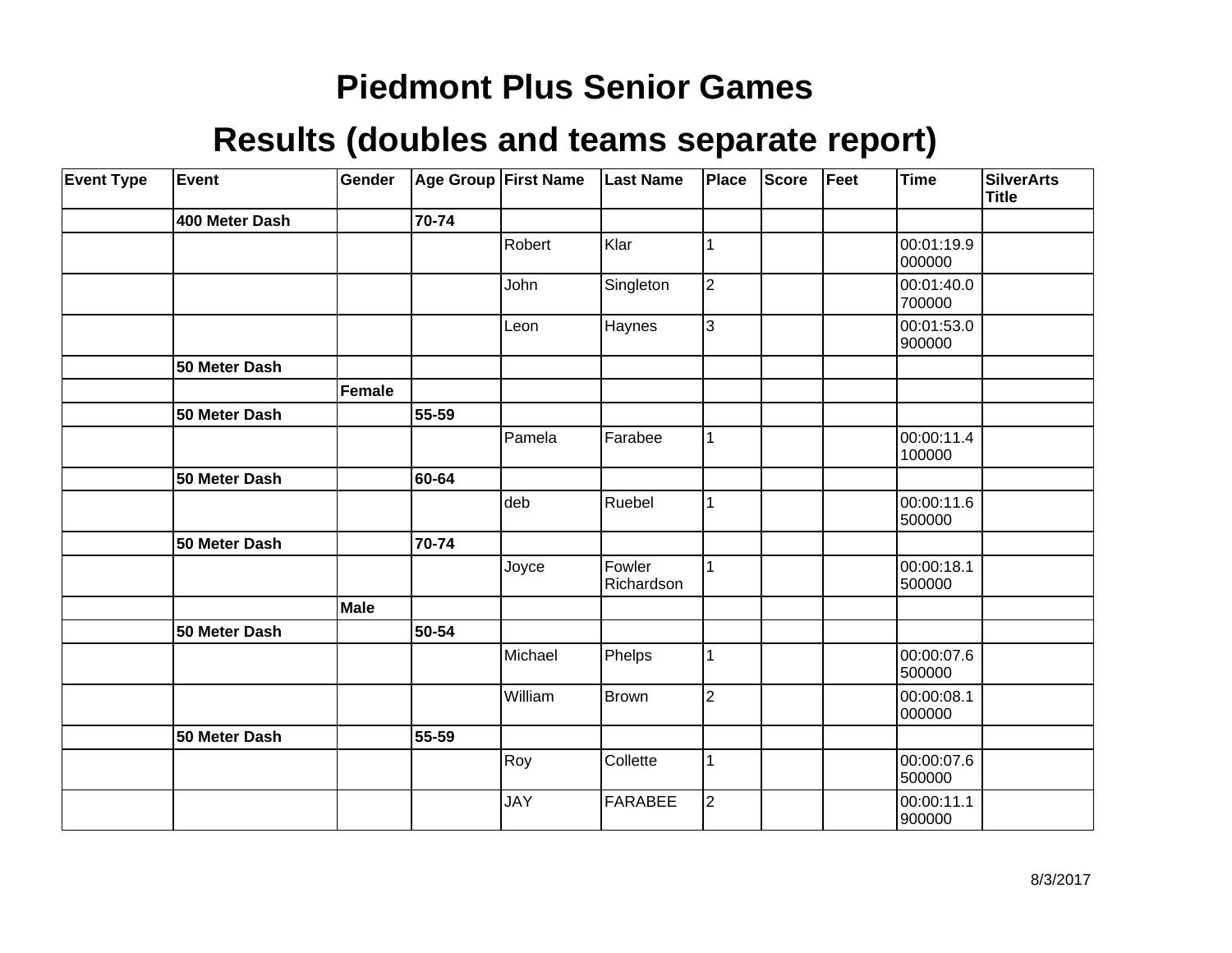| <b>Event Type</b> | Event          | Gender      |       | Age Group First Name | <b>Last Name</b>     | Place          | <b>Score</b> | Feet | Time                 | <b>SilverArts</b><br><b>Title</b> |
|-------------------|----------------|-------------|-------|----------------------|----------------------|----------------|--------------|------|----------------------|-----------------------------------|
|                   | 400 Meter Dash |             | 70-74 |                      |                      |                |              |      |                      |                                   |
|                   |                |             |       | Robert               | Klar                 | 1              |              |      | 00:01:19.9<br>000000 |                                   |
|                   |                |             |       | John                 | Singleton            | $\overline{2}$ |              |      | 00:01:40.0<br>700000 |                                   |
|                   |                |             |       | Leon                 | Haynes               | 3              |              |      | 00:01:53.0<br>900000 |                                   |
|                   | 50 Meter Dash  |             |       |                      |                      |                |              |      |                      |                                   |
|                   |                | Female      |       |                      |                      |                |              |      |                      |                                   |
|                   | 50 Meter Dash  |             | 55-59 |                      |                      |                |              |      |                      |                                   |
|                   |                |             |       | Pamela               | Farabee              | 1              |              |      | 00:00:11.4<br>100000 |                                   |
|                   | 50 Meter Dash  |             | 60-64 |                      |                      |                |              |      |                      |                                   |
|                   |                |             |       | deb                  | Ruebel               | 1              |              |      | 00:00:11.6<br>500000 |                                   |
|                   | 50 Meter Dash  |             | 70-74 |                      |                      |                |              |      |                      |                                   |
|                   |                |             |       | Joyce                | Fowler<br>Richardson | $\mathbf{1}$   |              |      | 00:00:18.1<br>500000 |                                   |
|                   |                | <b>Male</b> |       |                      |                      |                |              |      |                      |                                   |
|                   | 50 Meter Dash  |             | 50-54 |                      |                      |                |              |      |                      |                                   |
|                   |                |             |       | Michael              | Phelps               | 1              |              |      | 00:00:07.6<br>500000 |                                   |
|                   |                |             |       | William              | Brown                | 2              |              |      | 00:00:08.1<br>000000 |                                   |
|                   | 50 Meter Dash  |             | 55-59 |                      |                      |                |              |      |                      |                                   |
|                   |                |             |       | Roy                  | Collette             | 1              |              |      | 00:00:07.6<br>500000 |                                   |
|                   |                |             |       | <b>JAY</b>           | <b>FARABEE</b>       | 2              |              |      | 00:00:11.1<br>900000 |                                   |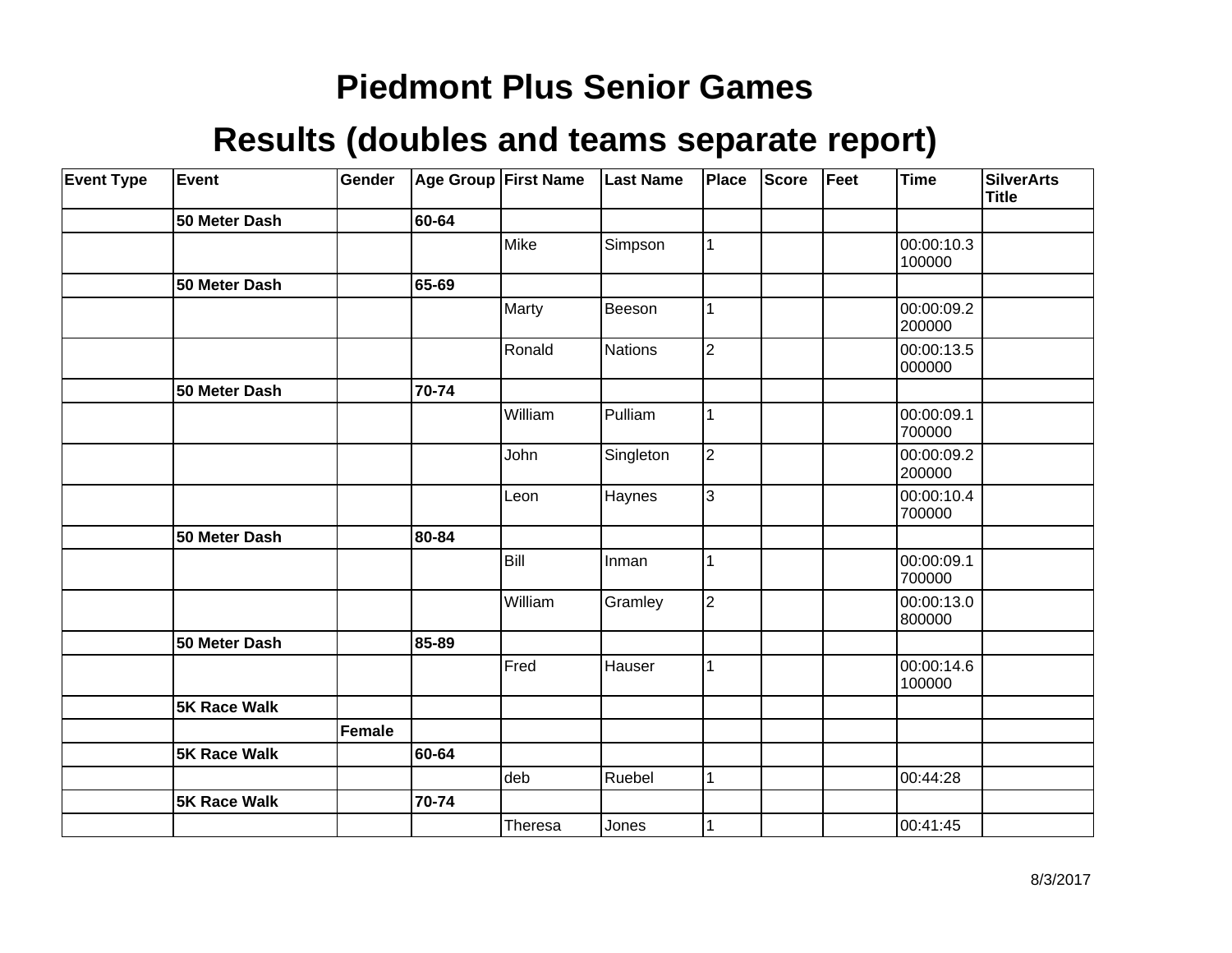| <b>Event Type</b> | Event               | Gender |       | Age Group First Name | <b>Last Name</b> | Place          | <b>Score</b> | Feet | <b>Time</b>          | <b>SilverArts</b><br><b>Title</b> |
|-------------------|---------------------|--------|-------|----------------------|------------------|----------------|--------------|------|----------------------|-----------------------------------|
|                   | 50 Meter Dash       |        | 60-64 |                      |                  |                |              |      |                      |                                   |
|                   |                     |        |       | Mike                 | Simpson          | $\mathbf{1}$   |              |      | 00:00:10.3<br>100000 |                                   |
|                   | 50 Meter Dash       |        | 65-69 |                      |                  |                |              |      |                      |                                   |
|                   |                     |        |       | Marty                | Beeson           | 1              |              |      | 00:00:09.2<br>200000 |                                   |
|                   |                     |        |       | Ronald               | <b>Nations</b>   | $\overline{2}$ |              |      | 00:00:13.5<br>000000 |                                   |
|                   | 50 Meter Dash       |        | 70-74 |                      |                  |                |              |      |                      |                                   |
|                   |                     |        |       | William              | Pulliam          | $\mathbf{1}$   |              |      | 00:00:09.1<br>700000 |                                   |
|                   |                     |        |       | John                 | Singleton        | $\overline{2}$ |              |      | 00:00:09.2<br>200000 |                                   |
|                   |                     |        |       | Leon                 | Haynes           | 3              |              |      | 00:00:10.4<br>700000 |                                   |
|                   | 50 Meter Dash       |        | 80-84 |                      |                  |                |              |      |                      |                                   |
|                   |                     |        |       | Bill                 | Inman            | 1              |              |      | 00:00:09.1<br>700000 |                                   |
|                   |                     |        |       | William              | Gramley          | 2              |              |      | 00:00:13.0<br>800000 |                                   |
|                   | 50 Meter Dash       |        | 85-89 |                      |                  |                |              |      |                      |                                   |
|                   |                     |        |       | Fred                 | Hauser           | $\mathbf{1}$   |              |      | 00:00:14.6<br>100000 |                                   |
|                   | <b>5K Race Walk</b> |        |       |                      |                  |                |              |      |                      |                                   |
|                   |                     | Female |       |                      |                  |                |              |      |                      |                                   |
|                   | <b>5K Race Walk</b> |        | 60-64 |                      |                  |                |              |      |                      |                                   |
|                   |                     |        |       | deb                  | Ruebel           | $\mathbf{1}$   |              |      | 00:44:28             |                                   |
|                   | <b>5K Race Walk</b> |        | 70-74 |                      |                  |                |              |      |                      |                                   |
|                   |                     |        |       | Theresa              | Jones            | 1              |              |      | 00:41:45             |                                   |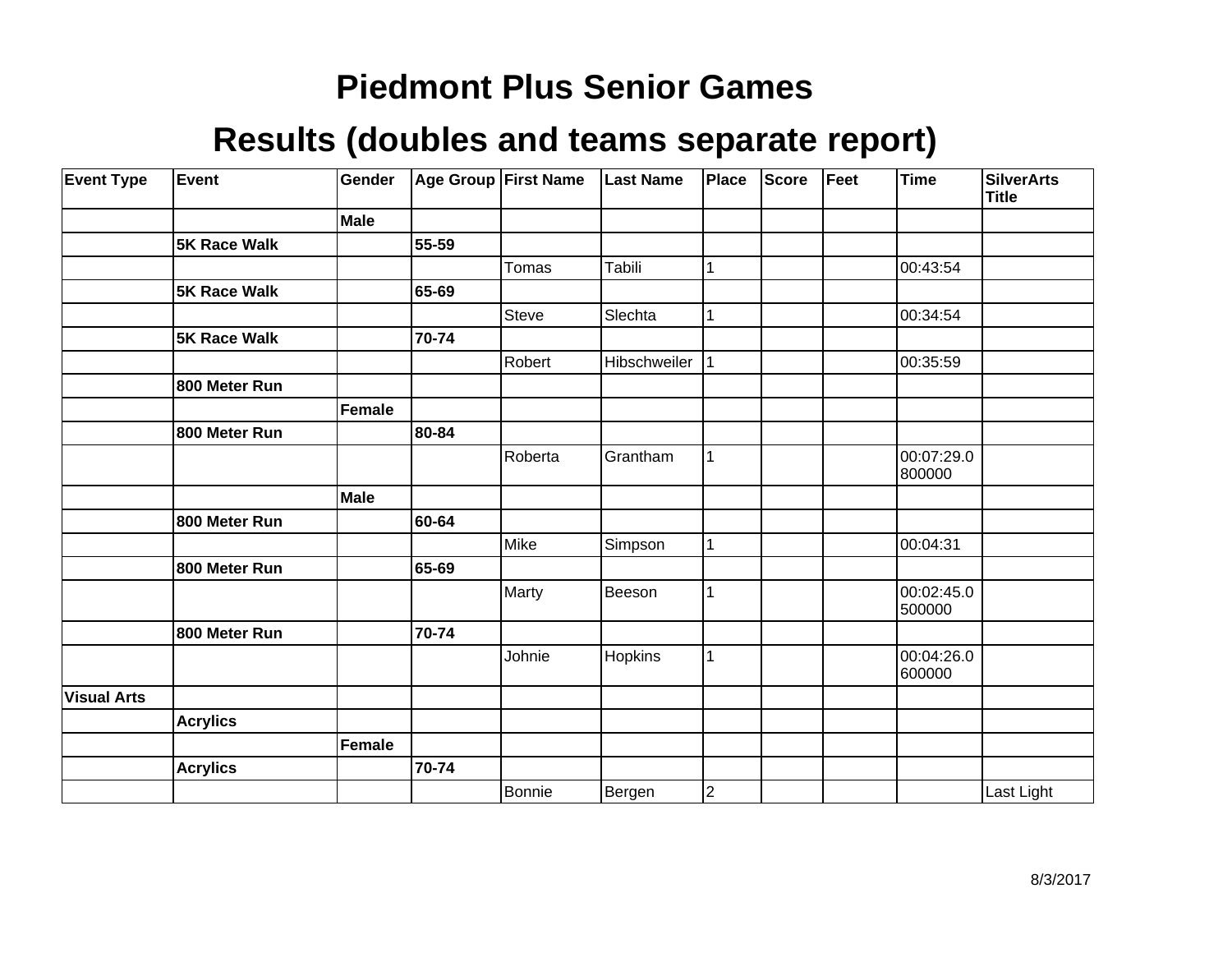| <b>Event Type</b>  | Event           | Gender        |       | <b>Age Group First Name</b> | <b>Last Name</b> | Place                   | <b>Score</b> | Feet | Time                 | <b>SilverArts</b><br><b>Title</b> |
|--------------------|-----------------|---------------|-------|-----------------------------|------------------|-------------------------|--------------|------|----------------------|-----------------------------------|
|                    |                 | Male          |       |                             |                  |                         |              |      |                      |                                   |
|                    | 5K Race Walk    |               | 55-59 |                             |                  |                         |              |      |                      |                                   |
|                    |                 |               |       | Tomas                       | Tabili           | 1                       |              |      | 00:43:54             |                                   |
|                    | 5K Race Walk    |               | 65-69 |                             |                  |                         |              |      |                      |                                   |
|                    |                 |               |       | <b>Steve</b>                | Slechta          | 1                       |              |      | 00:34:54             |                                   |
|                    | 5K Race Walk    |               | 70-74 |                             |                  |                         |              |      |                      |                                   |
|                    |                 |               |       | Robert                      | Hibschweiler     | 1                       |              |      | 00:35:59             |                                   |
|                    | 800 Meter Run   |               |       |                             |                  |                         |              |      |                      |                                   |
|                    |                 | <b>Female</b> |       |                             |                  |                         |              |      |                      |                                   |
|                    | 800 Meter Run   |               | 80-84 |                             |                  |                         |              |      |                      |                                   |
|                    |                 |               |       | Roberta                     | Grantham         | 1                       |              |      | 00:07:29.0<br>800000 |                                   |
|                    |                 | <b>Male</b>   |       |                             |                  |                         |              |      |                      |                                   |
|                    | 800 Meter Run   |               | 60-64 |                             |                  |                         |              |      |                      |                                   |
|                    |                 |               |       | Mike                        | Simpson          | $\mathbf{1}$            |              |      | 00:04:31             |                                   |
|                    | 800 Meter Run   |               | 65-69 |                             |                  |                         |              |      |                      |                                   |
|                    |                 |               |       | Marty                       | Beeson           | 1                       |              |      | 00:02:45.0<br>500000 |                                   |
|                    | 800 Meter Run   |               | 70-74 |                             |                  |                         |              |      |                      |                                   |
|                    |                 |               |       | Johnie                      | Hopkins          | $\mathbf 1$             |              |      | 00:04:26.0<br>600000 |                                   |
| <b>Visual Arts</b> |                 |               |       |                             |                  |                         |              |      |                      |                                   |
|                    | <b>Acrylics</b> |               |       |                             |                  |                         |              |      |                      |                                   |
|                    |                 | <b>Female</b> |       |                             |                  |                         |              |      |                      |                                   |
|                    | <b>Acrylics</b> |               | 70-74 |                             |                  |                         |              |      |                      |                                   |
|                    |                 |               |       | Bonnie                      | Bergen           | $\overline{\mathbf{c}}$ |              |      |                      | Last Light                        |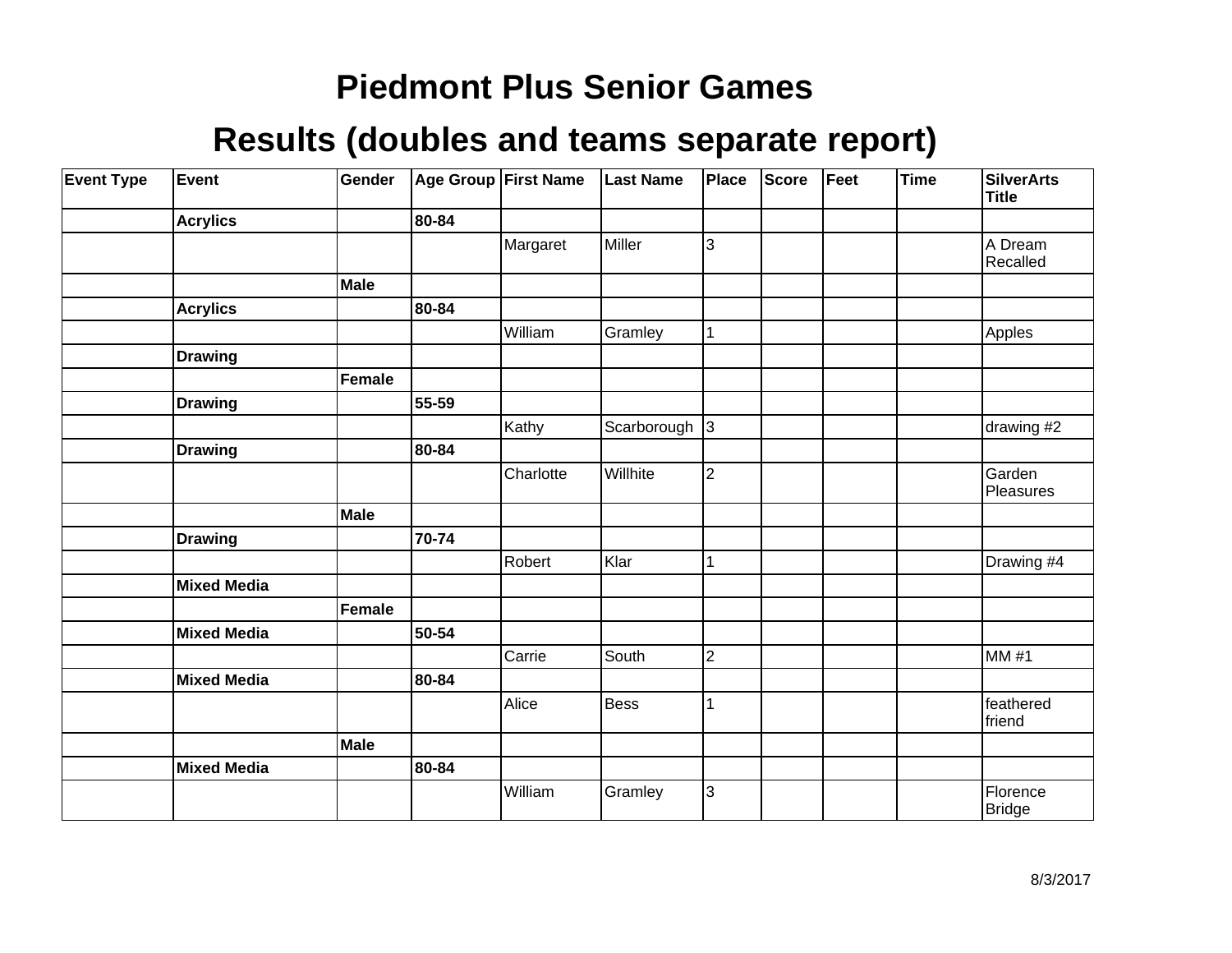| <b>Event Type</b> | Event              | Gender |       | Age Group First Name | <b>Last Name</b>  | Place          | Score | Feet | <b>Time</b> | <b>SilverArts</b><br><b>Title</b> |
|-------------------|--------------------|--------|-------|----------------------|-------------------|----------------|-------|------|-------------|-----------------------------------|
|                   | <b>Acrylics</b>    |        | 80-84 |                      |                   |                |       |      |             |                                   |
|                   |                    |        |       | Margaret             | Miller            | 3              |       |      |             | A Dream<br>Recalled               |
|                   |                    | Male   |       |                      |                   |                |       |      |             |                                   |
|                   | <b>Acrylics</b>    |        | 80-84 |                      |                   |                |       |      |             |                                   |
|                   |                    |        |       | William              | Gramley           | $\vert$ 1      |       |      |             | Apples                            |
|                   | <b>Drawing</b>     |        |       |                      |                   |                |       |      |             |                                   |
|                   |                    | Female |       |                      |                   |                |       |      |             |                                   |
|                   | <b>Drawing</b>     |        | 55-59 |                      |                   |                |       |      |             |                                   |
|                   |                    |        |       | Kathy                | Scarborough $ 3 $ |                |       |      |             | drawing #2                        |
|                   | <b>Drawing</b>     |        | 80-84 |                      |                   |                |       |      |             |                                   |
|                   |                    |        |       | Charlotte            | Willhite          | 2              |       |      |             | Garden<br>Pleasures               |
|                   |                    | Male   |       |                      |                   |                |       |      |             |                                   |
|                   | <b>Drawing</b>     |        | 70-74 |                      |                   |                |       |      |             |                                   |
|                   |                    |        |       | Robert               | Klar              | 1              |       |      |             | Drawing #4                        |
|                   | <b>Mixed Media</b> |        |       |                      |                   |                |       |      |             |                                   |
|                   |                    | Female |       |                      |                   |                |       |      |             |                                   |
|                   | <b>Mixed Media</b> |        | 50-54 |                      |                   |                |       |      |             |                                   |
|                   |                    |        |       | Carrie               | South             | $\overline{c}$ |       |      |             | <b>MM#1</b>                       |
|                   | <b>Mixed Media</b> |        | 80-84 |                      |                   |                |       |      |             |                                   |
|                   |                    |        |       | Alice                | <b>Bess</b>       | 1              |       |      |             | feathered<br>friend               |
|                   |                    | Male   |       |                      |                   |                |       |      |             |                                   |
|                   | <b>Mixed Media</b> |        | 80-84 |                      |                   |                |       |      |             |                                   |
|                   |                    |        |       | William              | Gramley           | 3              |       |      |             | Florence<br><b>Bridge</b>         |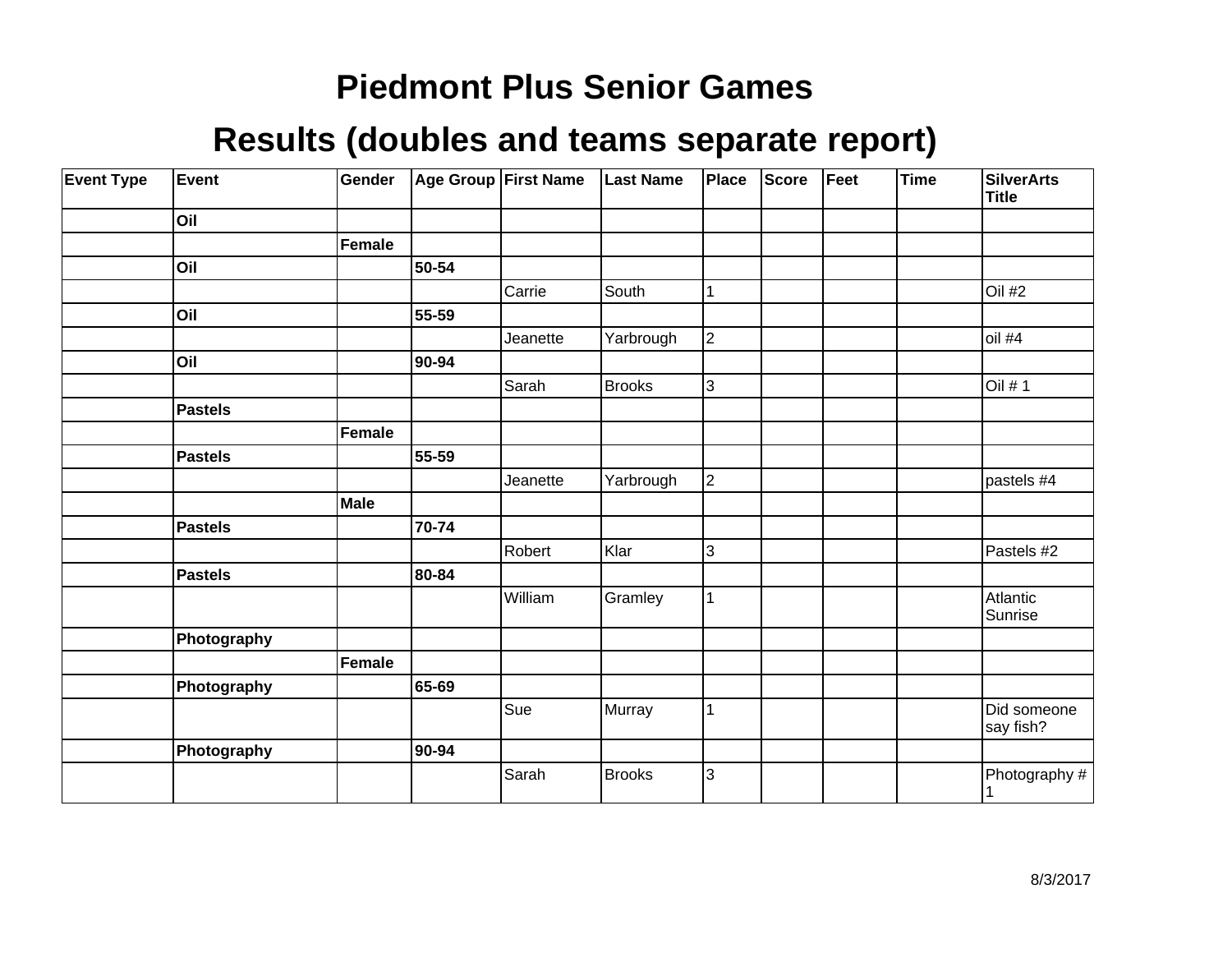| <b>Event Type</b> | Event          | Gender        |       | Age Group First Name | <b>Last Name</b> | <b>Place</b>   | Score | Feet | Time | <b>SilverArts</b><br><b>Title</b> |
|-------------------|----------------|---------------|-------|----------------------|------------------|----------------|-------|------|------|-----------------------------------|
|                   | Oil            |               |       |                      |                  |                |       |      |      |                                   |
|                   |                | <b>Female</b> |       |                      |                  |                |       |      |      |                                   |
|                   | Oil            |               | 50-54 |                      |                  |                |       |      |      |                                   |
|                   |                |               |       | Carrie               | South            | 1              |       |      |      | Oil #2                            |
|                   | Oil            |               | 55-59 |                      |                  |                |       |      |      |                                   |
|                   |                |               |       | Jeanette             | Yarbrough        | $\overline{2}$ |       |      |      | oil #4                            |
|                   | Oil            |               | 90-94 |                      |                  |                |       |      |      |                                   |
|                   |                |               |       | Sarah                | <b>Brooks</b>    | 3              |       |      |      | Oil # 1                           |
|                   | Pastels        |               |       |                      |                  |                |       |      |      |                                   |
|                   |                | <b>Female</b> |       |                      |                  |                |       |      |      |                                   |
|                   | Pastels        |               | 55-59 |                      |                  |                |       |      |      |                                   |
|                   |                |               |       | Jeanette             | Yarbrough        | $\overline{2}$ |       |      |      | pastels #4                        |
|                   |                | Male          |       |                      |                  |                |       |      |      |                                   |
|                   | Pastels        |               | 70-74 |                      |                  |                |       |      |      |                                   |
|                   |                |               |       | Robert               | Klar             | 3              |       |      |      | Pastels #2                        |
|                   | <b>Pastels</b> |               | 80-84 |                      |                  |                |       |      |      |                                   |
|                   |                |               |       | William              | Gramley          | 1              |       |      |      | Atlantic<br>Sunrise               |
|                   | Photography    |               |       |                      |                  |                |       |      |      |                                   |
|                   |                | Female        |       |                      |                  |                |       |      |      |                                   |
|                   | Photography    |               | 65-69 |                      |                  |                |       |      |      |                                   |
|                   |                |               |       | Sue                  | Murray           |                |       |      |      | Did someone<br>say fish?          |
|                   | Photography    |               | 90-94 |                      |                  |                |       |      |      |                                   |
|                   |                |               |       | Sarah                | <b>Brooks</b>    | 3              |       |      |      | Photography #                     |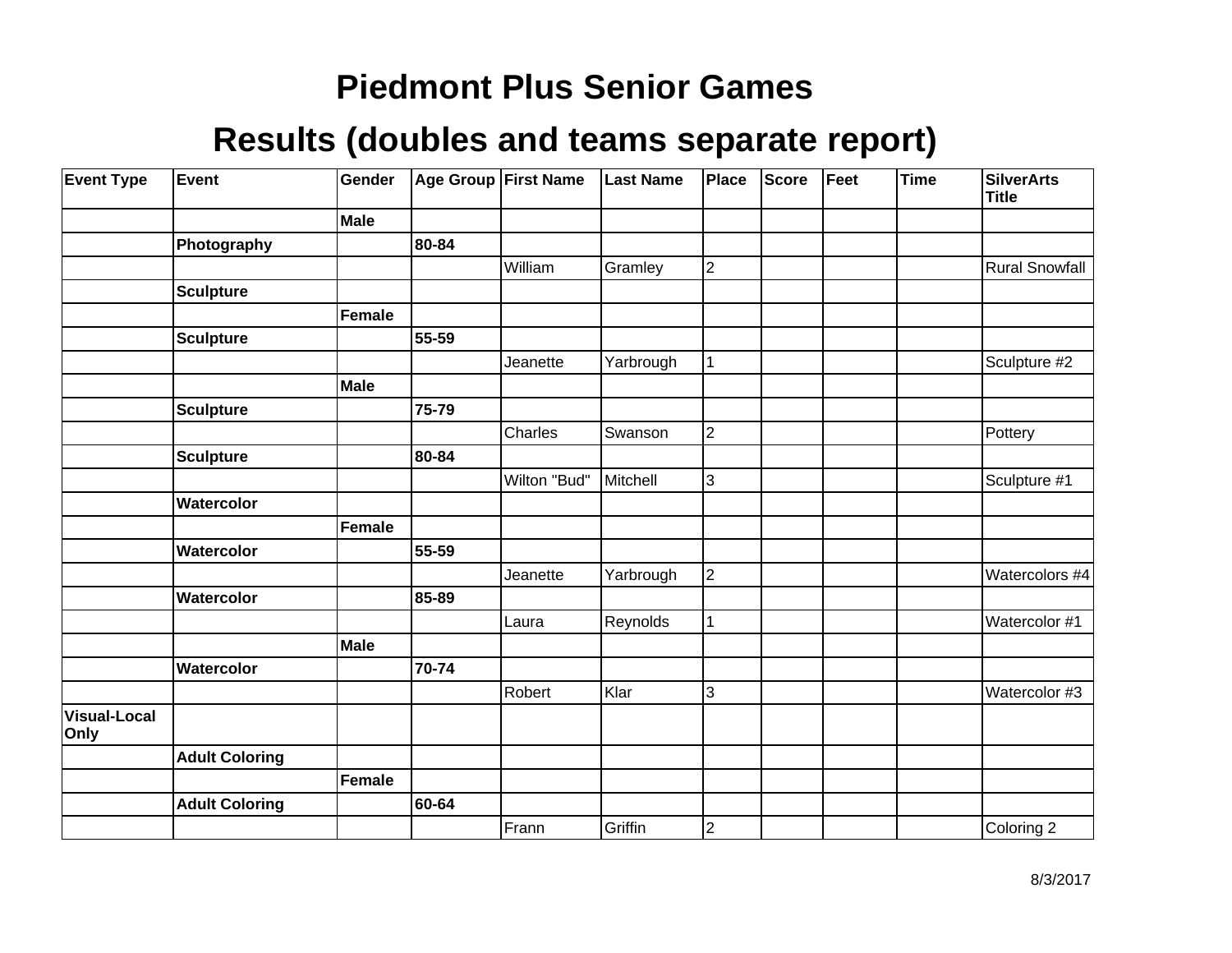| <b>Event Type</b>           | Event                 | Gender        |       | Age Group First Name | <b>Last Name</b> | Place                   | Score | Feet | <b>Time</b> | <b>SilverArts</b><br><b>Title</b> |
|-----------------------------|-----------------------|---------------|-------|----------------------|------------------|-------------------------|-------|------|-------------|-----------------------------------|
|                             |                       | Male          |       |                      |                  |                         |       |      |             |                                   |
|                             | Photography           |               | 80-84 |                      |                  |                         |       |      |             |                                   |
|                             |                       |               |       | William              | Gramley          | $\overline{2}$          |       |      |             | <b>Rural Snowfall</b>             |
|                             | <b>Sculpture</b>      |               |       |                      |                  |                         |       |      |             |                                   |
|                             |                       | <b>Female</b> |       |                      |                  |                         |       |      |             |                                   |
|                             | <b>Sculpture</b>      |               | 55-59 |                      |                  |                         |       |      |             |                                   |
|                             |                       |               |       | Jeanette             | Yarbrough        | 1                       |       |      |             | Sculpture #2                      |
|                             |                       | Male          |       |                      |                  |                         |       |      |             |                                   |
|                             | <b>Sculpture</b>      |               | 75-79 |                      |                  |                         |       |      |             |                                   |
|                             |                       |               |       | Charles              | Swanson          | $\overline{c}$          |       |      |             | Pottery                           |
|                             | <b>Sculpture</b>      |               | 80-84 |                      |                  |                         |       |      |             |                                   |
|                             |                       |               |       | Wilton "Bud"         | Mitchell         | 3                       |       |      |             | Sculpture #1                      |
|                             | Watercolor            |               |       |                      |                  |                         |       |      |             |                                   |
|                             |                       | <b>Female</b> |       |                      |                  |                         |       |      |             |                                   |
|                             | Watercolor            |               | 55-59 |                      |                  |                         |       |      |             |                                   |
|                             |                       |               |       | Jeanette             | Yarbrough        | $\overline{2}$          |       |      |             | Watercolors #4                    |
|                             | Watercolor            |               | 85-89 |                      |                  |                         |       |      |             |                                   |
|                             |                       |               |       | Laura                | Reynolds         | 1                       |       |      |             | Watercolor #1                     |
|                             |                       | Male          |       |                      |                  |                         |       |      |             |                                   |
|                             | Watercolor            |               | 70-74 |                      |                  |                         |       |      |             |                                   |
|                             |                       |               |       | Robert               | Klar             | 3                       |       |      |             | Watercolor #3                     |
| <b>Visual-Local</b><br>Only |                       |               |       |                      |                  |                         |       |      |             |                                   |
|                             | <b>Adult Coloring</b> |               |       |                      |                  |                         |       |      |             |                                   |
|                             |                       | <b>Female</b> |       |                      |                  |                         |       |      |             |                                   |
|                             | <b>Adult Coloring</b> |               | 60-64 |                      |                  |                         |       |      |             |                                   |
|                             |                       |               |       | Frann                | Griffin          | $\overline{\mathbf{c}}$ |       |      |             | Coloring 2                        |